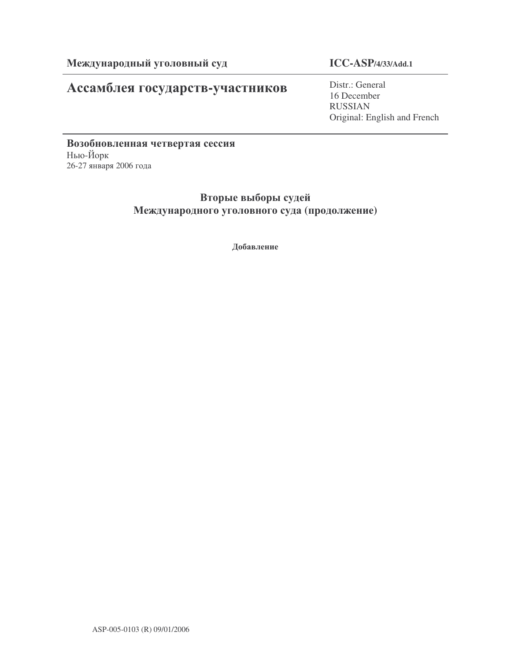# Ассамблея государств-участников

**ICC-ASP/4/33/Add.1**

Distr.: General 16 December RUSSIAN Original: English and French

Возобновленная четвертая сессия Нью-Йорк 26-27 января 2006 года

> Вторые выборы судей Международного уголовного суда (продолжение)

> > Добавление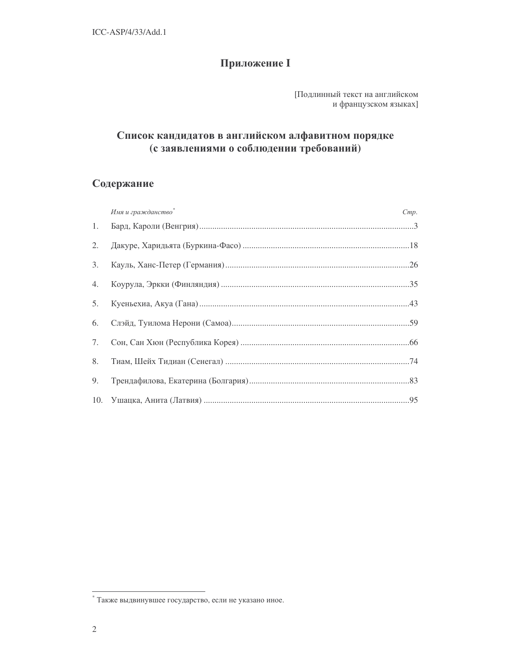# **Приложение I**

[Подлинный текст на английском и французском языках]

# Список кандидатов в английском алфавитном порядке (с заявлениями о соблюдении требований)

# Содержание

|    | Имя и гражданство* | Cmp. |
|----|--------------------|------|
| 1. |                    |      |
| 2. |                    |      |
| 3. |                    |      |
| 4. |                    |      |
| 5. |                    |      |
| 6. |                    |      |
| 7. |                    |      |
| 8. |                    |      |
| 9. |                    |      |
|    |                    |      |

<sup>\*</sup> Также выдвинувшее государство, если не указано иное.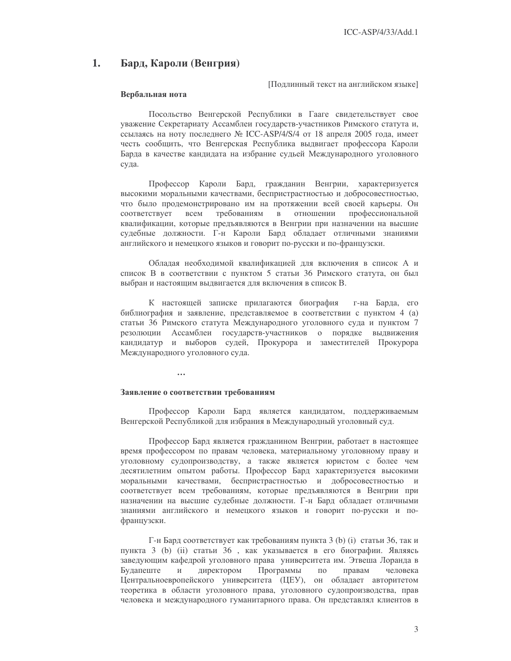#### 1. Бард, Кароли (Венгрия)

Подлинный текст на английском языке]

# Вербальная нота

Посольство Венгерской Республики в Гааге свидетельствует свое уважение Секретариату Ассамблеи государств-участников Римского статута и, ссылаясь на ноту последнего № ICC-ASP/4/S/4 от 18 апреля 2005 года, имеет честь сообщить, что Венгерская Республика выдвигает профессора Кароли Барда в качестве кандидата на избрание судьей Международного уголовного суда.

Профессор Кароли Бард, гражданин Венгрии, характеризуется высокими моральными качествами, беспристрастностью и добросовестностью, что было продемонстрировано им на протяжении всей своей карьеры. Он соответствует **BCCM** требованиям  $\, {\bf B}$ отношении профессиональной квалификации, которые предъявляются в Венгрии при назначении на высшие судебные должности. Г-н Кароли Бард обладает отличными знаниями английского и немецкого языков и говорит по-русски и по-французски.

Обладая необходимой квалификацией для включения в список А и список В в соответствии с пунктом 5 статьи 36 Римского статута, он был выбран и настоящим выдвигается для включения в список В.

К настоящей записке прилагаются биография г-на Барда, его библиография и заявление, представляемое в соответствии с пунктом 4 (а) статьи 36 Римского статута Международного уголовного суда и пунктом 7 резолюции Ассамблеи государств-участников о порядке выдвижения кандидатур и выборов судей, Прокурора и заместителей Прокурора Международного уголовного суда.

 $\overline{a}$ 

# Заявление о соответствии требованиям

Профессор Кароли Бард является кандидатом, поддерживаемым Венгерской Республикой для избрания в Международный уголовный суд.

Профессор Бард является гражданином Венгрии, работает в настоящее время профессором по правам человека, материальному уголовному праву и уголовному судопроизводству, а также является юристом с более чем десятилетним опытом работы. Профессор Бард характеризуется высокими моральными качествами, беспристрастностью и добросовестностью и соответствует всем требованиям, которые предъявляются в Венгрии при назначении на высшие судебные должности. Г-н Бард обладает отличными знаниями английского и немецкого языков и говорит по-русски и пофранцузски.

Г-н Бард соответствует как требованиям пункта 3 (b) (i) статьи 36, так и пункта 3 (b) (ii) статьи 36, как указывается в его биографии. Являясь заведующим кафедрой уголовного права университета им. Этвеша Лоранда в Будапеште Программы  $\,$   $\,$   $\,$   $\,$ директором  $\Pi 0$ правам человека Центральноевропейского университета (ЦЕУ), он обладает авторитетом теоретика в области уголовного права, уголовного судопроизводства, прав человека и международного гуманитарного права. Он представлял клиентов в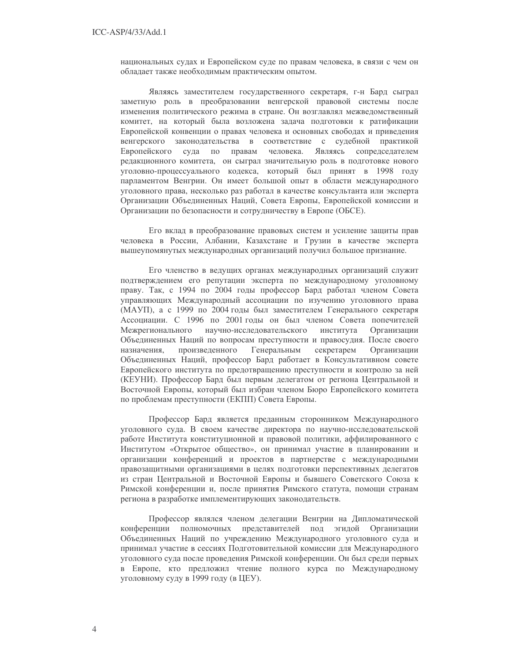национальных судах и Европейском суде по правам человека, в связи с чем он обладает также необходимым практическим опытом.

Являясь заместителем государственного секретаря, г-н Бард сыграл заметную роль в преобразовании венгерской правовой системы после изменения политического режима в стране. Он возглавлял межведомственный комитет, на который была возложена задача подготовки к ратификации Европейской конвенции о правах человека и основных свободах и приведения венгерского законодательства в соответствие с судебной практикой человека. Являясь сопредседателем Европейского суда по правам редакционного комитета, он сыграл значительную роль в подготовке нового уголовно-процессуального кодекса, который был принят в 1998 году парламентом Венгрии. Он имеет большой опыт в области международного уголовного права, несколько раз работал в качестве консультанта или эксперта Организации Объединенных Наций, Совета Европы, Европейской комиссии и Организации по безопасности и сотрудничеству в Европе (ОБСЕ).

Его вклад в преобразование правовых систем и усиление защиты прав человека в России, Албании, Казахстане и Грузии в качестве эксперта вышеупомянутых международных организаций получил большое признание.

Его членство в ведущих органах международных организаций служит подтверждением его репутации эксперта по международному уголовному праву. Так, с 1994 по 2004 годы профессор Бард работал членом Совета управляющих Международный ассоциации по изучению уголовного права (МАУП), а с 1999 по 2004 годы был заместителем Генерального секретаря Ассоциации. С 1996 по 2001 годы он был членом Совета попечителей Межрегионального научно-исследовательского института Организации Объединенных Наций по вопросам преступности и правосудия. После своего назначения, произведенного Генеральным секретарем Организации Объединенных Наций, профессор Бард работает в Консультативном совете Европейского института по предотвращению преступности и контролю за ней (КЕУНИ). Профессор Бард был первым делегатом от региона Центральной и Восточной Европы, который был избран членом Бюро Европейского комитета по проблемам преступности (ЕКПП) Совета Европы.

Профессор Бард является преданным сторонником Международного уголовного суда. В своем качестве директора по научно-исследовательской работе Института конституционной и правовой политики, аффилированного с Институтом «Открытое общество», он принимал участие в планировании и организации конференций и проектов в партнерстве с международными правозащитными организациями в целях подготовки перспективных делегатов из стран Центральной и Восточной Европы и бывшего Советского Союза к Римской конференции и, после принятия Римского статута, помощи странам региона в разработке имплементирующих законодательств.

Профессор являлся членом делегации Венгрии на Дипломатической конференции полномочных представителей под эгидой Организации Объединенных Наций по учреждению Международного уголовного суда и принимал участие в сессиях Подготовительной комиссии для Международного уголовного суда после проведения Римской конференции. Он был среди первых в Европе, кто предложил чтение полного курса по Международному уголовному суду в 1999 году (в ЦЕУ).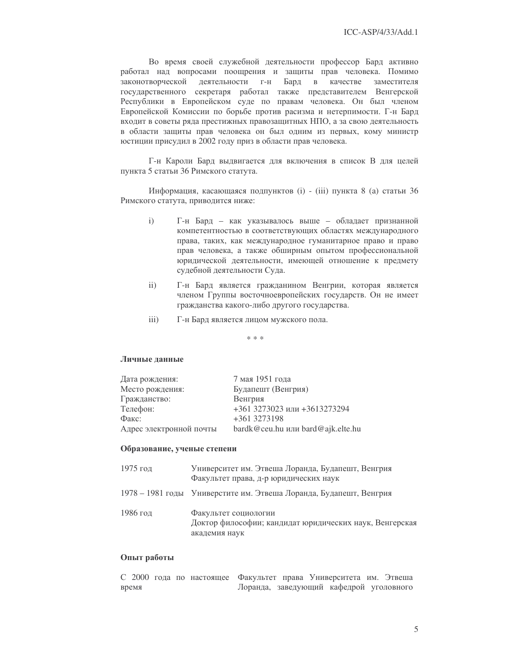Во время своей служебной деятельности профессор Бард активно работал над вопросами поощрения и защиты прав человека. Помимо законотворческой деятельности г-н Бард качестве заместителя  $\,$  B государственного секретаря работал также представителем Венгерской Республики в Европейском суде по правам человека. Он был членом Европейской Комиссии по борьбе против расизма и нетерпимости. Г-н Бард входит в советы ряда престижных правозащитных НПО, а за свою деятельность в области защиты прав человека он был одним из первых, кому министр юстиции присудил в 2002 году приз в области прав человека.

Г-н Кароли Бард выдвигается для включения в список В для целей пункта 5 статьи 36 Римского статута.

Информация, касающаяся подпунктов (i) - (iii) пункта 8 (а) статьи 36 Римского статута, приводится ниже:

- $\mathbf{i}$ Г-н Бард - как указывалось выше - обладает признанной компетентностью в соответствующих областях международного права, таких, как международное гуманитарное право и право прав человека, а также обширным опытом профессиональной юридической деятельности, имеющей отношение к предмету судебной деятельности Суда.
- $\mathbf{ii}$ Г-н Бард является гражданином Венгрии, которая является членом Группы восточноевропейских государств. Он не имеет гражданства какого-либо другого государства.
- $iii)$ Г-н Бард является лицом мужского пола.

 $* * *$ 

## Личные данные

| Дата рождения:          | 7 мая 1951 года                   |
|-------------------------|-----------------------------------|
| Место рождения:         | Будапешт (Венгрия)                |
| Гражданство:            | Венгрия                           |
| Телефон:                | +361 3273023 или +3613273294      |
| Факс:                   | +361 3273198                      |
| Адрес электронной почты | bardk@ceu.hu или bard@ajk.elte.hu |

### Образование, ученые степени

| 1975 год | Университет им. Этвеша Лоранда, Будапешт, Венгрия<br>Факультет права, д-р юридических наук       |
|----------|--------------------------------------------------------------------------------------------------|
|          | 1978 – 1981 годы Универстите им. Этвеша Лоранда, Будапешт, Венгрия                               |
| 1986 год | Факультет социологии<br>Доктор философии; кандидат юридических наук, Венгерская<br>академия наук |

# Опыт работы

С 2000 года по настоящее Факультет права Университета им. Этвеша время Лоранда, заведующий кафедрой уголовного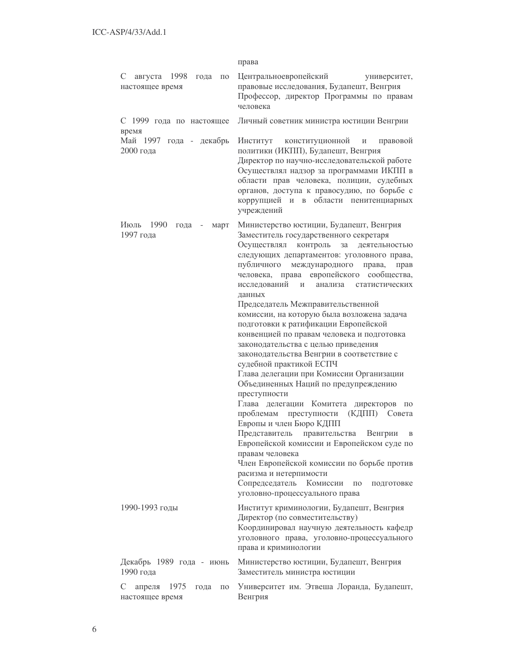|                                                                      | права                                                                                                                                                                                                                                                                                                                                                                                                                                                                                                                                                                                                                                                                                                                                                                                                                                                                                                                                                                                                                                                                                                                                                               |
|----------------------------------------------------------------------|---------------------------------------------------------------------------------------------------------------------------------------------------------------------------------------------------------------------------------------------------------------------------------------------------------------------------------------------------------------------------------------------------------------------------------------------------------------------------------------------------------------------------------------------------------------------------------------------------------------------------------------------------------------------------------------------------------------------------------------------------------------------------------------------------------------------------------------------------------------------------------------------------------------------------------------------------------------------------------------------------------------------------------------------------------------------------------------------------------------------------------------------------------------------|
| C<br>августа 1998 года<br>$\Pi 0$<br>настоящее время                 | Центральноевропейский<br>университет,<br>правовые исследования, Будапешт, Венгрия<br>Профессор, директор Программы по правам<br>человека                                                                                                                                                                                                                                                                                                                                                                                                                                                                                                                                                                                                                                                                                                                                                                                                                                                                                                                                                                                                                            |
| С 1999 года по настоящее<br>время                                    | Личный советник министра юстиции Венгрии                                                                                                                                                                                                                                                                                                                                                                                                                                                                                                                                                                                                                                                                                                                                                                                                                                                                                                                                                                                                                                                                                                                            |
| Май 1997 года - декабрь<br>2000 года                                 | Институт<br>конституционной<br>правовой<br>И<br>политики (ИКПП), Будапешт, Венгрия<br>Директор по научно-исследовательской работе<br>Осуществлял надзор за программами ИКПП в<br>области прав человека, полиции, судебных<br>органов, доступа к правосудию, по борьбе с<br>коррупцией и<br>области пенитенциарных<br>$\, {\bf B}$<br>учреждений                                                                                                                                                                                                                                                                                                                                                                                                                                                                                                                                                                                                                                                                                                                                                                                                                     |
| Июль<br>1990<br>года<br>март<br>$\qquad \qquad -$<br>1997 года       | Министерство юстиции, Будапешт, Венгрия<br>Заместитель государственного секретаря<br>контроль<br>Осуществлял<br>за<br>деятельностью<br>следующих департаментов: уголовного права,<br>публичного<br>международного<br>права,<br>прав<br>европейского<br>человека, права<br>сообщества,<br>исследований<br>И<br>анализа<br>статистических<br>данных<br>Председатель Межправительственной<br>комиссии, на которую была возложена задача<br>подготовки к ратификации Европейской<br>конвенцией по правам человека и подготовка<br>законодательства с целью приведения<br>законодательства Венгрии в соответствие с<br>судебной практикой ЕСПЧ<br>Глава делегации при Комиссии Организации<br>Объединенных Наций по предупреждению<br>преступности<br>Глава делегации Комитета<br>директоров<br>$\Pi$ <sup>O</sup><br>проблемам<br>преступности<br>(КДПП)<br>Совета<br>Европы и член Бюро КДПП<br>Венгрии<br>Представитель<br>правительства<br>Европейской комиссии и Европейском суде по<br>правам человека<br>Член Европейской комиссии по борьбе против<br>расизма и нетерпимости<br>Сопредседатель<br>Комиссии<br>подготовке<br>ПО<br>уголовно-процессуального права |
| 1990-1993 годы                                                       | Институт криминологии, Будапешт, Венгрия<br>Директор (по совместительству)<br>Координировал научную деятельность кафедр<br>уголовного права, уголовно-процессуального<br>права и криминологии                                                                                                                                                                                                                                                                                                                                                                                                                                                                                                                                                                                                                                                                                                                                                                                                                                                                                                                                                                       |
| Декабрь 1989 года - июнь<br>1990 года                                | Министерство юстиции, Будапешт, Венгрия<br>Заместитель министра юстиции                                                                                                                                                                                                                                                                                                                                                                                                                                                                                                                                                                                                                                                                                                                                                                                                                                                                                                                                                                                                                                                                                             |
| C<br>1975<br>апреля<br>года<br>$\Pi$ <sup>O</sup><br>настоящее время | Университет им. Этвеша Лоранда, Будапешт,<br>Венгрия                                                                                                                                                                                                                                                                                                                                                                                                                                                                                                                                                                                                                                                                                                                                                                                                                                                                                                                                                                                                                                                                                                                |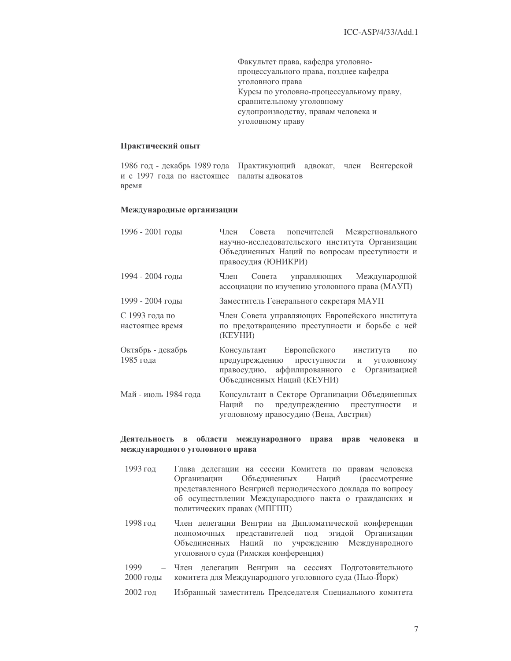Факультет права, кафедра уголовнопроцессуального права, позднее кафедра уголовного права Курсы по уголовно-процессуальному праву, сравнительному уголовному судопроизводству, правам человека и уголовному праву

# Практический опыт

1986 год - декабрь 1989 года Практикующий адвокат, член Венгерской и с 1997 года по настоящее палаты адвокатов время

# Международные организации

| 1996 - 2001 годы                  | Член Совета попечителей Межрегионального<br>научно-исследовательского института Организации<br>Объединенных Наций по вопросам преступности и<br>правосудия (ЮНИКРИ)                             |
|-----------------------------------|-------------------------------------------------------------------------------------------------------------------------------------------------------------------------------------------------|
| 1994 - 2004 годы                  | Международной<br>Член<br>Совета<br>управляющих<br>ассоциации по изучению уголовного права (МАУП)                                                                                                |
| 1999 - 2004 годы                  | Заместитель Генерального секретаря МАУП                                                                                                                                                         |
| С 1993 года по<br>настоящее время | Член Совета управляющих Европейского института<br>по предотвращению преступности и борьбе с ней<br>(KEYHIA)                                                                                     |
| Октябрь - декабрь<br>1985 года    | Консультант Европейского<br>института<br>$\Pi 0$<br>предупреждению преступности<br>уголовному<br>И<br>правосудию, аффилированного<br>Организацией<br>$\mathbf{c}$<br>Объединенных Наций (КЕУНИ) |
| Май - июль 1984 года              | Консультант в Секторе Организации Объединенных<br>Наций<br>предупреждению преступности<br>ПО<br>И<br>уголовному правосудию (Вена, Австрия)                                                      |

# Деятельность в области международного права прав человека и международного уголовного права

- 1993 год Глава делегации на сессии Комитета по правам человека Организации Объединенных Наций (рассмотрение представленного Венгрией периодического доклада по вопросу об осуществлении Международного пакта о гражданских и политических правах (МПГПП)
- 1998 год Член делегации Венгрии на Дипломатической конференции полномочных представителей под эгидой Организации Объединенных Наций по учреждению Международного уголовного суда (Римская конференция)
- 1999 Член делегации Венгрии на сессиях Подготовительного  $\equiv$ 2000 голы комитета для Международного уголовного суда (Нью-Йорк)
- 2002 год Избранный заместитель Председателя Специального комитета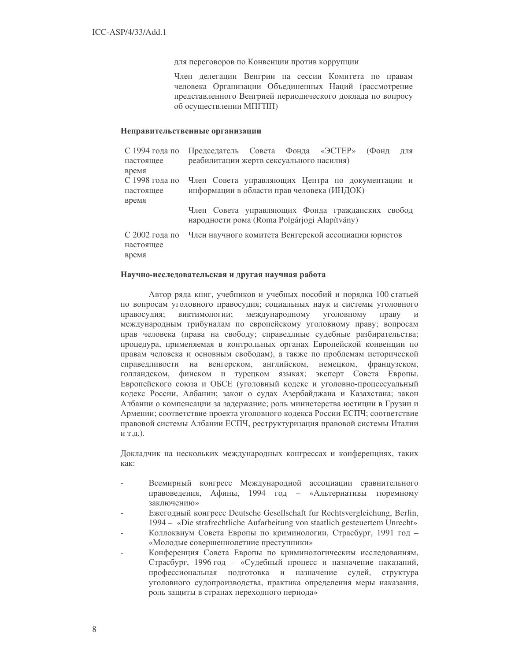для переговоров по Конвенции против коррупции

Член делегации Венгрии на сессии Комитета по правам человека Организации Объединенных Наций (рассмотрение представленного Венгрией периодического доклада по вопросу об осуществлении МПГПП)

### Неправительственные организации

| С 1994 года по                                | Председатель Совета Фонда «ЭСТЕР»<br>(Фонд<br>ДЛЯ                                                |  |  |  |  |  |  |
|-----------------------------------------------|--------------------------------------------------------------------------------------------------|--|--|--|--|--|--|
| настоящее                                     | реабилитации жертв сексуального насилия)                                                         |  |  |  |  |  |  |
| время<br>С 1998 года по<br>настоящее<br>время | Член Совета управляющих Центра по документации и<br>информации в области прав человека (ИНДОК)   |  |  |  |  |  |  |
|                                               | Член Совета управляющих Фонда гражданских свобод<br>народности рома (Roma Polgárjogi Alapítvány) |  |  |  |  |  |  |
| С 2002 года по<br>настоящее<br>время          | Член научного комитета Венгерской ассоциации юристов                                             |  |  |  |  |  |  |

### Научно-исследовательская и другая научная работа

Автор ряда книг, учебников и учебных пособий и порядка 100 статьей по вопросам уголовного правосудия; социальных наук и системы уголовного виктимологии; международному уголовному правосудия; праву  $\,$  M международным трибуналам по европейскому уголовному праву; вопросам прав человека (права на свободу; справедлиые судебные разбирательства; процедура, применяемая в контрольных органах Европейской конвенции по правам человека и основным свободам), а также по проблемам исторической справелливости на венгерском, английском, немецком, французском, голландском, финском и турецком языках; эксперт Совета Европы, Европейского союза и ОБСЕ (уголовный кодекс и уголовно-процессуальный кодекс России, Албании; закон о судах Азербайджана и Казахстана; закон Албании о компенсации за задержание; роль министерства юстиции в Грузии и Армении; соответствие проекта уголовного кодекса России ЕСПЧ; соответствие правовой системы Албании ЕСПЧ, реструктуризация правовой системы Италии ит.д.).

Докладчик на нескольких международных конгрессах и конференциях, таких как:

- Всемирный конгресс Международной ассоциации сравнительного правоведения, Афины, 1994 год - «Альтернативы тюремному заключению»
- Ежегодный конгресс Deutsche Gesellschaft fur Rechtsvergleichung, Berlin, 1994 – «Die strafrechtliche Aufarbeitung von staatlich gesteuertem Unrecht»
- Коллоквиум Совета Европы по криминологии, Страсбург, 1991 год -«Молодые совершеннолетние преступники»
- Конференция Совета Европы по криминологическим исследованиям, Страсбург, 1996 год - «Судебный процесс и назначение наказаний, профессиональная подготовка и назначение судей, структура уголовного судопроизводства, практика определения меры наказания, роль защиты в странах переходного периода»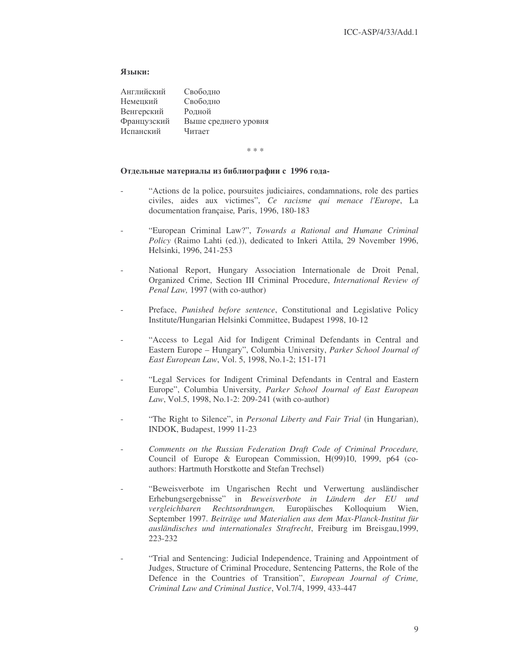# Языки:

| Английский  | Свободно             |
|-------------|----------------------|
| Немецкий    | Свободно             |
| Венгерский  | Родной               |
| Французский | Выше среднего уровня |
| Испанский   | Читает               |

\* \* \*

# Отдельные материалы из библиографии с 1996 года-

- "Actions de la police, poursuites judiciaires, condamnations, role des parties civiles, aides aux victimes", *Ce racisme qui menace l'Europe*, La documentation française*,* Paris, 1996, 180-183
- "European Criminal Law?", *Towards a Rational and Humane Criminal Policy* (Raimo Lahti (ed.)), dedicated to Inkeri Attila, 29 November 1996, Helsinki, 1996, 241-253
- National Report, Hungary Association Internationale de Droit Penal, Organized Crime, Section III Criminal Procedure, *International Review of Penal Law,* 1997 (with co-author)
- Preface, *Punished before sentence*, Constitutional and Legislative Policy Institute/Hungarian Helsinki Committee, Budapest 1998, 10-12
- "Access to Legal Aid for Indigent Criminal Defendants in Central and Eastern Europe – Hungary", Columbia University, *Parker School Journal of East European Law*, Vol. 5, 1998, No.1-2; 151-171
- "Legal Services for Indigent Criminal Defendants in Central and Eastern Europe", Columbia University*, Parker School Journal of East European Law*, Vol.5, 1998, No.1-2: 209-241 (with co-author)
- "The Right to Silence", in *Personal Liberty and Fair Trial* (in Hungarian), INDOK, Budapest, 1999 11-23
- *Comments on the Russian Federation Draft Code of Criminal Procedure,* Council of Europe & European Commission, H(99)10, 1999, p64 (coauthors: Hartmuth Horstkotte and Stefan Trechsel)
- "Beweisverbote im Ungarischen Recht und Verwertung ausländischer Erhebungsergebnisse" in *Beweisverbote in Ländern der EU und vergleichbaren Rechtsordnungen,* Europäisches Kolloquium Wien, September 1997. *Beiträge und Materialien aus dem Max-Planck-Institut für ausländisches und internationales Strafrecht*, Freiburg im Breisgau,1999, 223-232
- "Trial and Sentencing: Judicial Independence, Training and Appointment of Judges, Structure of Criminal Procedure, Sentencing Patterns, the Role of the Defence in the Countries of Transition", *European Journal of Crime, Criminal Law and Criminal Justice*, Vol.7/4, 1999, 433-447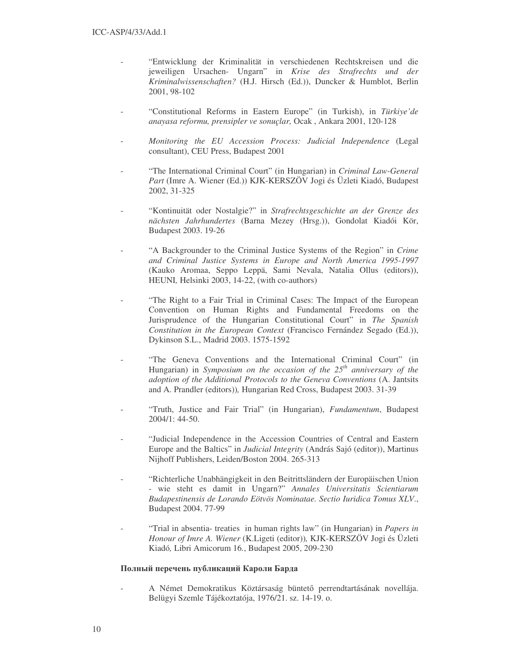- "Entwicklung der Kriminalität in verschiedenen Rechtskreisen und die jeweiligen Ursachen- Ungarn" in *Krise des Strafrechts und der Kriminalwissenschaften?* (H.J. Hirsch (Ed.)), Duncker & Humblot, Berlin 2001, 98-102
- "Constitutional Reforms in Eastern Europe" (in Turkish), in *Türkiye'de anayasa reformu, prensipler ve sonuçlar,* Ocak , Ankara 2001, 120-128
- *Monitoring the EU Accession Process: Judicial Independence* (Legal consultant), CEU Press, Budapest 2001
- "The International Criminal Court" (in Hungarian) in *Criminal Law-General Part* (Imre A. Wiener (Ed.)) KJK-KERSZÖV Jogi és Üzleti Kiadó, Budapest 2002, 31-325
- "Kontinuität oder Nostalgie?" in *Strafrechtsgeschichte an der Grenze des nächsten Jahrhundertes* (Barna Mezey (Hrsg.)), Gondolat Kiadói Kör, Budapest 2003. 19-26
- "A Backgrounder to the Criminal Justice Systems of the Region" in *Crime and Criminal Justice Systems in Europe and North America 1995-1997* (Kauko Aromaa, Seppo Leppä, Sami Nevala, Natalia Ollus (editors)), HEUNI*,* Helsinki 2003, 14-22, (with co-authors)
- "The Right to a Fair Trial in Criminal Cases: The Impact of the European Convention on Human Rights and Fundamental Freedoms on the Jurisprudence of the Hungarian Constitutional Court" in *The Spanish Constitution in the European Context* (Francisco Fernández Segado (Ed.)), Dykinson S.L., Madrid 2003. 1575-1592
- "The Geneva Conventions and the International Criminal Court" (in Hungarian) in *Symposium on the occasion of the 25 th anniversary of the adoption of the Additional Protocols to the Geneva Conventions* (A. Jantsits and A. Prandler (editors))*,* Hungarian Red Cross, Budapest 2003. 31-39
- "Truth, Justice and Fair Trial" (in Hungarian), *Fundamentum*, Budapest 2004/1: 44-50.
- "Judicial Independence in the Accession Countries of Central and Eastern Europe and the Baltics" in *Judicial Integrity* (András Sajó (editor)), Martinus Nijhoff Publishers, Leiden/Boston 2004. 265-313
- "Richterliche Unabhängigkeit in den Beitrittsländern der Europäischen Union - wie steht es damit in Ungarn?" *Annales Universitatis Scientiarum Budapestinensis de Lorando Eötvös Nominatae. Sectio Iuridica Tomus XLV*., Budapest 2004. 77-99
- "Trial in absentia- treaties in human rights law" (in Hungarian) in *Papers in Honour of Imre A. Wiener* (K.Ligeti (editor))*,* KJK-KERSZÖV Jogi és Üzleti Kiadó*,* Libri Amicorum 16*.*, Budapest 2005, 209-230

# Полный перечень публикаций Кароли Барда

A Német Demokratikus Köztársaság büntető perrendtartásának novellája. Belügyi Szemle Tájékoztatója, 1976/21. sz. 14-19. o.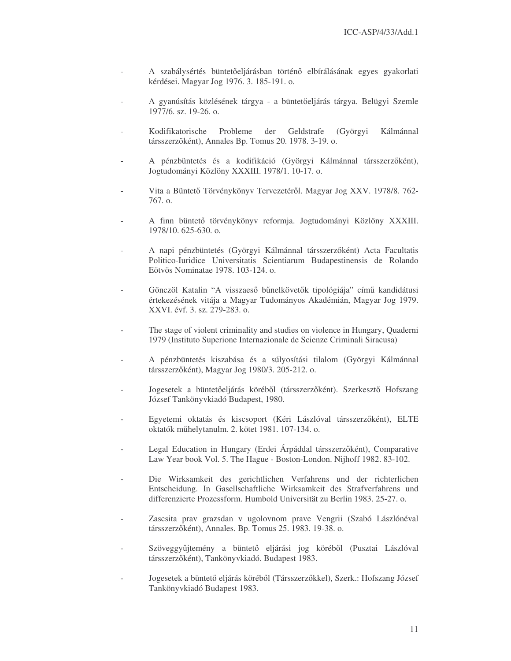- A szabálysértés büntetőeljárásban történő elbírálásának egyes gyakorlati kérdései. Magyar Jog 1976. 3. 185-191. o.
- A gyanúsítás közlésének tárgya a büntetőeljárás tárgya. Belügyi Szemle 1977/6. sz. 19-26. o.
- Kodifikatorische Probleme der Geldstrafe (Györgyi Kálmánnal társszerzõként), Annales Bp. Tomus 20. 1978. 3-19. o.
- A pénzbüntetés és a kodifikáció (Györgyi Kálmánnal társszerzőként), Jogtudományi Közlöny XXXIII. 1978/1. 10-17. o.
- Vita a Büntető Törvénykönyv Tervezetéről. Magyar Jog XXV. 1978/8. 762-767. o.
- A finn büntető törvénykönyv reformja. Jogtudományi Közlöny XXXIII. 1978/10. 625-630. o.
- A napi pénzbüntetés (Györgyi Kálmánnal társszerzőként) Acta Facultatis Politico-Iuridice Universitatis Scientiarum Budapestinensis de Rolando Eötvös Nominatae 1978. 103-124. o.
- Gönczöl Katalin "A visszaeső bűnelkövetők tipológiája" című kandidátusi értekezésének vitája a Magyar Tudományos Akadémián, Magyar Jog 1979. XXVI. évf. 3. sz. 279-283. o.
- The stage of violent criminality and studies on violence in Hungary, Quaderni 1979 (Instituto Superione Internazionale de Scienze Criminali Siracusa)
- A pénzbüntetés kiszabása és a súlyosítási tilalom (Györgyi Kálmánnal társszerzőként), Magyar Jog 1980/3. 205-212. o.
- Jogesetek a büntetőeljárás köréből (társszerzőként). Szerkesztő Hofszang József Tankönyvkiadó Budapest, 1980.
- Egyetemi oktatás és kiscsoport (Kéri Lászlóval társszerzőként), ELTE oktatók műhelytanulm. 2. kötet 1981. 107-134. o.
- Legal Education in Hungary (Erdei Árpáddal társszerzőként), Comparative Law Year book Vol. 5. The Hague - Boston-London. Nijhoff 1982. 83-102.
- Die Wirksamkeit des gerichtlichen Verfahrens und der richterlichen Entscheidung. In Gasellschaftliche Wirksamkeit des Strafverfahrens und differenzierte Prozessform. Humbold Universität zu Berlin 1983. 25-27. o.
- Zascsita prav grazsdan v ugolovnom prave Vengrii (Szabó Lászlónéval társszerzőként), Annales. Bp. Tomus 25. 1983. 19-38. o.
- Szöveggyűjtemény a büntető eljárási jog köréből (Pusztai Lászlóval társszerzőként), Tankönyvkiadó. Budapest 1983.
- Jogesetek a büntető eljárás köréből (Társszerzőkkel), Szerk.: Hofszang József Tankönyvkiadó Budapest 1983.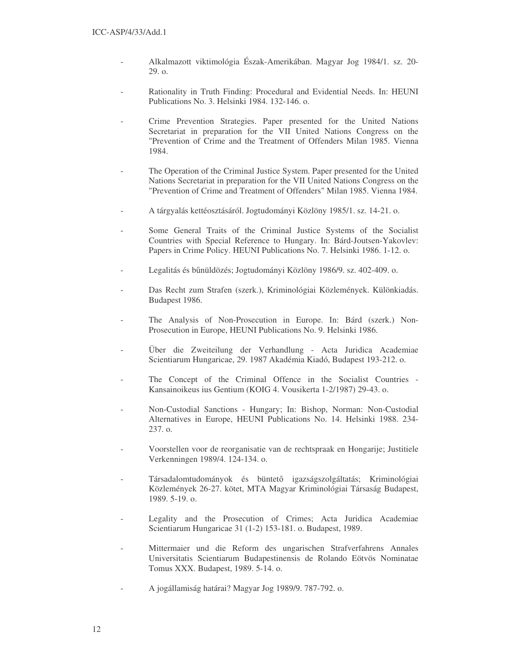- Alkalmazott viktimológia Észak-Amerikában. Magyar Jog 1984/1. sz. 20- 29. o.
- Rationality in Truth Finding: Procedural and Evidential Needs. In: HEUNI Publications No. 3. Helsinki 1984. 132-146. o.
- Crime Prevention Strategies. Paper presented for the United Nations Secretariat in preparation for the VII United Nations Congress on the "Prevention of Crime and the Treatment of Offenders Milan 1985. Vienna 1984.
- The Operation of the Criminal Justice System. Paper presented for the United Nations Secretariat in preparation for the VII United Nations Congress on the "Prevention of Crime and Treatment of Offenders" Milan 1985. Vienna 1984.
- A tárgyalás kettéosztásáról. Jogtudományi Közlöny 1985/1. sz. 14-21. o.
- Some General Traits of the Criminal Justice Systems of the Socialist Countries with Special Reference to Hungary. In: Bárd-Joutsen-Yakovlev: Papers in Crime Policy. HEUNI Publications No. 7. Helsinki 1986. 1-12. o.
- Legalitás és bűnüldözés; Jogtudományi Közlöny 1986/9. sz. 402-409. o.
- Das Recht zum Strafen (szerk.), Kriminológiai Közlemények. Különkiadás. Budapest 1986.
- The Analysis of Non-Prosecution in Europe. In: Bárd (szerk.) Non-Prosecution in Europe, HEUNI Publications No. 9. Helsinki 1986.
- Über die Zweiteilung der Verhandlung Acta Juridica Academiae Scientiarum Hungaricae, 29. 1987 Akadémia Kiadó, Budapest 193-212. o.
- The Concept of the Criminal Offence in the Socialist Countries -Kansainoikeus ius Gentium (KOIG 4. Vousikerta 1-2/1987) 29-43. o.
- Non-Custodial Sanctions Hungary; In: Bishop, Norman: Non-Custodial Alternatives in Europe, HEUNI Publications No. 14. Helsinki 1988. 234- 237. o.
- Voorstellen voor de reorganisatie van de rechtspraak en Hongarije; Justitiele Verkenningen 1989/4. 124-134. o.
- Társadalomtudományok és büntető igazságszolgáltatás; Kriminológiai Közlemények 26-27. kötet, MTA Magyar Kriminológiai Társaság Budapest, 1989. 5-19. o.
- Legality and the Prosecution of Crimes; Acta Juridica Academiae Scientiarum Hungaricae 31 (1-2) 153-181. o. Budapest, 1989.
- Mittermaier und die Reform des ungarischen Strafverfahrens Annales Universitatis Scientiarum Budapestinensis de Rolando Eötvös Nominatae Tomus XXX. Budapest, 1989. 5-14. o.
- A jogállamiság határai? Magyar Jog 1989/9. 787-792. o.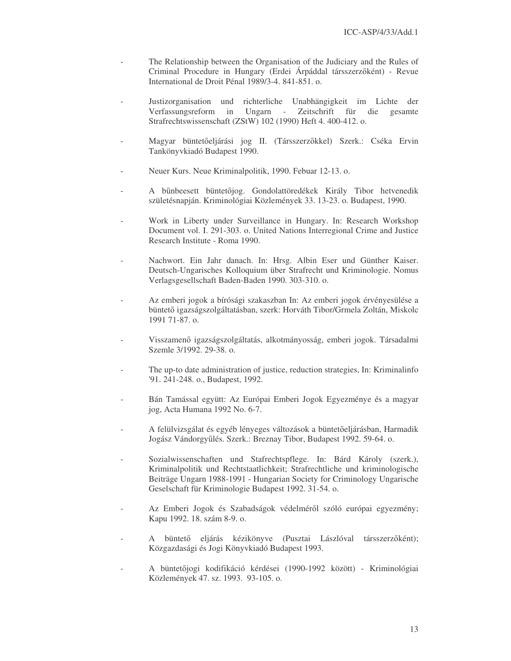- The Relationship between the Organisation of the Judiciary and the Rules of Criminal Procedure in Hungary (Erdei Árpáddal társszerzőként) - Revue International de Droit Pénal 1989/3-4. 841-851. o.
- Justizorganisation und richterliche Unabhängigkeit im Lichte der Verfassungsreform in Ungarn - Zeitschrift für die gesamte Strafrechtswissenschaft (ZStW) 102 (1990) Heft 4. 400-412. o.
- Magyar büntetőeljárási jog II. (Társszerzőkkel) Szerk.: Cséka Ervin Tankönyvkiadó Budapest 1990.
- Neuer Kurs. Neue Kriminalpolitik, 1990. Febuar 12-13. o.
- A bűnbeesett büntetőjog. Gondolattöredékek Király Tibor hetvenedik születésnapján. Kriminológiai Közlemények 33. 13-23. o. Budapest, 1990.
- Work in Liberty under Surveillance in Hungary. In: Research Workshop Document vol. I. 291-303. o. United Nations Interregional Crime and Justice Research Institute - Roma 1990.
- Nachwort. Ein Jahr danach. In: Hrsg. Albin Eser und Günther Kaiser. Deutsch-Ungarisches Kolloquium über Strafrecht und Kriminologie. Nomus Verlagsgesellschaft Baden-Baden 1990. 303-310. o.
- Az emberi jogok a bírósági szakaszban In: Az emberi jogok érvényesülése a büntető igazságszolgáltatásban, szerk: Horváth Tibor/Grmela Zoltán, Miskolc 1991 71-87. o.
- Visszamenő igazságszolgáltatás, alkotmányosság, emberi jogok. Társadalmi Szemle 3/1992. 29-38. o.
- The up-to date administration of justice, reduction strategies, In: Kriminalinfo '91. 241-248. o., Budapest, 1992.
- Bán Tamással együtt: Az Európai Emberi Jogok Egyezménye és a magyar jog, Acta Humana 1992 No. 6-7.
- A felülvizsgálat és egyéb lényeges változások a büntetőeljárásban, Harmadik Jogász Vándorgyűlés. Szerk.: Breznay Tibor, Budapest 1992. 59-64. o.
- Sozialwissenschaften und Stafrechtspflege. In: Bárd Károly (szerk.), Kriminalpolitik und Rechtstaatlichkeit; Strafrechtliche und kriminologische Beiträge Ungarn 1988-1991 - Hungarian Society for Criminology Ungarische Geselschaft für Kriminologie Budapest 1992. 31-54. o.
- Az Emberi Jogok és Szabadságok védelméről szóló európai egyezmény; Kapu 1992. 18. szám 8-9. o.
- A büntető eljárás kézikönyve (Pusztai Lászlóval társszerzőként); Közgazdasági és Jogi Könyvkiadó Budapest 1993.
- A büntetőjogi kodifikáció kérdései (1990-1992 között) Kriminológiai Közlemények 47. sz. 1993. 93-105. o.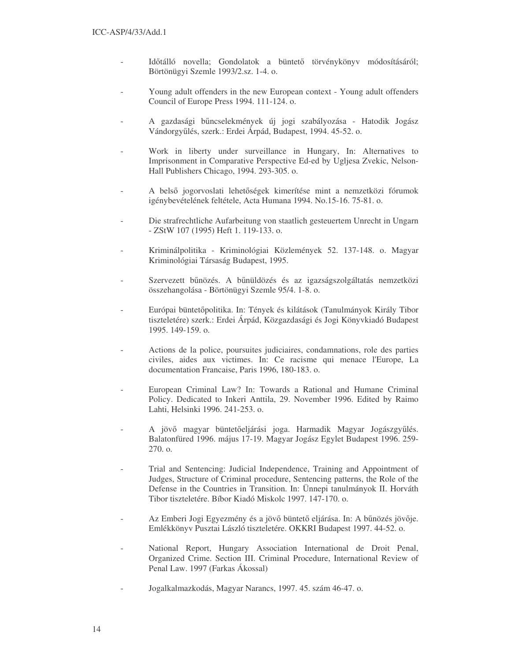- Időtálló novella; Gondolatok a büntető törvénykönyv módosításáról; Börtönügyi Szemle 1993/2.sz. 1-4. o.
- Young adult offenders in the new European context Young adult offenders Council of Europe Press 1994. 111-124. o.
- A gazdasági bűncselekmények új jogi szabályozása Hatodik Jogász Vándorgyűlés, szerk.: Erdei Árpád, Budapest, 1994. 45-52. o.
- Work in liberty under surveillance in Hungary, In: Alternatives to Imprisonment in Comparative Perspective Ed-ed by Ugljesa Zvekic, Nelson-Hall Publishers Chicago, 1994. 293-305. o.
- A belső jogorvoslati lehetőségek kimerítése mint a nemzetközi fórumok igénybevételének feltétele, Acta Humana 1994. No.15-16. 75-81. o.
- Die strafrechtliche Aufarbeitung von staatlich gesteuertem Unrecht in Ungarn - ZStW 107 (1995) Heft 1. 119-133. o.
- Kriminálpolitika Kriminológiai Közlemények 52. 137-148. o. Magyar Kriminológiai Társaság Budapest, 1995.
- Szervezett bűnözés. A bűnüldözés és az igazságszolgáltatás nemzetközi összehangolása - Börtönügyi Szemle 95/4. 1-8. o.
- Európai büntetőpolitika. In: Tények és kilátások (Tanulmányok Király Tibor tiszteletére) szerk.: Erdei Árpád, Közgazdasági és Jogi Könyvkiadó Budapest 1995. 149-159. o.
- Actions de la police, poursuites judiciaires, condamnations, role des parties civiles, aides aux victimes. In: Ce racisme qui menace l'Europe, La documentation Francaise, Paris 1996, 180-183. o.
- European Criminal Law? In: Towards a Rational and Humane Criminal Policy. Dedicated to Inkeri Anttila, 29. November 1996. Edited by Raimo Lahti, Helsinki 1996. 241-253. o.
- A jövő magyar büntetőeljárási joga. Harmadik Magyar Jogászgyűlés. Balatonfüred 1996. május 17-19. Magyar Jogász Egylet Budapest 1996. 259- 270. o.
- Trial and Sentencing: Judicial Independence, Training and Appointment of Judges, Structure of Criminal procedure, Sentencing patterns, the Role of the Defense in the Countries in Transition. In: Ünnepi tanulmányok II. Horváth Tibor tiszteletére. Bíbor Kiadó Miskolc 1997. 147-170. o.
- Az Emberi Jogi Egyezmény és a jövő büntető eljárása. In: A bűnözés jövője. Emlékkönyv Pusztai László tiszteletére. OKKRI Budapest 1997. 44-52. o.
- National Report, Hungary Association International de Droit Penal, Organized Crime. Section III. Criminal Procedure, International Review of Penal Law. 1997 (Farkas Ákossal)
- Jogalkalmazkodás, Magyar Narancs, 1997. 45. szám 46-47. o.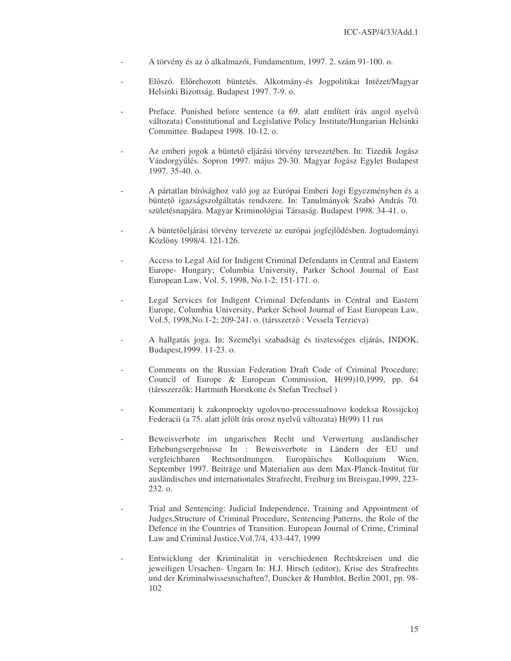- A törvény és az ő alkalmazói, Fundamentum, 1997. 2. szám 91-100. o.
- Előszó. Előrehozott büntetés. Alkotmány-és Jogpolitikai Intézet/Magyar Helsinki Bizottság. Budapest 1997. 7-9. o.
- Preface. Punished before sentence (a 69. alatt említett írás angol nyelvű változata) Constitutional and Legislative Policy Institute/Hungarian Helsinki Committee. Budapest 1998. 10-12. o.
- Az emberi jogok a büntető eljárási törvény tervezetében. In: Tizedik Jogász Vándorgyűlés. Sopron 1997. május 29-30. Magyar Jogász Egylet Budapest 1997. 35-40. o.
- A pártatlan bírósághoz való jog az Európai Emberi Jogi Egyezményben és a büntető igazságszolgáltatás rendszere. In: Tanulmányok Szabó András 70. születésnapjára. Magyar Kriminológiai Társaság. Budapest 1998. 34-41. o.
- A büntetőeljárási törvény tervezete az európai jogfejlődésben. Jogtudományi Közlöny 1998/4. 121-126.
- Access to Legal Aid for Indigent Criminal Defendants in Central and Eastern Europe- Hungary; Columbia University, Parker School Journal of East European Law, Vol. 5, 1998, No.1-2; 151-171. o.
- Legal Services for Indigent Criminal Defendants in Central and Eastern Europe, Columbia University, Parker School Journal of East European Law, Vol.5, 1998, No.1-2; 209-241. o. (társszerző: Vessela Terzieva)
- A hallgatás joga. In: Személyi szabadság és tisztességes eljárás, INDOK, Budapest,1999. 11-23. o.
- Comments on the Russian Federation Draft Code of Criminal Procedure; Council of Europe & European Commission, H(99)10,1999, pp. 64 (társszerzők: Hartmuth Horstkotte és Stefan Trechsel)
- Kommentarij k zakonproekty ugolovno-processualnovo kodeksa Rossijckoj Federacii (a 75. alatt jelölt írás orosz nyelvű változata) H(99) 11 rus
- Beweisverbote im ungarischen Recht und Verwertung ausländischer Erhebungsergebnisse In : Beweisverbote in Ländern der EU und vergleichbaren Rechtsordnungen. Europäisches Kolloquium Wien, September 1997. Beiträge und Materialien aus dem Max-Planck-Institut für ausländisches und internationales Strafrecht, Freiburg im Breisgau,1999, 223- 232. o.
- Trial and Sentencing: Judicial Independence, Training and Appointment of Judges,Structure of Criminal Procedure, Sentencing Patterns, the Role of the Defence in the Countries of Transition. European Journal of Crime, Criminal Law and Criminal Justice,Vol.7/4, 433-447, 1999
- Entwicklung der Kriminalität in verschiedenen Rechtskreisen und die jeweiligen Ursachen- Ungarn In: H.J. Hirsch (editor), Krise des Strafrechts und der Kriminalwissesnschaften?, Duncker & Humblot, Berlin 2001, pp. 98- 102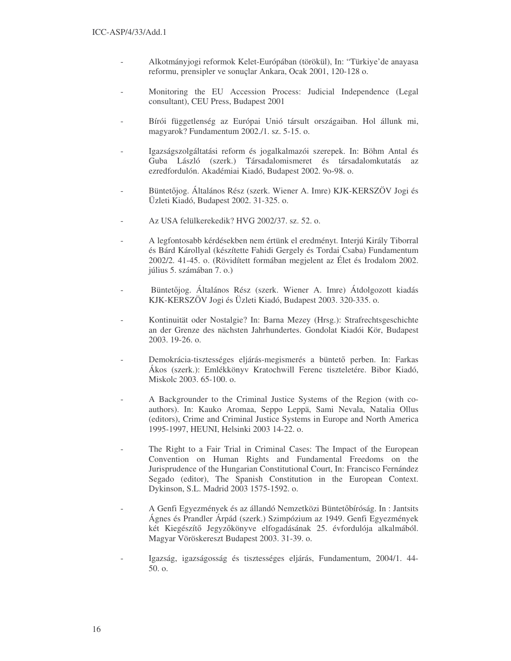- Alkotmányjogi reformok Kelet-Európában (törökül), In: "Türkiye'de anayasa reformu, prensipler ve sonuçlar Ankara, Ocak 2001, 120-128 o.
- Monitoring the EU Accession Process: Judicial Independence (Legal consultant), CEU Press, Budapest 2001
- Bírói függetlenség az Európai Unió társult országaiban. Hol állunk mi, magyarok? Fundamentum 2002./1. sz. 5-15. o.
- Igazságszolgáltatási reform és jogalkalmazói szerepek. In: Böhm Antal és Guba László (szerk.) Társadalomismeret és társadalomkutatás az ezredfordulón. Akadémiai Kiadó, Budapest 2002. 9o-98. o.
- Büntetőjog. Általános Rész (szerk. Wiener A. Imre) KJK-KERSZÖV Jogi és Üzleti Kiadó, Budapest 2002. 31-325. o.
- Az USA felülkerekedik? HVG 2002/37. sz. 52. o.
- A legfontosabb kérdésekben nem értünk el eredményt. Interjú Király Tiborral és Bárd Károllyal (készítette Fahidi Gergely és Tordai Csaba) Fundamentum 2002/2. 41-45. o. (Rövidített formában megjelent az Élet és Irodalom 2002. július 5. számában 7. o.)
- Büntetőjog. Általános Rész (szerk. Wiener A. Imre) Átdolgozott kiadás KJK-KERSZÖV Jogi és Üzleti Kiadó, Budapest 2003. 320-335. o.
- Kontinuität oder Nostalgie? In: Barna Mezey (Hrsg.): Strafrechtsgeschichte an der Grenze des nächsten Jahrhundertes. Gondolat Kiadói Kör, Budapest 2003. 19-26. o.
- Demokrácia-tisztességes eljárás-megismerés a büntető perben. In: Farkas Ákos (szerk.): Emlékkönyv Kratochwill Ferenc tiszteletére. Bibor Kiadó, Miskolc 2003. 65-100. o.
- A Backgrounder to the Criminal Justice Systems of the Region (with coauthors). In: Kauko Aromaa, Seppo Leppä, Sami Nevala, Natalia Ollus (editors), Crime and Criminal Justice Systems in Europe and North America 1995-1997, HEUNI, Helsinki 2003 14-22. o.
- The Right to a Fair Trial in Criminal Cases: The Impact of the European Convention on Human Rights and Fundamental Freedoms on the Jurisprudence of the Hungarian Constitutional Court, In: Francisco Fernández Segado (editor), The Spanish Constitution in the European Context. Dykinson, S.L. Madrid 2003 1575-1592. o.
- A Genfi Egyezmények és az állandó Nemzetközi Büntetőbíróság. In : Jantsits Ágnes és Prandler Árpád (szerk.) Szimpózium az 1949. Genfi Egyezmények két Kiegészítő Jegyzőkönyve elfogadásának 25. évfordulója alkalmából. Magyar Vöröskereszt Budapest 2003. 31-39. o.
- Igazság, igazságosság és tisztességes eljárás, Fundamentum, 2004/1. 44- 50. o.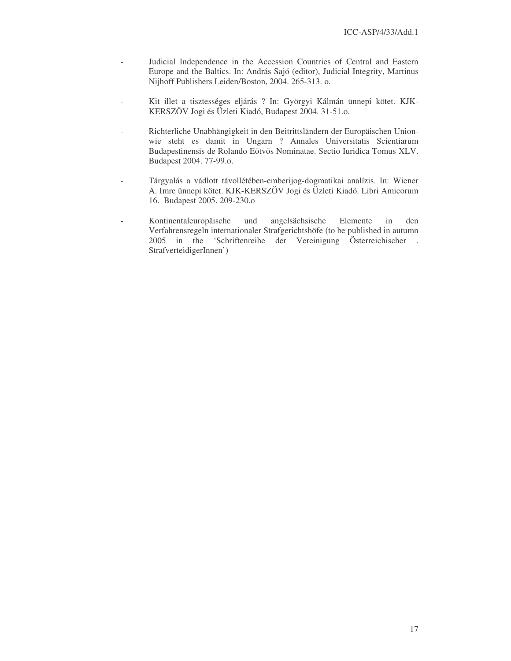- Judicial Independence in the Accession Countries of Central and Eastern Europe and the Baltics. In: András Sajó (editor), Judicial Integrity, Martinus Nijhoff Publishers Leiden/Boston, 2004. 265-313. o.
- Kit illet a tisztességes eljárás ? In: Györgyi Kálmán ünnepi kötet. KJK-KERSZÖV Jogi és Üzleti Kiadó, Budapest 2004. 31-51.o.
- Richterliche Unabhängigkeit in den Beitrittsländern der Europäischen Unionwie steht es damit in Ungarn ? Annales Universitatis Scientiarum Budapestinensis de Rolando Eötvös Nominatae. Sectio Iuridica Tomus XLV. Budapest 2004. 77-99.o.
- Tárgyalás a vádlott távollétében-emberijog-dogmatikai analízis. In: Wiener A. Imre ünnepi kötet. KJK-KERSZÖV Jogi és Üzleti Kiadó. Libri Amicorum 16. Budapest 2005. 209-230.o
- Kontinentaleuropäische und angelsächsische Elemente in den Verfahrensregeln internationaler Strafgerichtshöfe (to be published in autumn 2005 in the 'Schriftenreihe der Vereinigung Österreichischer . StrafverteidigerInnen')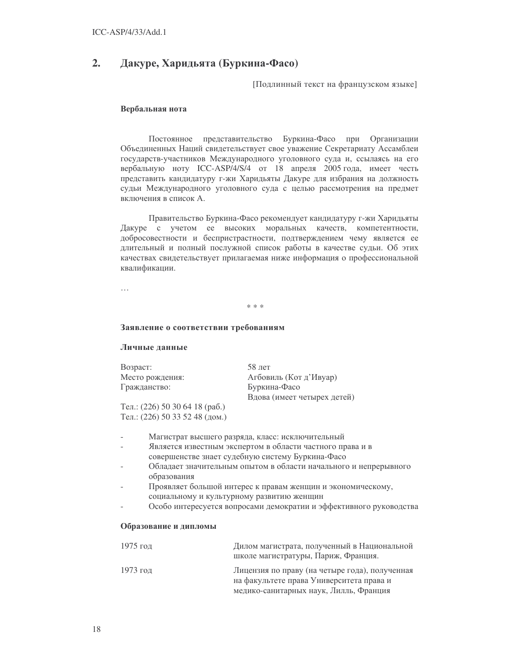#### $2.$ Дакуре, Харидьята (Буркина-Фасо)

[Подлинный текст на французском языке]

# Вербальная нота

Постоянное представительство Буркина-Фасо при Организации Объединенных Наций свидетельствует свое уважение Секретариату Ассамблеи государств-участников Международного уголовного суда и, ссылаясь на его вербальную ноту ICC-ASP/4/S/4 от 18 апреля 2005 года, имеет честь представить кандидатуру г-жи Харидьяты Дакуре для избрания на должность судьи Международного уголовного суда с целью рассмотрения на предмет включения в список А.

Правительство Буркина-Фасо рекомендует кандидатуру г-жи Харидьяты Дакуре с учетом ее высоких моральных качеств, компетентности, добросовестности и беспристрастности, подтверждением чему является ее длительный и полный послужной список работы в качестве судьи. Об этих качествах свидетельствует прилагаемая ниже информация о профессиональной квалификации.

 $\ddotsc$ 

 $* * *$ 

### Заявление о соответствии требованиям

### Личные данные

| Возраст:        | $58$ лет                    |
|-----------------|-----------------------------|
| Место рождения: | Агбовиль (Кот д'Ивуар)      |
| Гражданство:    | Буркина-Фасо                |
|                 | Вдова (имеет четырех детей) |
|                 |                             |

Тел.: (226) 50 30 64 18 (раб.) Тел.: (226) 50 33 52 48 (дом.)

- Магистрат высшего разряда, класс: исключительный
- Является известным экспертом в области частного права и в совершенстве знает судебную систему Буркина-Фасо
- Обладает значительным опытом в области начального и непрерывного образования
- Проявляет большой интерес к правам женщин и экономическому, социальному и культурному развитию женщин
- Особо интересуется вопросами демократии и эффективного руководства

#### Образование и дипломы

| 1975 год | Дилом магистрата, полученный в Национальной<br>школе магистратуры, Париж, Франция.                                                   |
|----------|--------------------------------------------------------------------------------------------------------------------------------------|
| 1973 год | Лицензия по праву (на четыре года), полученная<br>на факультете права Университета права и<br>медико-санитарных наук, Лилль, Франция |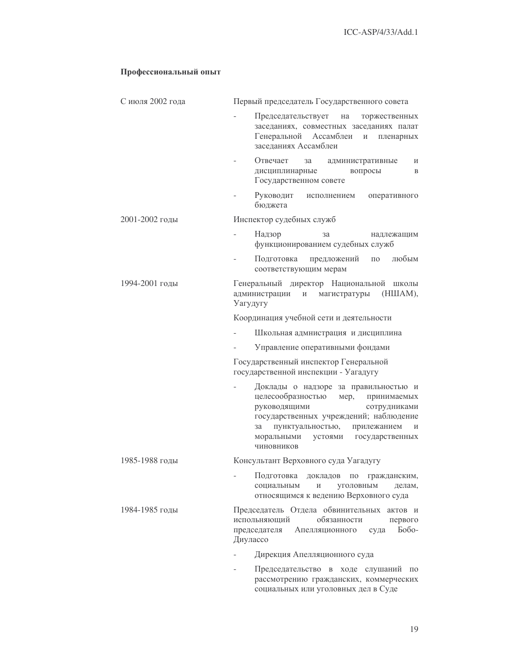# Профессиональный опыт

| С июля 2002 года | Первый председатель Государственного совета                                                                                                                                                                                                                        |  |  |  |
|------------------|--------------------------------------------------------------------------------------------------------------------------------------------------------------------------------------------------------------------------------------------------------------------|--|--|--|
|                  | Председательствует<br>на<br>торжественных<br>заседаниях, совместных заседаниях палат<br>Генеральной<br>Ассамблеи<br>И<br>пленарных<br>заседаниях Ассамблеи                                                                                                         |  |  |  |
|                  | Отвечает<br>за<br>административные<br>и<br>вопросы<br>дисциплинарные<br>B<br>Государственном совете                                                                                                                                                                |  |  |  |
|                  | Руководит<br>исполнением<br>оперативного<br>бюджета                                                                                                                                                                                                                |  |  |  |
| 2001-2002 годы   | Инспектор судебных служб                                                                                                                                                                                                                                           |  |  |  |
|                  | Надзор<br>за<br>надлежащим<br>функционированием судебных служб                                                                                                                                                                                                     |  |  |  |
|                  | предложений<br>Подготовка<br>любым<br>$\Pi$ O<br>соответствующим мерам                                                                                                                                                                                             |  |  |  |
| 1994-2001 годы   | Генеральный директор Национальной<br>ШКОЛЫ<br>(HIIIAM),<br>администрации<br>$\,$ $\,$ $\,$ $\,$<br>магистратуры<br>Уагудугу                                                                                                                                        |  |  |  |
|                  | Координация учебной сети и деятельности                                                                                                                                                                                                                            |  |  |  |
|                  | Школьная адмнистрация и дисциплина                                                                                                                                                                                                                                 |  |  |  |
|                  | Управление оперативными фондами                                                                                                                                                                                                                                    |  |  |  |
|                  | Государственный инспектор Генеральной<br>государственной инспекции - Уагадугу                                                                                                                                                                                      |  |  |  |
|                  | Доклады о надзоре за правильностью и<br>целесообразностью<br>мер,<br>принимаемых<br>руководящими<br>сотрудниками<br>государственных учреждений; наблюдение<br>пунктуальностью,<br>прилежанием<br>за<br>И<br>моральными<br>государственных<br>устоями<br>ЧИНОВНИКОВ |  |  |  |
| 1985-1988 годы   | Консультант Верховного суда Уагадугу                                                                                                                                                                                                                               |  |  |  |
|                  | Подготовка<br>докладов<br>$\Pi 0$<br>гражданским,<br>уголовным<br>социальным<br>И<br>делам,<br>относящимся к ведению Верховного суда                                                                                                                               |  |  |  |
| 1984-1985 годы   | Председатель Отдела обвинительных актов и<br>испольняющий<br>обязанности<br>первого<br>председателя<br>Бобо-<br>Апелляционного<br>суда<br>Диулассо                                                                                                                 |  |  |  |
|                  | Дирекция Апелляционного суда                                                                                                                                                                                                                                       |  |  |  |
|                  | Председательство в ходе слушаний<br>$\Pi 0$                                                                                                                                                                                                                        |  |  |  |

рассмотрению гражданских, коммерческих социальных или уголовных дел в Суде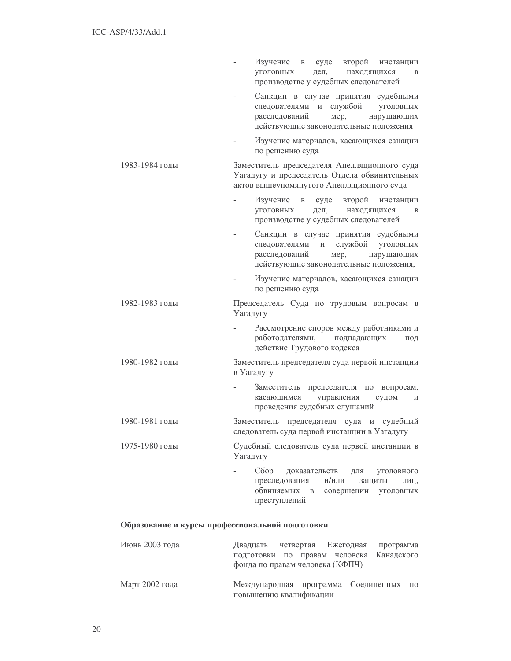|                | Изучение в<br>суде<br>второй инстанции<br>находящихся<br><b>VГОЛОВНЫХ</b><br>дел,<br>B<br>производстве у судебных следователей                                          |
|----------------|-------------------------------------------------------------------------------------------------------------------------------------------------------------------------|
|                | Санкции в случае принятия судебными<br>следователями и службой уголовных<br>расследований<br>нарушающих<br>мер,<br>действующие законодательные положения                |
|                | Изучение материалов, касающихся санации<br>по решению суда                                                                                                              |
| 1983-1984 годы | Заместитель председателя Апелляционного суда<br>Уагадугу и председатель Отдела обвинительных<br>актов вышеупомянутого Апелляционного суда                               |
|                | Изучение<br>второй<br>$\, {\bf B}$<br>суде<br>инстанции<br>уголовных<br>дел,<br>находящихся<br>B<br>производстве у судебных следователей                                |
|                | Санкции в случае принятия судебными<br>службой<br>следователями<br>И<br>уголовных<br>расследований<br>мер,<br>нарушающих<br>действующие законодательные положения,      |
|                | Изучение материалов, касающихся санации<br>по решению суда                                                                                                              |
| 1982-1983 годы | Председатель Суда по трудовым вопросам в<br>Уагадугу                                                                                                                    |
|                | Рассмотрение споров между работниками и<br>работодателями,<br>подпадающих<br>ПОД<br>действие Трудового кодекса                                                          |
| 1980-1982 годы | Заместитель председателя суда первой инстанции<br>в Уагадугу                                                                                                            |
|                | Заместитель председателя по вопросам,<br>управления<br>касающимся<br>судом<br>И<br>проведения судебных слушаний                                                         |
| 1980-1981 годы | Заместитель председателя суда и судебный<br>следователь суда первой инстанции в Уагадугу                                                                                |
| 1975-1980 годы | Судебный следователь суда первой инстанции в<br>Уагадугу                                                                                                                |
|                | $C\overline{o}$ op<br>доказательств<br>ДЛЯ<br>уголовного<br>преследования<br>и/или<br>защиты<br>ЛИЦ,<br>обвиняемых<br>$\,$ B<br>совершении<br>уголовных<br>преступлений |

# Образование и курсы профессиональной подготовки

| Июнь 2003 года | Двадцать четвертая Ежегодная программа<br>подготовки по правам человека Канадского<br>фонда по правам человека (КФПЧ) |  |  |  |
|----------------|-----------------------------------------------------------------------------------------------------------------------|--|--|--|
| Март 2002 года | Международная программа Соединенных по<br>повышению квалификации                                                      |  |  |  |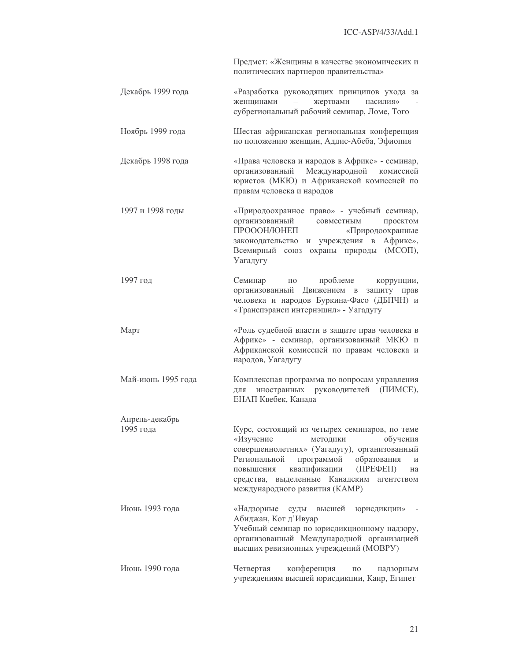Предмет: «Женщины в качестве экономических и политических партнеров правительства»

- Декабрь 1999 года «Разработка руководящих принципов ухода за жертвами женщинами  $\sim$ насилия» субрегиональный рабочий семинар, Ломе, Того
- Ноябрь 1999 года Шестая африканская региональная конференция по положению женщин, Аддис-Абеба, Эфиопия
- «Права человека и народов в Африке» семинар, Декабрь 1998 года Международной комиссией организованный юристов (МКЮ) и Африканской комиссией по правам человека и народов
- 1997 и 1998 годы «Природоохранное право» - учебный семинар, организованный совместным проектом ПРОООН/ЮНЕП «Природоохранные законодательство и учреждения в Африке», Всемирный союз охраны природы (МСОП), Уагадугу
	- 1997 год проблеме Семинар  $\Pi$ <sup>O</sup> коррупции, организованный Движением в защиту прав человека и народов Буркина-Фасо (ДБПЧН) и «Транспэранси интернэшнл» - Уагадугу
- «Роль судебной власти в защите прав человека в Март Африке» - семинар, организованный МКЮ и Африканской комиссией по правам человека и народов, Уагадугу
- Май-июнь 1995 года Комплексная программа по вопросам управления для иностранных руководителей (ПИМСЕ), ЕНАП Квебек, Канада
- Апрель-декабрь 1995 года Курс, состоящий из четырех семинаров, по теме «Изучение метолики обучения совершеннолетних» (Уагадугу), организованный Региональной программой образования повышения квалификации  $(IIPE\Phi EII)$ средства, выделенные Канадским агентством международного развития (КАМР)
	- Июнь 1993 гола «Надзорные суды высшей юрисдикции» Абиджан, Кот д'Ивуар Учебный семинар по юрисдикционному надзору, организованный Международной организацией высших ревизионных учреждений (МОВРУ) Июнь 1990 гола Четвертая конференция  $\Pi$ <sup>O</sup> надзорным
		- учреждениям высшей юрисдикции, Каир, Египет

 $\overline{M}$ 

на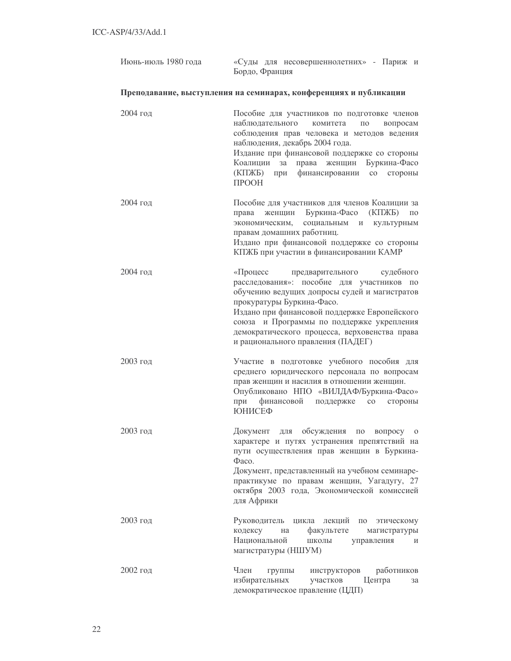| Июнь-июль 1980 года | «Суды для несовершеннолетних» - Париж и<br>Бордо, Франция                                                                                                                                                                                                                                                                                                          |  |  |
|---------------------|--------------------------------------------------------------------------------------------------------------------------------------------------------------------------------------------------------------------------------------------------------------------------------------------------------------------------------------------------------------------|--|--|
|                     | Преподавание, выступления на семинарах, конференциях и публикации                                                                                                                                                                                                                                                                                                  |  |  |
| 2004 год            | Пособие для участников по подготовке членов<br>наблюдательного<br>комитета<br>вопросам<br>ПО<br>соблюдения прав человека и методов ведения<br>наблюдения, декабрь 2004 года.<br>Издание при финансовой поддержке со стороны<br>права женщин Буркина-Фасо<br>Коалиции<br>за<br>$(K\Pi$ $K\bar{B})$<br>финансировании<br>при<br>$\rm{co}$<br>стороны<br><b>TPOOH</b> |  |  |
| $2004$ год          | Пособие для участников для членов Коалиции за<br>Буркина-Фасо (КПЖБ)<br>женщин<br>$\Pi 0$<br>права<br>экономическим,<br>социальным<br>$\mathbf{M}$<br>культурным<br>правам домашних работниц.<br>Издано при финансовой поддержке со стороны<br>КПЖБ при участии в финансировании КАМР                                                                              |  |  |
| 2004 год            | «Процесс предварительного<br>судебного<br>расследования»: пособие для участников по<br>обучению ведущих допросы судей и магистратов<br>прокуратуры Буркина-Фасо.<br>Издано при финансовой поддержке Европейского<br>союза и Программы по поддержке укрепления<br>демократического процесса, верховенства права<br>и рационального правления (ПАДЕГ)                |  |  |
| 2003 год            | Участие в подготовке учебного пособия для<br>среднего юридического персонала по вопросам<br>прав женщин и насилия в отношении женщин.<br>Опубликовано НПО «ВИЛДАФ/Буркина-Фасо»<br>при<br>финансовой поддержке<br>$\rm{co}$<br>стороны<br>ЮНИСЕФ                                                                                                                   |  |  |
| 2003 год            | Документ для обсуждения по<br>вопросу о<br>характере и путях устранения препятствий на<br>пути осуществления прав женщин в Буркина-<br>$\Phi$ aco.<br>Документ, представленный на учебном семинаре-<br>практикуме по правам женщин, Уагадугу, 27<br>октября 2003 года, Экономической комиссией<br>для Африки                                                       |  |  |
| $2003$ год          | Руководитель<br>цикла<br>лекций<br>$\Pi$ O<br>этическому<br>факультете<br>кодексу<br>магистратуры<br>на<br>Национальной<br>ШКОЛЫ<br>управления<br>И<br>магистратуры (НШУМ)                                                                                                                                                                                         |  |  |
| 2002 год            | Член<br>работников<br>группы<br>инструкторов<br>избирательных<br>участков<br>Центра<br>за<br>демократическое правление (ЦДП)                                                                                                                                                                                                                                       |  |  |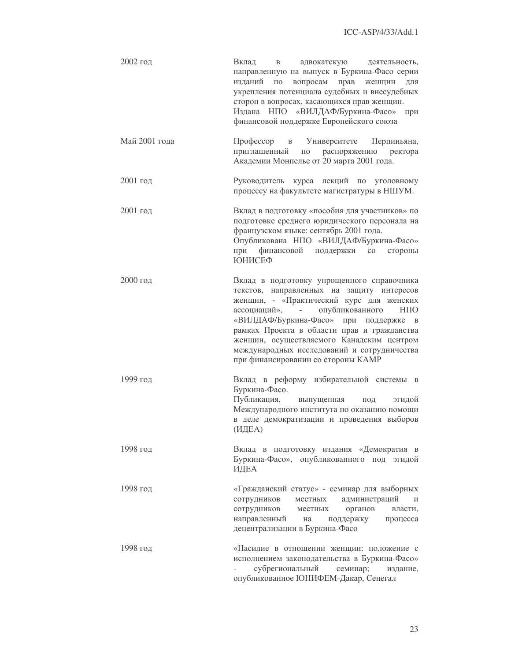| 2002 год      | Вклад<br>адвокатскую деятельность,<br>$\, {\bf B}$<br>направленную на выпуск в Буркина-Фасо серии<br>изданий<br>вопросам<br>прав<br>женщин<br>$\Pi 0$<br>ДЛЯ<br>укрепления потенциала судебных и внесудебных<br>сторон в вопросах, касающихся прав женщин.<br>Издана НПО «ВИЛДАФ/Буркина-Фасо»<br>при<br>финансовой поддержке Европейского союза                                                                        |
|---------------|-------------------------------------------------------------------------------------------------------------------------------------------------------------------------------------------------------------------------------------------------------------------------------------------------------------------------------------------------------------------------------------------------------------------------|
| Май 2001 года | Профессор<br>в Университете Перпиньяна,<br>приглашенный<br>по распоряжению ректора<br>Академии Монпелье от 20 марта 2001 года.                                                                                                                                                                                                                                                                                          |
| 2001 год      | Руководитель курса лекций по уголовному<br>процессу на факультете магистратуры в НШУМ.                                                                                                                                                                                                                                                                                                                                  |
| 2001 год      | Вклад в подготовку «пособия для участников» по<br>подготовке среднего юридического персонала на<br>французском языке: сентябрь 2001 года.<br>Опубликована НПО «ВИЛДАФ/Буркина-Фасо»<br>финансовой поддержки со стороны<br>при<br>ЮНИСЕФ                                                                                                                                                                                 |
| 2000 год      | Вклад в подготовку упрощенного справочника<br>текстов, направленных на защиту интересов<br>женщин, - «Практический курс для женских<br>опубликованного<br>ассоциаций», -<br>HПO<br>«ВИЛДАФ/Буркина-Фасо» при поддержке<br>$\mathbf{B}$<br>рамках Проекта в области прав и гражданства<br>женщин, осуществляемого Канадским центром<br>международных исследований и сотрудничества<br>при финансировании со стороны КАМР |
| 1999 год      | Вклад в реформу избирательной системы<br>$\overline{B}$<br>Буркина-Фасо.<br>Публикация,<br>выпущенная<br>эгидой<br>ПОД<br>Международного института по оказанию помощи<br>в деле демократизации и проведения выборов<br>(ИДЕА)                                                                                                                                                                                           |
| 1998 год      | Вклад в подготовку издания «Демократия в<br>Буркина-Фасо», опубликованного под эгидой<br>ИДЕА                                                                                                                                                                                                                                                                                                                           |
| 1998 год      | «Гражданский статус» - семинар для выборных<br>администраций<br>сотрудников<br>местных<br>И<br>сотрудников<br>органов<br>местных<br>власти,<br>направленный<br>поддержку<br>процесса<br>на<br>децентрализации в Буркина-Фасо                                                                                                                                                                                            |
| 1998 год      | «Насилие в отношении женщин: положение с<br>исполнением законодательства в Буркина-Фасо»<br>субрегиональный<br>семинар;<br>издание,<br>опубликованное ЮНИФЕМ-Дакар, Сенегал                                                                                                                                                                                                                                             |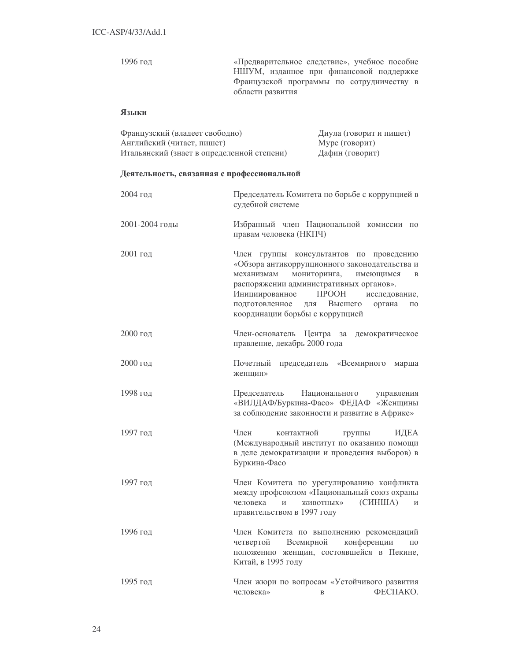«Предварительное следствие», учебное пособие 1996 год НШУМ, изданное при финансовой поддержке Французской программы по сотрудничеству в области развития

# Языки

| Французский (владеет свободно)             | Диула (говорит и пишет) |
|--------------------------------------------|-------------------------|
| Английский (читает, пишет)                 | Муре (говорит)          |
| Итальянский (знает в определенной степени) | Дафин (говорит)         |

# Деятельность, связанная с профессиональной

| 2004 год       | Председатель Комитета по борьбе с коррупцией в<br>судебной системе                                                                                                                                                                                                                                                                                        |
|----------------|-----------------------------------------------------------------------------------------------------------------------------------------------------------------------------------------------------------------------------------------------------------------------------------------------------------------------------------------------------------|
| 2001-2004 годы | Избранный член Национальной комиссии по<br>правам человека (НКПЧ)                                                                                                                                                                                                                                                                                         |
| 2001 год       | Член группы консультантов по проведению<br>«Обзора антикоррупционного законодательства и<br>мониторинга,<br>механизмам<br>имеющимся<br>$\mathbf{B}$<br>распоряжении административных органов».<br><b>TIPOOH</b><br>Инициированное<br>исследование,<br>подготовленное<br>Высшего<br>ДЛЯ<br>органа<br>$\Pi$ <sup>O</sup><br>координации борьбы с коррупцией |
| 2000 год       | Член-основатель<br>Центра<br>демократическое<br>за<br>правление, декабрь 2000 года                                                                                                                                                                                                                                                                        |
| 2000 год       | председатель<br>«Всемирного<br>Почетный<br>марша<br>женщин»                                                                                                                                                                                                                                                                                               |
| 1998 год       | Национального<br>Председатель<br>управления<br>«ВИЛДАФ/Буркина-Фасо» ФЕДАФ «Женщины<br>за соблюдение законности и развитие в Африке»                                                                                                                                                                                                                      |
| 1997 год       | Член<br>контактной<br>ИДЕА<br>группы<br>(Международный институт по оказанию помощи<br>в деле демократизации и проведения выборов) в<br>Буркина-Фасо                                                                                                                                                                                                       |
| 1997 год       | Член Комитета по урегулированию конфликта<br>между профсоюзом «Национальный союз охраны<br>(CHHIIIA)<br>человека<br>$\overline{M}$<br>ЖИВОТНЫХ»<br>$\mathbf{M}$<br>правительством в 1997 году                                                                                                                                                             |
| 1996 год       | Член Комитета по выполнению рекомендаций<br>конференции<br>четвертой<br>Всемирной<br>$\Pi$ <sup>O</sup><br>положению женщин, состоявшейся в Пекине,<br>Китай, в 1995 году                                                                                                                                                                                 |
| 1995 год       | Член жюри по вопросам «Устойчивого развития<br>ФЕСПАКО.<br>человека»<br>B                                                                                                                                                                                                                                                                                 |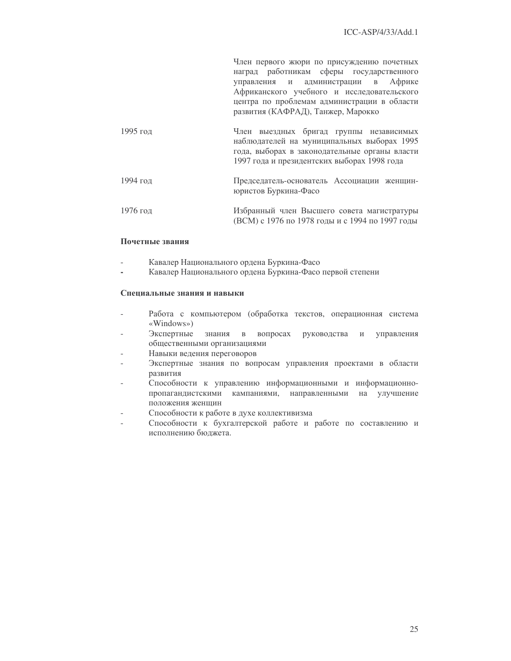Член первого жюри по присуждению почетных наград работникам сферы государственного управления и администрации в Африке Африканского учебного и исследовательского центра по проблемам администрации в области развития (КАФРАД), Танжер, Марокко

| 1995 год | Член выездных бригад группы независимых<br>наблюдателей на муниципальных выборах 1995         |
|----------|-----------------------------------------------------------------------------------------------|
|          | года, выборах в законодательные органы власти<br>1997 года и президентских выборах 1998 года  |
| 1994 год | Председатель-основатель Ассоциации женщин-<br>юристов Буркина-Фасо                            |
| 1976 год | Избранный член Высшего совета магистратуры<br>(ВСМ) с 1976 по 1978 годы и с 1994 по 1997 годы |

# Почетные звания

- Кавалер Национального ордена Буркина-Фасо
- Кавалер Национального ордена Буркина-Фасо первой степени ÷.

# Специальные знания и навыки

- Работа с компьютером (обработка текстов, операционная система  $\overline{a}$  $\langle$ Windows»)
- Экспертные знания в вопросах руководства и управления общественными организациями
- Навыки ведения переговоров
- Экспертные знания по вопросам управления проектами в области развития
- Способности к управлению информационными и информационнопропагандистскими кампаниями, направленными на улучшение положения женшин
- Способности к работе в духе коллективизма
- Способности к бухгалтерской работе и работе по составлению и исполнению бюджета.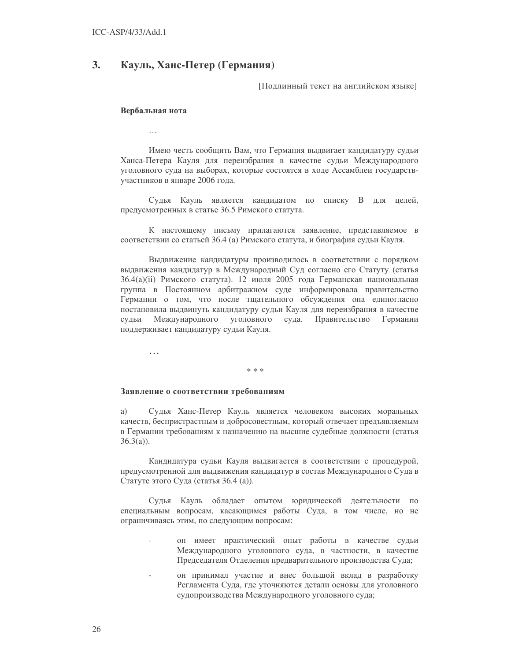#### 3. Кауль, Ханс-Петер (Германия)

Подлинный текст на английском языке]

#### Вербальная нота

 $\ddotsc$ 

Имею честь сообщить Вам, что Германия выдвигает кандидатуру судьи Ханса-Петера Кауля для переизбрания в качестве судьи Международного уголовного суда на выборах, которые состоятся в ходе Ассамблеи государствучастников в январе 2006 года.

Судья Кауль является кандидатом по списку В для целей, предусмотренных в статье 36.5 Римского статута.

К настоящему письму прилагаются заявление, представляемое в соответствии со статьей 36.4 (а) Римского статута, и биография судьи Кауля.

Выдвижение кандидатуры производилось в соответствии с порядком выдвижения кандидатур в Международный Суд согласно его Статуту (статья 36.4(a)(ii) Римского статута). 12 июля 2005 года Германская национальная группа в Постоянном арбитражном суде информировала правительство Германии о том, что после тщательного обсуждения она единогласно постановила выдвинуть кандидатуру судьи Кауля для переизбрания в качестве уголовного судьи Международного суда. Правительство Германии поддерживает кандидатуру судьи Кауля.

 $\cdots$ 

### $* * *$

# Заявление о соответствии требованиям

a) Судья Ханс-Петер Кауль является человеком высоких моральных качеств, беспристрастным и добросовестным, который отвечает предъявляемым в Германии требованиям к назначению на высшие судебные должности (статья  $36.3(a)$ ).

Кандидатура судьи Кауля выдвигается в соответствии с процедурой, предусмотренной для выдвижения кандидатур в состав Международного Суда в Статуте этого Суда (статья 36.4 (а)).

Судья Кауль обладает опытом юридической деятельности по специальным вопросам, касающимся работы Суда, в том числе, но не ограничиваясь этим, по следующим вопросам:

- он имеет практический опыт работы в качестве судьи Международного уголовного суда, в частности, в качестве Председателя Отделения предварительного производства Суда;
- он принимал участие и внес большой вклад в разработку Регламента Суда, где уточняются детали основы для уголовного судопроизводства Международного уголовного суда;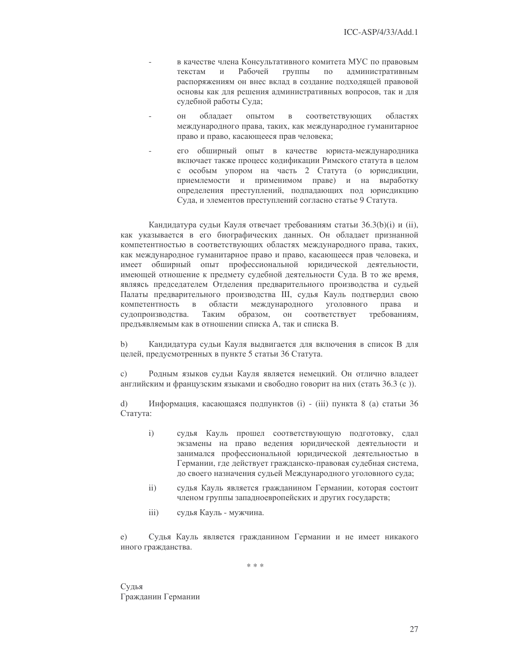- в качестве члена Консультативного комитета МУС по правовым Рабочей группы текстам  $\overline{M}$  $\Pi{\rm O}$ административным распоряжениям он внес вклад в создание подходящей правовой основы как для решения административных вопросов, так и для судебной работы Суда;
- облалает  $O<sub>H</sub>$ опытом  $\mathbf{B}$ соответствующих областях международного права, таких, как международное гуманитарное право и право, касающееся прав человека;
- его обширный опыт в качестве юриста-международника включает также процесс кодификации Римского статута в целом с особым упором на часть 2 Статута (о юрисдикции, приемлемости и применимом праве) и на выработку определения преступлений, подпадающих под юрисдикцию Суда, и элементов преступлений согласно статье 9 Статута.

Кандидатура судьи Кауля отвечает требованиям статьи 36.3(b)(i) и (ii), как указывается в его биографических данных. Он обладает признанной компетентностью в соответствующих областях международного права, таких, как международное гуманитарное право и право, касающееся прав человека, и имеет обширный опыт профессиональной юридической деятельности, имеющей отношение к предмету судебной деятельности Суда. В то же время, являясь председателем Отделения предварительного производства и судьей Палаты предварительного производства III, судья Кауль подтвердил свою компетентность  $\, {\bf B}$ области международного уголовного права  $\overline{M}$ Таким образом, OH соответствует судопроизводства. требованиям, предъявляемым как в отношении списка А, так и списка В.

 $b)$ Кандидатура судьи Кауля выдвигается для включения в список В для целей, предусмотренных в пункте 5 статьи 36 Статута.

Родным языков судьи Кауля является немецкий. Он отлично владеет  $\mathcal{C}$ ) английским и французским языками и свободно говорит на них (стать 36.3 (с)).

 $\mathbf{d}$ Информация, касающаяся подпунктов (i) - (iii) пункта 8 (а) статьи 36 Статута:

- $\mathbf{i}$ судья Кауль прошел соответствующую подготовку, сдал экзамены на право ведения юридической деятельности и занимался профессиональной юридической деятельностью в Германии, где действует гражданско-правовая судебная система, до своего назначения судьей Международного уголовного суда;
- $ii)$ судья Кауль является гражданином Германии, которая состоит членом группы западноевропейских и других государств;
- $\overline{iii}$ судья Кауль - мужчина.

Судья Кауль является гражданином Германии и не имеет никакого  $e)$ иного гражданства.

 $*$   $*$ 

Судья Гражданин Германии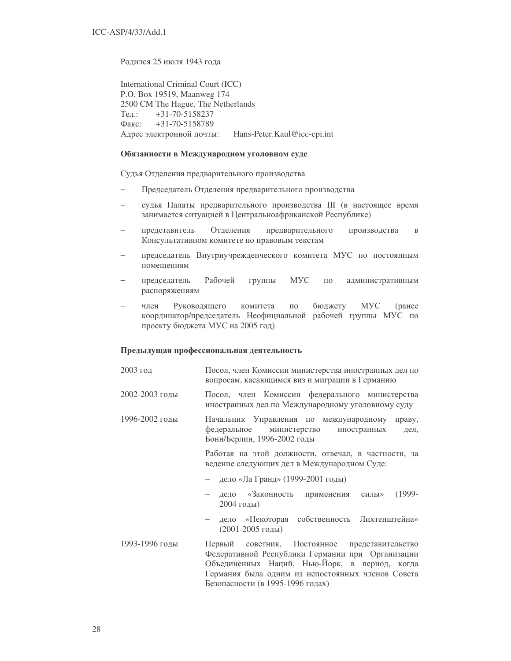Ролился 25 июля 1943 гола

International Criminal Court (ICC) P.O. Box 19519, Maanweg 174 2500 CM The Hague, The Netherlands Ten.:  $+31-70-5158237$  $\Phi$ акс: +31-70-5158789 Адрес электронной почты: Hans-Peter.Kaul@icc-cpi.int

# Обязанности в Международном уголовном суде

Судья Отделения предварительного производства

- − Председатель Отделения предварительного производства
- судья Палаты предварительного производства III (в настоящее время занимается ситуацией в Центральноафриканской Республике)
- − представитель Отделения предварительного ного производства в Консультативном комитете по правовым текстам
- председатель Внутриучрежденческого комитета МУС по постоянным помешениям
- председатель Рабочей группы МУС по административным распоряжениям
- член Руководящего комитета по бюджету МУС (ранее координатор/председатель Неофициальной рабочей группы МУС по проекту бюджета МУС на 2005 год)

# Предыдущая профессиональная деятельность

- 2003 год Посол, член Комиссии министерства иностранных дел по вопросам, касающимся виз и миграции в Германию
- 2002-2003 годы Посол, член Комиссии федерального министерства иностранных дел по Международному уголовному суду
- 1996-2002 голы ник Управления по международному праву, *федеральное* министерство иностранных дел, Бонн/Берлин, 1996-2002 годы

Работая на этой должности, отвечал, в частности, за ведение следующих дел в Международном Суде:

- − дело «Ла Гранд» (1999-2001 годы)
- лело «Законность применения силы» (1999-2004  )
- дело «Некоторая собственность Лихтенштейна» (2001-2005 годы)
- 1993-1996 голы Первый советник, Постоянное ительство Федеративной Республики Германии при Организации Объединенных Наций, Нью-Йорк, в период, когда Германия была одним из непостоянных членов Совета Безопасности (в 1995-1996 годах)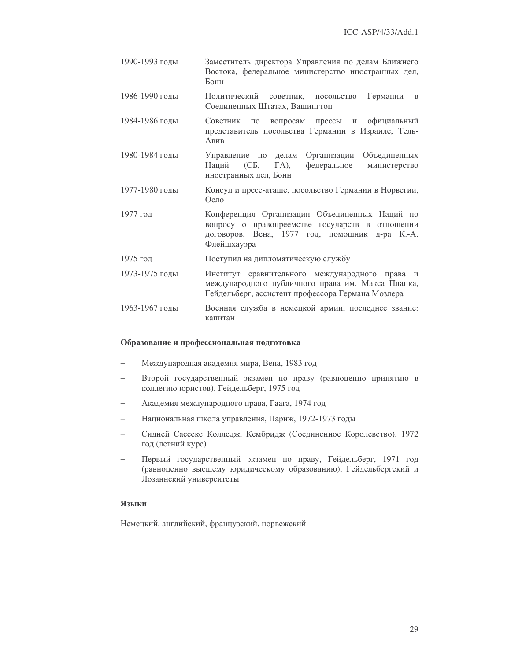- 1990-1993 голы Заместитель директора Управления по делам Ближнего Востока, федеральное министерство иностранных дел, Бонн
- 1986-1990 годы Политический советник, посольство Германии  $\overline{R}$ Соелиненных Штатах, Вашингтон
- 1984-1986 годы Советник по вопросам прессы и официальный представитель посольства Германии в Израиле, Тель-Авив
- 1980-1984 годы Управление по делам Организации Объединенных Напий федеральное  $(CE,$  $\Gamma$ A), министерство иностранных дел, Бонн
- 1977-1980 голы Консул и пресс-аташе, посольство Германии в Норвегии, Осло
- Конференция Организации Объединенных Наций по 1977 год вопросу о правопреемстве государств в отношении договоров, Вена, 1977 год, помощник д-ра К.-А. Флейшхауэра
- 1975 год Поступил на дипломатическую службу
- 1973-1975 голы Институт сравнительного международного права и международного публичного права им. Макса Планка, Гейдельберг, ассистент профессора Германа Мозлера
- Военная служба в немецкой армии, последнее звание: 1963-1967 годы капитан

#### Образование и профессиональная подготовка

- Международная академия мира, Вена, 1983 год
- Второй государственный экзамен по праву (равноценно принятию в коллегию юристов), Гейдельберг, 1975 год
- Академия международного права, Гаага, 1974 год
- Национальная школа управления, Париж, 1972-1973 годы
- $\equiv$ Сидней Сассекс Колледж, Кембридж (Соединенное Королевство), 1972 год (летний курс)
- Первый государственный экзамен по праву, Гейдельберг, 1971 год (равноценно высшему юридическому образованию), Гейдельбергский и Лозаннский университеты

# Языки

Немецкий, английский, французский, норвежский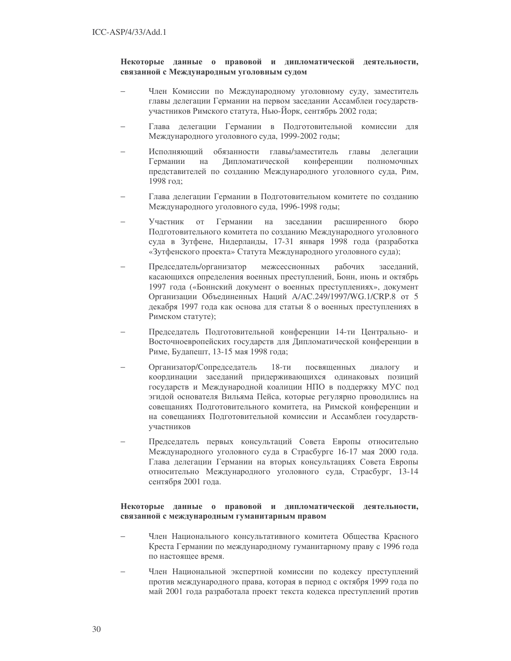# Некоторые данные о правовой и дипломатической деятельности, связанной с Международным уголовным судом

- Член Комиссии по Международному уголовному суду, заместитель главы делегации Германии на первом заседании Ассамблеи государствучастников Римского статута, Нью-Йорк, сентябрь 2002 года;
- Глава делегации Германии в Подготовительной комиссии для Международного уголовного суда, 1999-2002 годы;
- Исполняющий обязанности главы/заместитель главы делегации Дипломатической Германии на конференции ПОЛНОМОЧНЫХ представителей по созданию Международного уголовного суда, Рим, 1998 год:
- Глава делегации Германии в Подготовительном комитете по созданию Международного уголовного суда, 1996-1998 годы;
- Участник Германии **OT** на заседании расширенного бюро Подготовительного комитета по созданию Международного уголовного суда в Зутфене, Нидерланды, 17-31 января 1998 года (разработка «Зутфенского проекта» Статута Международного уголовного суда);
- Председатель/организатор межсессионных рабочих заседаний, касающихся определения военных преступлений, Бонн, июнь и октябрь 1997 года («Боннский документ о военных преступлениях», документ Организации Объединенных Наций A/AC.249/1997/WG.1/CRP.8 от 5 декабря 1997 года как основа для статьи 8 о военных преступлениях в Римском статуте);
- Председатель Подготовительной конференции 14-ти Центрально- и Восточноевропейских государств для Дипломатической конференции в Риме, Будапешт, 13-15 мая 1998 года;
- Организатор/Сопредседатель 18-ти посвященных диалогу  $\overline{M}$ координации заседаний придерживающихся одинаковых позиций государств и Международной коалиции НПО в поддержку МУС под эгидой основателя Вильяма Пейса, которые регулярно проводились на совещаниях Подготовительного комитета, на Римской конференции и на совещаниях Подготовительной комиссии и Ассамблеи государствучастников
- Председатель первых консультаций Совета Европы относительно Международного уголовного суда в Страсбурге 16-17 мая 2000 года. Глава делегации Германии на вторых консультациях Совета Европы относительно Международного уголовного суда, Страсбург, 13-14 сентября 2001 года.

# Некоторые данные о правовой и дипломатической деятельности, связанной с международным гуманитарным правом

- Член Национального консультативного комитета Общества Красного Креста Германии по международному гуманитарному праву с 1996 года по настоящее время.
- Член Национальной экспертной комиссии по кодексу преступлений против международного права, которая в период с октября 1999 года по май 2001 года разработала проект текста кодекса преступлений против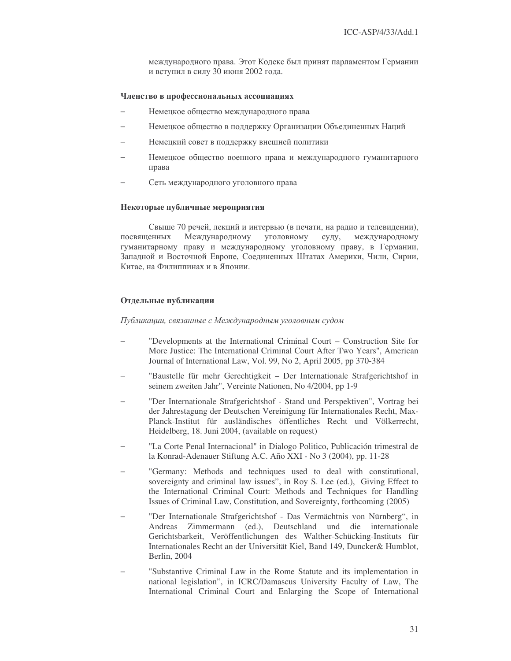международного права. Этот Кодекс был принят парламентом Германии и вступил в силу 30 июня 2002 года.

# Членство в профессиональных ассоциациях

- − Немецкое общество международного права
- Немецкое общество в поддержку Организации Объединенных Наций
- − Немецкий совет в поддержку внешней политики
- Немецкое общество военного права и международного гуманитарного права
- − Сеть международного уголовного права

### Некоторые публичные мероприятия

Свыше 70 речей, лекций и интервью (в печати, на радио и телевидении), посвяшенных Международному уголовному суду, международному гуманитарному праву и международному уголовному праву, в Германии, Западной и Восточной Европе, Соединенных Штатах Америки, Чили, Сирии, Китае, на Филиппинах и в Японии.

# Отдельные публикации

Публикации, связанные с Международным уголовным судом

- − "Developments at the International Criminal Court Construction Site for More Justice: The International Criminal Court After Two Years", American Journal of International Law, Vol. 99, No 2, April 2005, pp 370-384
- − "Baustelle für mehr Gerechtigkeit Der Internationale Strafgerichtshof in seinem zweiten Jahr", Vereinte Nationen, No 4/2004, pp 1-9
- − "Der Internationale Strafgerichtshof Stand und Perspektiven", Vortrag bei der Jahrestagung der Deutschen Vereinigung für Internationales Recht, Max-Planck-Institut für ausländisches öffentliches Recht und Völkerrecht, Heidelberg, 18. Juni 2004, (available on request)
- − "La Corte Penal Internacional" in Dialogo Politico, Publicación trimestral de la Konrad-Adenauer Stiftung A.C. Año XXI - No 3 (2004), pp. 11-28
- − "Germany: Methods and techniques used to deal with constitutional, sovereignty and criminal law issues", in Roy S. Lee (ed.), Giving Effect to the International Criminal Court: Methods and Techniques for Handling Issues of Criminal Law, Constitution, and Sovereignty, forthcoming (2005)
- − "Der Internationale Strafgerichtshof Das Vermächtnis von Nürnberg", in Andreas Zimmermann (ed.), Deutschland und die internationale Gerichtsbarkeit, Veröffentlichungen des Walther-Schücking-Instituts für Internationales Recht an der Universität Kiel, Band 149, Duncker& Humblot, Berlin, 2004
- "Substantive Criminal Law in the Rome Statute and its implementation in national legislation", in ICRC/Damascus University Faculty of Law, The International Criminal Court and Enlarging the Scope of International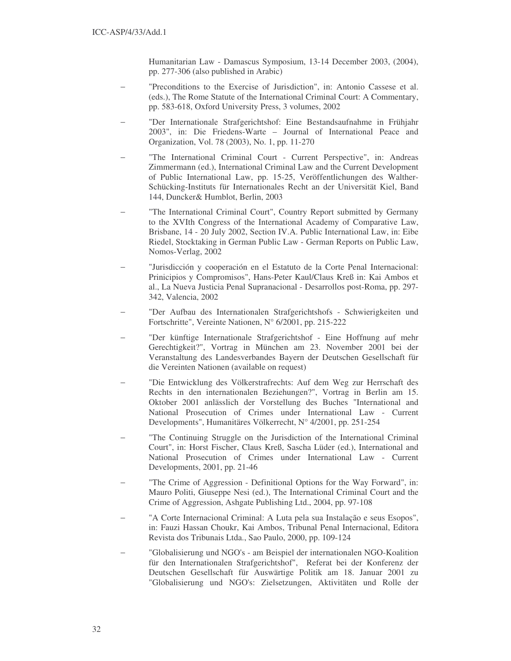Humanitarian Law - Damascus Symposium, 13-14 December 2003, (2004), pp. 277-306 (also published in Arabic)

- "Preconditions to the Exercise of Jurisdiction", in: Antonio Cassese et al. (eds.), The Rome Statute of the International Criminal Court: A Commentary, pp. 583-618, Oxford University Press, 3 volumes, 2002
- − "Der Internationale Strafgerichtshof: Eine Bestandsaufnahme in Frühjahr 2003", in: Die Friedens-Warte – Journal of International Peace and Organization, Vol. 78 (2003), No. 1, pp. 11-270
- "The International Criminal Court Current Perspective", in: Andreas Zimmermann (ed.), International Criminal Law and the Current Development of Public International Law, pp. 15-25, Veröffentlichungen des Walther-Schücking-Instituts für Internationales Recht an der Universität Kiel, Band 144, Duncker& Humblot, Berlin, 2003
- "The International Criminal Court", Country Report submitted by Germany to the XVIth Congress of the International Academy of Comparative Law, Brisbane, 14 - 20 July 2002, Section IV.A. Public International Law, in: Eibe Riedel, Stocktaking in German Public Law - German Reports on Public Law, Nomos-Verlag, 2002
- − "Jurisdicción y cooperación en el Estatuto de la Corte Penal Internacional: Prinicipios y Compromisos", Hans-Peter Kaul/Claus Kreß in: Kai Ambos et al., La Nueva Justicia Penal Supranacional - Desarrollos post-Roma, pp. 297- 342, Valencia, 2002
- − "Der Aufbau des Internationalen Strafgerichtshofs Schwierigkeiten und Fortschritte", Vereinte Nationen, N° 6/2001, pp. 215-222
- − "Der künftige Internationale Strafgerichtshof Eine Hoffnung auf mehr Gerechtigkeit?", Vortrag in München am 23. November 2001 bei der Veranstaltung des Landesverbandes Bayern der Deutschen Gesellschaft für die Vereinten Nationen (available on request)
- − "Die Entwicklung des Völkerstrafrechts: Auf dem Weg zur Herrschaft des Rechts in den internationalen Beziehungen?", Vortrag in Berlin am 15. Oktober 2001 anlässlich der Vorstellung des Buches "International and National Prosecution of Crimes under International Law - Current Developments", Humanitäres Völkerrecht, N° 4/2001, pp. 251-254
- "The Continuing Struggle on the Jurisdiction of the International Criminal Court", in: Horst Fischer, Claus Kreß, Sascha Lüder (ed.), International and National Prosecution of Crimes under International Law - Current Developments, 2001, pp. 21-46
- "The Crime of Aggression Definitional Options for the Way Forward", in: Mauro Politi, Giuseppe Nesi (ed.), The International Criminal Court and the Crime of Aggression, Ashgate Publishing Ltd., 2004, pp. 97-108
- − "A Corte Internacional Criminal: A Luta pela sua Instalação e seus Esopos", in: Fauzi Hassan Choukr, Kai Ambos, Tribunal Penal Internacional, Editora Revista dos Tribunais Ltda., Sao Paulo, 2000, pp. 109-124
- − "Globalisierung und NGO's am Beispiel der internationalen NGO-Koalition für den Internationalen Strafgerichtshof", Referat bei der Konferenz der Deutschen Gesellschaft für Auswärtige Politik am 18. Januar 2001 zu "Globalisierung und NGO's: Zielsetzungen, Aktivitäten und Rolle der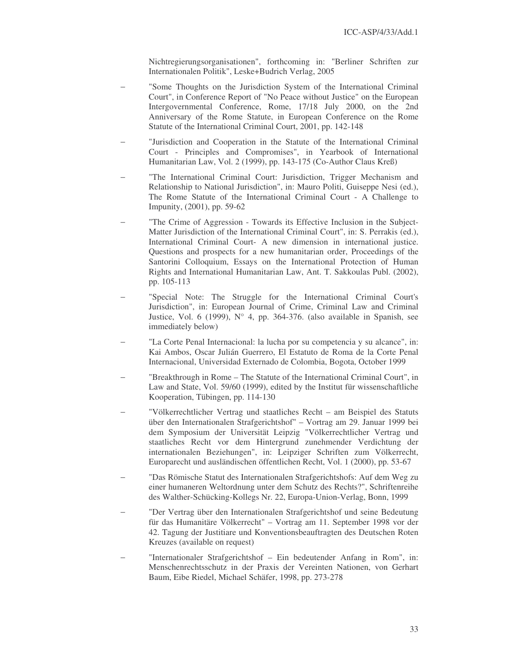Nichtregierungsorganisationen", forthcoming in: "Berliner Schriften zur Internationalen Politik", Leske+Budrich Verlag, 2005

- "Some Thoughts on the Jurisdiction System of the International Criminal Court", in Conference Report of "No Peace without Justice" on the European Intergovernmental Conference, Rome, 17/18 July 2000, on the 2nd Anniversary of the Rome Statute, in European Conference on the Rome Statute of the International Criminal Court, 2001, pp. 142-148
- − "Jurisdiction and Cooperation in the Statute of the International Criminal Court - Principles and Compromises", in Yearbook of International Humanitarian Law, Vol. 2 (1999), pp. 143-175 (Co-Author Claus Kreß)
- "The International Criminal Court: Jurisdiction, Trigger Mechanism and Relationship to National Jurisdiction", in: Mauro Politi, Guiseppe Nesi (ed.), The Rome Statute of the International Criminal Court - A Challenge to Impunity, (2001), pp. 59-62
- − "The Crime of Aggression Towards its Effective Inclusion in the Subject-Matter Jurisdiction of the International Criminal Court", in: S. Perrakis (ed.), International Criminal Court- A new dimension in international justice. Questions and prospects for a new humanitarian order, Proceedings of the Santorini Colloquium, Essays on the International Protection of Human Rights and International Humanitarian Law, Ant. T. Sakkoulas Publ. (2002), pp. 105-113
- − "Special Note: The Struggle for the International Criminal Court's Jurisdiction", in: European Journal of Crime, Criminal Law and Criminal Justice, Vol. 6 (1999),  $N^{\circ}$  4, pp. 364-376. (also available in Spanish, see immediately below)
- − "La Corte Penal Internacional: la lucha por su competencia y su alcance", in: Kai Ambos, Oscar Julián Guerrero, El Estatuto de Roma de la Corte Penal Internacional, Universidad Externado de Colombia, Bogota, October 1999
- "Breakthrough in Rome The Statute of the International Criminal Court", in Law and State, Vol. 59/60 (1999), edited by the Institut für wissenschaftliche Kooperation, Tübingen, pp. 114-130
- − "Völkerrechtlicher Vertrag und staatliches Recht am Beispiel des Statuts über den Internationalen Strafgerichtshof" – Vortrag am 29. Januar 1999 bei dem Symposium der Universität Leipzig "Völkerrechtlicher Vertrag und staatliches Recht vor dem Hintergrund zunehmender Verdichtung der internationalen Beziehungen", in: Leipziger Schriften zum Völkerrecht, Europarecht und ausländischen öffentlichen Recht, Vol. 1 (2000), pp. 53-67
- − "Das Römische Statut des Internationalen Strafgerichtshofs: Auf dem Weg zu einer humaneren Weltordnung unter dem Schutz des Rechts?", Schriftenreihe des Walther-Schücking-Kollegs Nr. 22, Europa-Union-Verlag, Bonn, 1999
- − "Der Vertrag über den Internationalen Strafgerichtshof und seine Bedeutung für das Humanitäre Völkerrecht" – Vortrag am 11. September 1998 vor der 42. Tagung der Justitiare und Konventionsbeauftragten des Deutschen Roten Kreuzes (available on request)
- − "Internationaler Strafgerichtshof Ein bedeutender Anfang in Rom", in: Menschenrechtsschutz in der Praxis der Vereinten Nationen, von Gerhart Baum, Eibe Riedel, Michael Schäfer, 1998, pp. 273-278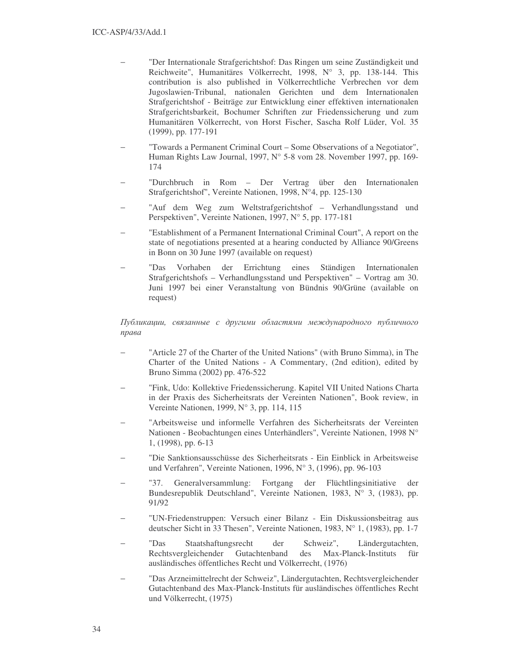- − "Der Internationale Strafgerichtshof: Das Ringen um seine Zuständigkeit und Reichweite", Humanitäres Völkerrecht, 1998, N° 3, pp. 138-144. This contribution is also published in Völkerrechtliche Verbrechen vor dem Jugoslawien-Tribunal, nationalen Gerichten und dem Internationalen Strafgerichtshof - Beiträge zur Entwicklung einer effektiven internationalen Strafgerichtsbarkeit, Bochumer Schriften zur Friedenssicherung und zum Humanitären Völkerrecht, von Horst Fischer, Sascha Rolf Lüder, Vol. 35 (1999), pp. 177-191
- "Towards a Permanent Criminal Court Some Observations of a Negotiator", Human Rights Law Journal, 1997, N° 5-8 vom 28. November 1997, pp. 169- 174
- − "Durchbruch in Rom Der Vertrag über den Internationalen Strafgerichtshof", Vereinte Nationen, 1998, N°4, pp. 125-130
- − "Auf dem Weg zum Weltstrafgerichtshof Verhandlungsstand und Perspektiven", Vereinte Nationen, 1997, N° 5, pp. 177-181
- "Establishment of a Permanent International Criminal Court", A report on the state of negotiations presented at a hearing conducted by Alliance 90/Greens in Bonn on 30 June 1997 (available on request)
- − "Das Vorhaben der Errichtung eines Ständigen Internationalen Strafgerichtshofs – Verhandlungsstand und Perspektiven" – Vortrag am 30. Juni 1997 bei einer Veranstaltung von Bündnis 90/Grüne (available on request)

Публикации, связанные с другими областями международного публичного права

- "Article 27 of the Charter of the United Nations" (with Bruno Simma), in The Charter of the United Nations - A Commentary, (2nd edition), edited by Bruno Simma (2002) pp. 476-522
- − "Fink, Udo: Kollektive Friedenssicherung. Kapitel VII United Nations Charta in der Praxis des Sicherheitsrats der Vereinten Nationen", Book review, in Vereinte Nationen, 1999, N° 3, pp. 114, 115
- − "Arbeitsweise und informelle Verfahren des Sicherheitsrats der Vereinten Nationen - Beobachtungen eines Unterhändlers", Vereinte Nationen, 1998 N° 1, (1998), pp. 6-13
- − "Die Sanktionsausschüsse des Sicherheitsrats Ein Einblick in Arbeitsweise und Verfahren", Vereinte Nationen, 1996, N° 3, (1996), pp. 96-103
- − "37. Generalversammlung: Fortgang der Flüchtlingsinitiative der Bundesrepublik Deutschland", Vereinte Nationen, 1983, N° 3, (1983), pp. 91/92
- − "UN-Friedenstruppen: Versuch einer Bilanz Ein Diskussionsbeitrag aus deutscher Sicht in 33 Thesen", Vereinte Nationen, 1983, N° 1, (1983), pp. 1-7
- − "Das Staatshaftungsrecht der Schweiz", Ländergutachten, Rechtsvergleichender Gutachtenband des Max-Planck-Instituts für ausländisches öffentliches Recht und Völkerrecht, (1976)
- − "Das Arzneimittelrecht der Schweiz", Ländergutachten, Rechtsvergleichender Gutachtenband des Max-Planck-Instituts für ausländisches öffentliches Recht und Völkerrecht, (1975)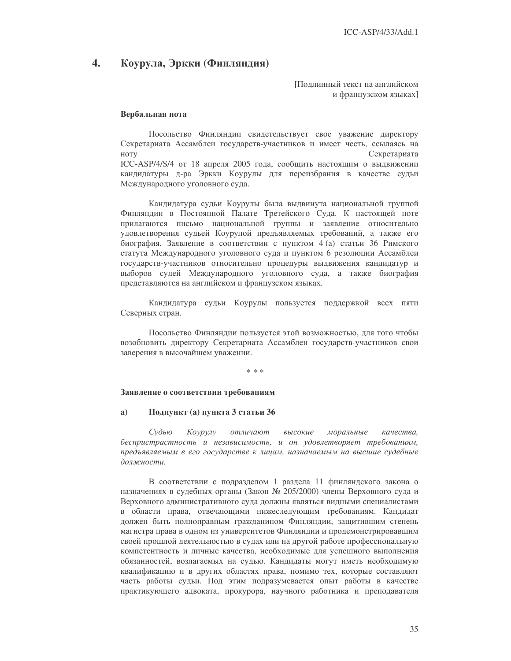#### 4. Коурула, Эркки (Финляндия)

Подлинный текст на английском и французском языках]

# Вербальная нота

Посольство Финляндии свидетельствует свое уважение директору Секретариата Ассамблеи государств-участников и имеет честь, ссылаясь на **HOTV** Секретариата ICC-ASP/4/S/4 от 18 апреля 2005 года, сообщить настоящим о выдвижении кандидатуры д-ра Эркки Коурулы для переизбрания в качестве судьи Международного уголовного суда.

Кандидатура судьи Коурулы была выдвинута национальной группой Финляндии в Постоянной Палате Третейского Суда. К настоящей ноте прилагаются письмо национальной группы и заявление относительно удовлетворения судьей Коурулой предъявляемых требований, а также его биография. Заявление в соответствии с пунктом 4 (а) статьи 36 Римского статута Международного уголовного суда и пунктом 6 резолюции Ассамблеи государств-участников относительно процедуры выдвижения кандидатур и выборов судей Международного уголовного суда, а также биография представляются на английском и французском языках.

Кандидатура судьи Коурулы пользуется поддержкой всех пяти Северных стран.

Посольство Финляндии пользуется этой возможностью, для того чтобы возобновить директору Секретариата Ассамблеи государств-участников свои заверения в высочайшем уважении.

sk sk sk

### Заявление о соответствии требованиям

#### Подпункт (а) пункта 3 статьи 36  $a)$

Судью Коурулу отличают высокие моральные качества. беспристрастность и независимость, и он удовлетворяет требованиям, предъявляемым в его государстве к лицам, назначаемым на высшие судебные должности.

В соответствии с подразделом 1 раздела 11 финляндского закона о назначениях в судебных органы (Закон № 205/2000) члены Верховного суда и Верховного административного суда должны являться видными специалистами в области права, отвечающими нижеследующим требованиям. Кандидат должен быть полноправным гражданином Финляндии, защитившим степень магистра права в одном из университетов Финляндии и продемонстрировавшим своей прошлой деятельностью в судах или на другой работе профессиональную компетентность и личные качества, необходимые для успешного выполнения обязанностей, возлагаемых на судью. Кандидаты могут иметь необходимую квалификацию и в других областях права, помимо тех, которые составляют часть работы судьи. Под этим подразумевается опыт работы в качестве практикующего адвоката, прокурора, научного работника и преподавателя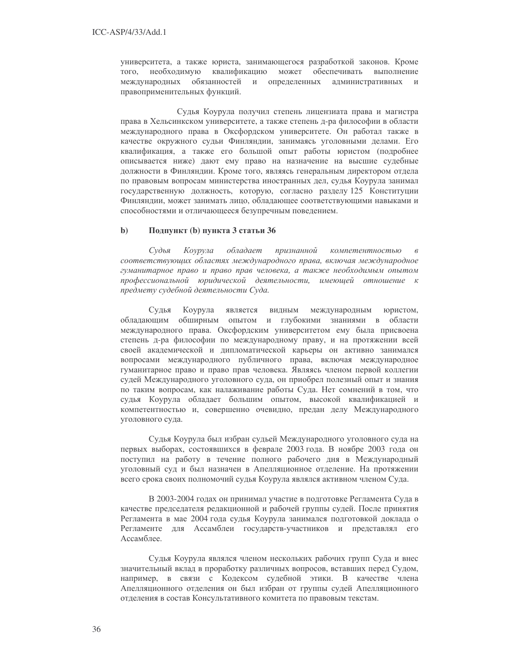университета, а также юриста, занимающегося разработкой законов. Кроме квалификацию того. необходимую может обеспечивать выполнение международных обязанностей и определенных административных и правоприменительных функций.

Судья Коурула получил степень лицензиата права и магистра права в Хельсинкском университете, а также степень д-ра философии в области международного права в Оксфордском университете. Он работал также в качестве окружного судьи Финляндии, занимаясь уголовными делами. Его квалификация, а также его большой опыт работы юристом (подробнее описывается ниже) дают ему право на назначение на высшие судебные должности в Финляндии. Кроме того, являясь генеральным директором отдела по правовым вопросам министерства иностранных дел, судья Коурула занимал государственную должность, которую, согласно разделу 125 Конституции Финляндии, может занимать лицо, обладающее соответствующими навыками и способностями и отличающееся безупречным поведением.

#### $\mathbf{b}$ Подпункт (b) пункта 3 статьи 36

Судья Коурула обладает признанной компетентностью соответствующих областях международного права, включая международное гуманитарное право и право прав человека, а также необходимым опытом профессиональной юридической деятельности, имеющей отношение к предмету судебной деятельности Суда.

Коурула Сулья является видным международным юристом. обладающим обширным опытом и глубокими знаниями в области международного права. Оксфордским университетом ему была присвоена степень д-ра философии по международному праву, и на протяжении всей своей академической и дипломатической карьеры он активно занимался вопросами международного публичного права, включая международное гуманитарное право и право прав человека. Являясь членом первой коллегии судей Международного уголовного суда, он приобрел полезный опыт и знания по таким вопросам, как налаживание работы Суда. Нет сомнений в том, что судья Коурула обладает большим опытом, высокой квалификацией и компетентностью и, совершенно очевидно, предан делу Международного уголовного суда.

Судья Коурула был избран судьей Международного уголовного суда на первых выборах, состоявшихся в феврале 2003 года. В ноябре 2003 года он поступил на работу в течение полного рабочего дня в Международный уголовный суд и был назначен в Апелляционное отделение. На протяжении всего срока своих полномочий судья Коурула являлся активном членом Суда.

В 2003-2004 годах он принимал участие в подготовке Регламента Суда в качестве председателя редакционной и рабочей группы судей. После принятия Регламента в мае 2004 года судья Коурула занимался подготовкой доклада о Регламенте для Ассамблеи государств-участников и представлял его Ассамблее.

Судья Коурула являлся членом нескольких рабочих групп Суда и внес значительный вклад в проработку различных вопросов, вставших перед Судом, например, в связи с Кодексом судебной этики. В качестве члена Апелляционного отделения он был избран от группы судей Апелляционного отделения в состав Консультативного комитета по правовым текстам.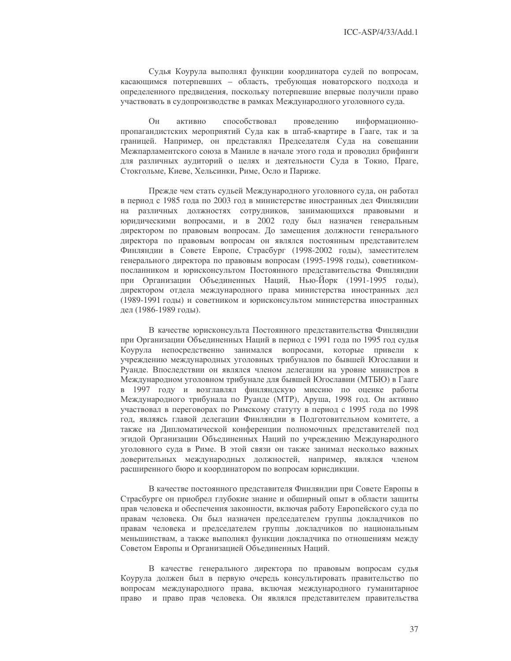Судья Коурула выполнял функции координатора судей по вопросам, касающимся потерпевших - область, требующая новаторского подхода и определенного предвидения, поскольку потерпевшие впервые получили право участвовать в судопроизводстве в рамках Международного уголовного суда.

 $O<sub>H</sub>$ активно способствовал провелению информационнопропагандистских мероприятий Суда как в штаб-квартире в Гааге, так и за границей. Например, он представлял Председателя Суда на совещании Межпарламентского союза в Маниле в начале этого года и проводил брифинги для различных аудиторий о целях и деятельности Суда в Токио, Праге, Стокгольме, Киеве, Хельсинки, Риме, Осло и Париже.

Прежде чем стать судьей Международного уголовного суда, он работал в период с 1985 года по 2003 год в министерстве иностранных дел Финляндии на различных должностях сотрудников, занимающихся правовыми и юридическими вопросами, и в 2002 году был назначен генеральным директором по правовым вопросам. До замещения должности генерального директора по правовым вопросам он являлся постоянным представителем Финляндии в Совете Европе, Страсбург (1998-2002 годы), заместителем генерального директора по правовым вопросам (1995-1998 годы), советникомпосланником и юрисконсультом Постоянного представительства Финляндии при Организации Объединенных Наций, Нью-Йорк (1991-1995 годы), директором отдела международного права министерства иностранных дел (1989-1991 годы) и советником и юрисконсультом министерства иностранных дел (1986-1989 годы).

В качестве юрисконсульта Постоянного представительства Финляндии при Организации Объединенных Наций в период с 1991 года по 1995 год судья Коурула непосредственно занимался вопросами, которые привели к учреждению международных уголовных трибуналов по бывшей Югославии и Руанде. Впоследствии он являлся членом делегации на уровне министров в Международном уголовном трибунале для бывшей Югославии (МТБЮ) в Гааге в 1997 году и возглавлял финляндскую миссию по оценке работы Международного трибунала по Руанде (МТР), Аруша, 1998 год. Он активно участвовал в переговорах по Римскому статуту в период с 1995 года по 1998 год, являясь главой делегации Финляндии в Подготовительном комитете, а также на Дипломатической конференции полномочных представителей под эгидой Организации Объединенных Наций по учреждению Международного уголовного суда в Риме. В этой связи он также занимал несколько важных доверительных международных должностей, например, являлся членом расширенного бюро и координатором по вопросам юрисдикции.

В качестве постоянного представителя Финляндии при Совете Европы в Страсбурге он приобрел глубокие знание и обширный опыт в области защиты прав человека и обеспечения законности, включая работу Европейского суда по правам человека. Он был назначен председателем группы докладчиков по правам человека и председателем группы докладчиков по национальным меньшинствам, а также выполнял функции докладчика по отношениям между Советом Европы и Организацией Объединенных Наций.

В качестве генерального директора по правовым вопросам судья Коурула должен был в первую очередь консультировать правительство по вопросам международного права, включая международного гуманитарное право и право прав человека. Он являлся представителем правительства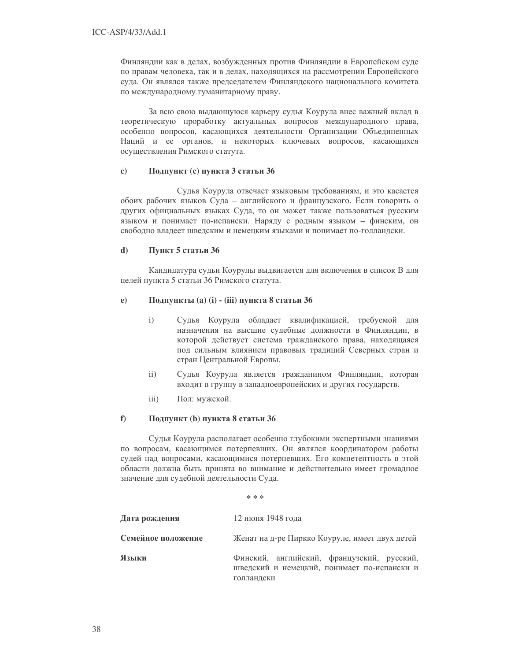Финляндии как в делах, возбужденных против Финляндии в Европейском суде по правам человека, так и в делах, находящихся на рассмотрении Европейского суда. Он являлся также председателем Финляндского национального комитета по международному гуманитарному праву.

За всю свою выдающуюся карьеру судья Коурула внес важный вклад в теоретическую проработку актуальных вопросов международного права, особенно вопросов, касающихся деятельности Организации Объединенных Наций и ее органов, и некоторых ключевых вопросов, касающихся осуществления Римского статута.

#### $\mathbf{c}$ Подпункт (с) пункта 3 статьи 36

Судья Коурула отвечает языковым требованиям, и это касается обоих рабочих языков Суда - английского и французского. Если говорить о других официальных языках Суда, то он может также пользоваться русским языком и понимает по-испански. Наряду с родным языком - финским, он свободно владеет шведским и немецким языками и понимает по-голландски.

#### $\mathbf{d}$ Пункт 5 статьи 36

Кандидатура судьи Коурулы выдвигается для включения в список В для целей пункта 5 статьи 36 Римского статута.

#### $e)$ Подпункты (а) (і) - (ііі) пункта 8 статьи 36

- $\mathbf{i}$ Судья Коурула обладает квалификацией, требуемой для назначения на высшие судебные должности в Финляндии, в которой действует система гражданского права, находящаяся под сильным влиянием правовых традиций Северных стран и стран Центральной Европы.
- $\mathbf{ii}$ Судья Коурула является гражданином Финляндии, которая входит в группу в западноевропейских и других государств.
- $iii)$ Пол: мужской.

#### $f$ ) Подпункт (b) пункта 8 статьи 36

Судья Коурула располагает особенно глубокими экспертными знаниями по вопросам, касающимся потерпевших. Он являлся координатором работы судей над вопросами, касающимися потерпевших. Его компетентность в этой области должна быть принята во внимание и действительно имеет громадное значение для судебной деятельности Суда.

ste ste ste

| Дата рождения      | 12 июня 1948 года                                                                                       |  |  |  |
|--------------------|---------------------------------------------------------------------------------------------------------|--|--|--|
| Семейное положение | Женат на д-ре Пиркко Коуруле, имеет двух детей                                                          |  |  |  |
| Языки              | Финский, английский, французский, русский,<br>шведский и немецкий, понимает по-испански и<br>голландски |  |  |  |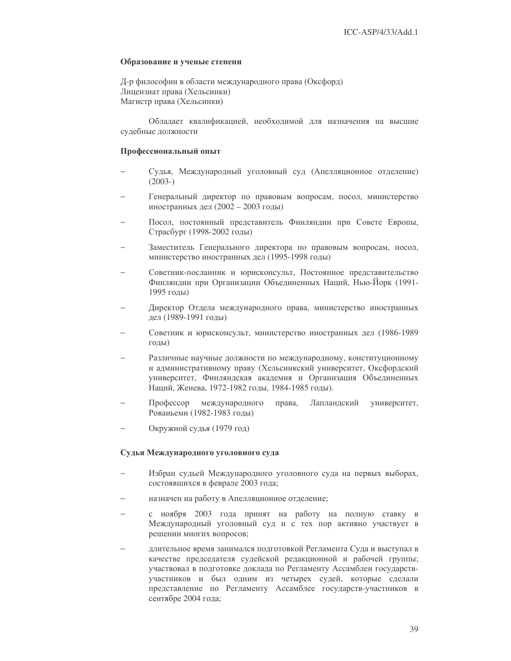#### Образование и ученые степени

Д-р философии в области международного права (Оксфорд) Лицензиат права (Хельсинки) Магистр права (Хельсинки)

Обладает квалификацией, необходимой для назначения на высшие судебные должности

#### Профессиональный опыт

- Судья, Международный уголовный суд (Апелляционное отделение)  $(2003-)$
- Генеральный директор по правовым вопросам, посол, министерство иностранных дел (2002 - 2003 годы)
- Посол, постоянный представитель Финляндии при Совете Европы, Страсбург (1998-2002 годы)
- Заместитель Генерального директора по правовым вопросам, посол, министерство иностранных дел (1995-1998 годы)
- Советник-посланник и юрисконсульт, Постоянное представительство Финляндии при Организации Объединенных Наций, Нью-Йорк (1991-1995 годы)
- Директор Отдела международного права, министерство иностранных дел (1989-1991 годы)
- Советник и юрисконсульт, министерство иностранных дел (1986-1989 годы)
- Различные научные должности по международному, конституционному и административному праву (Хельсинкский университет, Оксфордский университет, Финляндская академия и Организация Объединенных Наций. Женева. 1972-1982 годы. 1984-1985 годы).
- Профессор международного права, Лапландский университет, Рованьеми (1982-1983 годы)
- Окружной судья (1979 год)

# Судья Международного уголовного суда

- Избран судьей Международного уголовного суда на первых выборах, состоявшихся в феврале 2003 года;
- назначен на работу в Апелляционное отделение;
- с ноября 2003 года принят на работу на полную ставку в Международный уголовный суд и с тех пор активно участвует в решении многих вопросов;
- длительное время занимался подготовкой Регламента Суда и выступал в  $\overline{\phantom{0}}$ качестве председателя судейской редакционной и рабочей группы; участвовал в подготовке доклада по Регламенту Ассамблеи государствучастников и был одним из четырех судей, которые сделали представление по Регламенту Ассамблее государств-участников в сентябре 2004 года;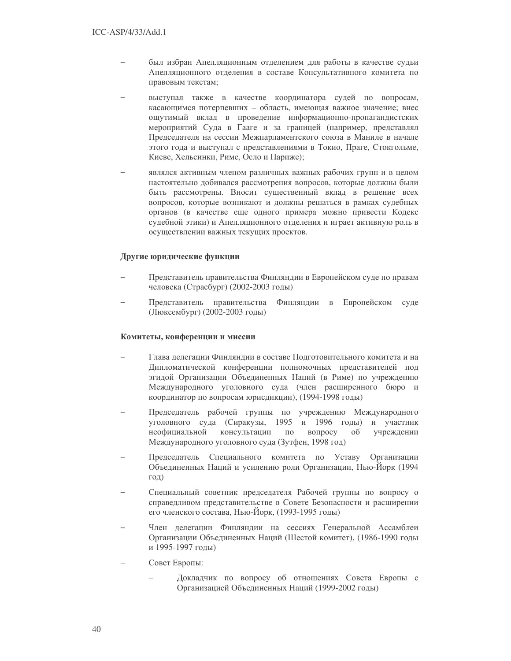- был избран Апелляционным отделением для работы в качестве судьи Апелляционного отделения в составе Консультативного комитета по правовым текстам;
- выступал также в качестве координатора судей по вопросам, касающимся потерпевших - область, имеющая важное значение; внес ощутимый вклад в проведение информационно-пропагандистских мероприятий Суда в Гааге и за границей (например, представлял Председателя на сессии Межпарламентского союза в Маниле в начале этого года и выступал с представлениями в Токио, Праге, Стокгольме, Киеве, Хельсинки, Риме, Осло и Париже);
- являлся активным членом различных важных рабочих групп и в целом настоятельно добивался рассмотрения вопросов, которые должны были быть рассмотрены. Вносит существенный вклад в решение всех вопросов, которые возникают и должны решаться в рамках судебных органов (в качестве еще одного примера можно привести Кодекс судебной этики) и Апелляционного отделения и играет активную роль в осуществлении важных текущих проектов.

# Другие юридические функции

- Представитель правительства Финляндии в Европейском суде по правам человека (Страсбург) (2002-2003 годы)
- Представитель правительства Финляндии в Европейском суде (Люксембург) (2002-2003 годы)

#### Комитеты, конференции и миссии

- Глава делегации Финлянлии в составе Полготовительного комитета и на Дипломатической конференции полномочных представителей под эгидой Организации Объединенных Наций (в Риме) по учреждению Международного уголовного суда (член расширенного бюро и координатор по вопросам юрисдикции), (1994-1998 годы)
- Председатель рабочей группы по учреждению Международного уголовного суда (Сиракузы, 1995 и 1996 годы) и участник неофициальной консультации  $\Pi 0$ вопросу  $0<sup>6</sup>$ учреждении Международного уголовного суда (Зутфен, 1998 год)
- Председатель Специального комитета по Уставу Организации Объединенных Наций и усилению роли Организации, Нью-Йорк (1994 год)
- Специальный советник председателя Рабочей группы по вопросу о справедливом представительстве в Совете Безопасности и расширении его членского состава, Нью-Йорк, (1993-1995 годы)
- Член делегации Финляндии на сессиях Генеральной Ассамблеи Организации Объединенных Наций (Шестой комитет), (1986-1990 годы и 1995-1997 годы)
- Совет Европы:
	- Докладчик по вопросу об отношениях Совета Европы с Организацией Объединенных Наций (1999-2002 годы)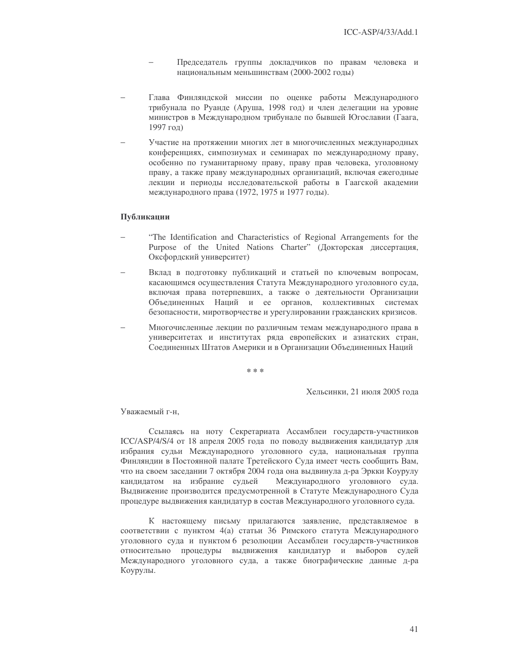- Председатель группы докладчиков по правам человека и национальным меньшинствам (2000-2002 годы)
- Глава Финляндской миссии по оценке работы Международного трибунала по Руанде (Аруша, 1998 год) и член делегации на уровне министров в Международном трибунале по бывшей Югославии (Гаага, 1997 год)
- Участие на протяжении многих лет в многочисленных международных конференциях, симпозиумах и семинарах по международному праву, особенно по гуманитарному праву, праву прав человека, уголовному праву, а также праву международных организаций, включая ежегодные лекции и периоды исследовательской работы в Гаагской академии международного права (1972, 1975 и 1977 годы).

### Публикации

- "The Identification and Characteristics of Regional Arrangements for the Purpose of the United Nations Charter" (Докторская диссертация, Оксфордский университет)
- Вклад в подготовку публикаций и статьей по ключевым вопросам, касающимся осуществления Статута Международного уголовного суда, включая права потерпевших, а также о деятельности Организации Объединенных Наций и ее органов, коллективных системах безопасности, миротворчестве и урегулировании гражданских кризисов.
- Многочисленные лекции по различным темам международного права в университетах и институтах ряда европейских и азиатских стран, Соединенных Штатов Америки и в Организации Объединенных Наций

\* \* \*

Хельсинки, 21 июля 2005 года

Уважаемый г-н,

Ссылаясь на ноту Секретариата Ассамблеи государств-участников ICC/ASP/4/S/4 от 18 апреля 2005 года по поводу выдвижения кандидатур для избрания судьи Международного уголовного суда, национальная группа Финляндии в Постоянной палате Третейского Суда имеет честь сообщить Вам, что на своем заседании 7 октября 2004 года она выдвинула д-ра Эркки Коурулу кандидатом на избрание судьей Международного уголовного суда. Выдвижение производится предусмотренной в Статуте Международного Суда процедуре выдвижения кандидатур в состав Международного уголовного суда.

К настоящему письму прилагаются заявление, представляемое в соответствии с пунктом 4(а) статьи 36 Римского статута Международного уголовного суда и пунктом 6 резолюции Ассамблеи государств-участников относительно процедуры выдвижения кандидатур и выборов судей Международного уголовного суда, а также биографические данные д-ра Коурулы.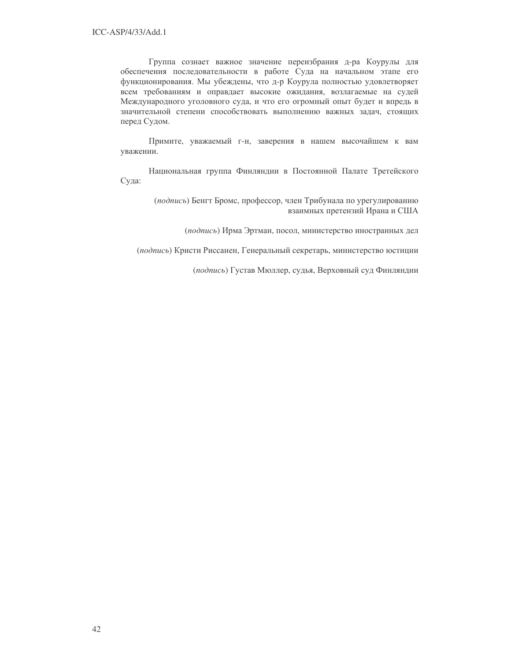Группа сознает важное значение переизбрания д-ра Коурулы для обеспечения последовательности в работе Суда на начальном этапе его функционирования. Мы убеждены, что д-р Коурула полностью удовлетворяет всем требованиям и оправдает высокие ожидания, возлагаемые на судей Международного уголовного суда, и что его огромный опыт будет и впредь в значительной степени способствовать выполнению важных задач, стоящих перед Судом.

Примите, уважаемый г-н, заверения в нашем высочайшем к вам уважении.

Национальная группа Финляндии в Постоянной Палате Третейского Суда:

> (подпись) Бенгт Бромс, профессор, член Трибунала по урегулированию взаимных претензий Ирана и США

> > (подпись) Ирма Эртман, посол, министерство иностранных дел

(подпись) Кристи Риссанен, Генеральный секретарь, министерство юстиции

(подпись) Густав Мюллер, судья, Верховный суд Финляндии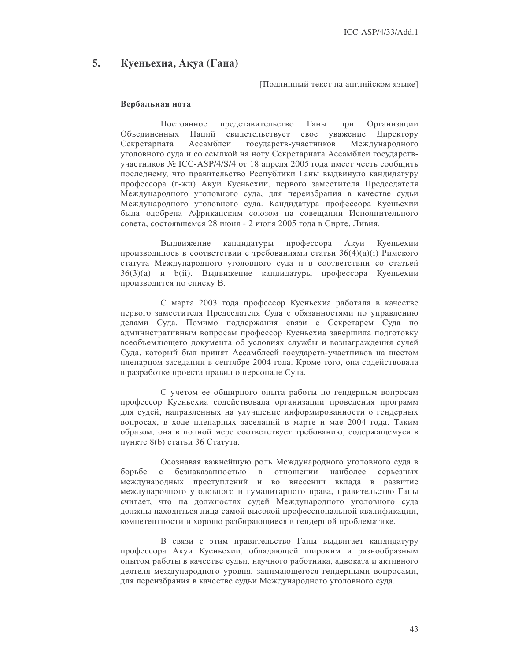#### 5. Куеньехиа, Акуа (Гана)

Поллинный текст на английском языке]

#### Вербальная нота

Постоянное представительство Ганы при Организации Объединенных Наций свидетельствует свое уважение Директору Секретариата Ассамблеи государств-участников Международного уголовного суда и со ссылкой на ноту Секретариата Ассамблеи государствучастников № ICC-ASP/4/S/4 от 18 апреля 2005 года имеет честь сообщить последнему, что правительство Республики Ганы выдвинуло кандидатуру профессора (г-жи) Акуи Куеньехии, первого заместителя Председателя Международного уголовного суда, для переизбрания в качестве судьи Международного уголовного суда. Кандидатура профессора Куеньехии была одобрена Африканским союзом на совещании Исполнительного совета, состоявшемся 28 июня - 2 июля 2005 года в Сирте, Ливия.

профессора Выдвижение кандидатуры Акуи Куеньехии производилось в соответствии с требованиями статьи 36(4)(a)(i) Римского статута Международного уголовного суда и в соответствии со статьей 36(3)(a) и b(ii). Выдвижение кандидатуры профессора Куеньехии производится по списку В.

С марта 2003 года профессор Куеньехиа работала в качестве первого заместителя Председателя Суда с обязанностями по управлению делами Суда. Помимо поддержания связи с Секретарем Суда по алминистративным вопросам профессор Куеньехиа завершила полготовку всеобъемлющего документа об условиях службы и вознаграждения судей Суда, который был принят Ассамблеей государств-участников на шестом пленарном заседании в сентябре 2004 года. Кроме того, она содействовала в разработке проекта правил о персонале Суда.

С учетом ее обширного опыта работы по гендерным вопросам профессор Куеньехиа содействовала организации проведения программ для судей, направленных на улучшение информированности о гендерных вопросах, в ходе пленарных заседаний в марте и мае 2004 года. Таким образом, она в полной мере соответствует требованию, содержащемуся в пункте 8(b) статьи 36 Статута.

Осознавая важнейшую роль Международного уголовного суда в борьбе  $\mathbf{c}$ безнаказанностью в отношении наиболее серьезных международных преступлений и во внесении вклада в развитие международного уголовного и гуманитарного права, правительство Ганы считает, что на должностях судей Международного уголовного суда должны находиться лица самой высокой профессиональной квалификации, компетентности и хорошо разбирающиеся в гендерной проблематике.

В связи с этим правительство Ганы выдвигает кандидатуру профессора Акуи Куеньехии, обладающей широким и разнообразным опытом работы в качестве судьи, научного работника, адвоката и активного деятеля международного уровня, занимающегося гендерными вопросами, для переизбрания в качестве судьи Международного уголовного суда.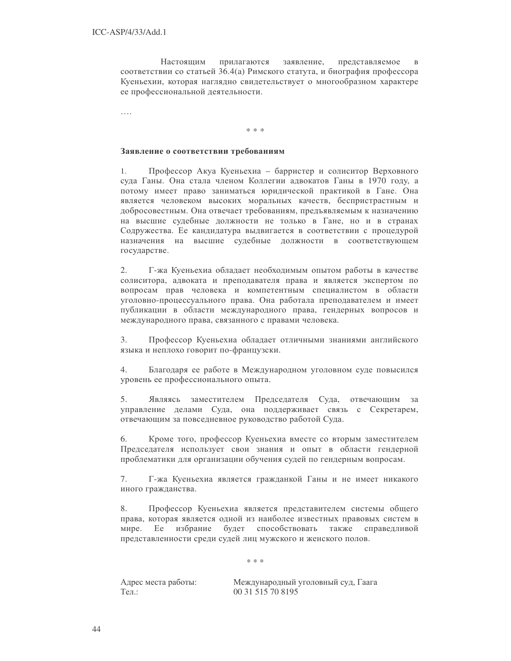Настояшим прилагаются заявление. представляемое  $\overline{B}$ соответствии со статьей 36.4(а) Римского статута, и биография профессора Куеньехии, которая наглядно свидетельствует о многообразном характере ее профессиональной деятельности.

. . . .

\* \* \*

### Заявление о соответствии требованиям

Профессор Акуа Куеньехиа - барристер и солиситор Верховного 1. суда Ганы. Она стала членом Коллегии адвокатов Ганы в 1970 году, а потому имеет право заниматься юридической практикой в Гане. Она является человеком высоких моральных качеств, беспристрастным и добросовестным. Она отвечает требованиям, предъявляемым к назначению на высшие судебные должности не только в Гане, но и в странах Содружества. Ее кандидатура выдвигается в соответствии с процедурой назначения на высшие судебные должности в соответствующем государстве.

 $2.$ Г-жа Куеньехиа обладает необходимым опытом работы в качестве солиситора, адвоката и преподавателя права и является экспертом по вопросам прав человека и компетентным специалистом в области уголовно-процессуального права. Она работала преподавателем и имеет публикации в области международного права, гендерных вопросов и международного права, связанного с правами человека.

Профессор Куеньехиа обладает отличными знаниями английского  $3<sub>1</sub>$ языка и неплохо говорит по-французски.

Благодаря ее работе в Международном уголовном суде повысился 4. уровень ее профессионального опыта.

Являясь заместителем Председателя Суда, отвечающим за 5. управление делами Суда, она поддерживает связь с Секретарем, отвечающим за повседневное руководство работой Суда.

6. Кроме того, профессор Куеньехиа вместе со вторым заместителем Председателя использует свои знания и опыт в области гендерной проблематики для организации обучения судей по гендерным вопросам.

7. Г-жа Куеньехиа является гражданкой Ганы и не имеет никакого иного гражданства.

8. Профессор Куеньехиа является представителем системы общего права, которая является одной из наиболее известных правовых систем в мире. Ee избрание будет способствовать также справедливой представленности среди судей лиц мужского и женского полов.

 $* * *$ 

Адрес места работы: Тел.:

Международный уголовный суд, Гаага 00 31 515 70 8195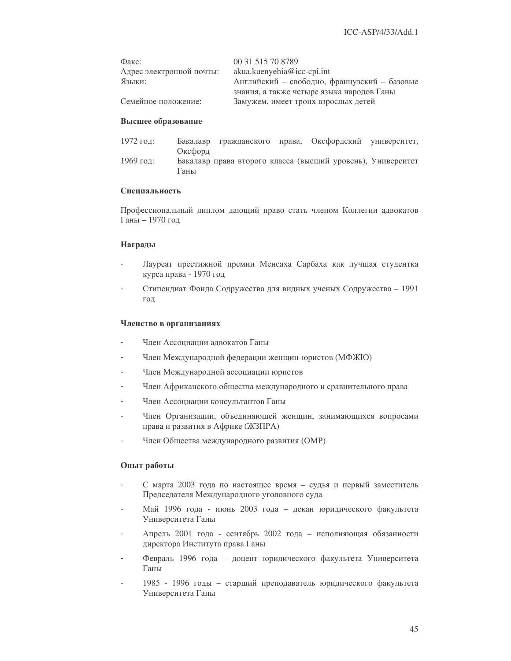| Факс:                    | 00 31 515 70 8789                            |
|--------------------------|----------------------------------------------|
| Адрес электронной почты: | $akua.kuenyehia@icc-cpi.int$                 |
| Языки:                   | Английский - свободно, французский - базовые |
|                          | знания, а также четыре языка народов Ганы    |
| Семейное положение:      | Замужем, имеет троих взрослых детей          |

#### Высшее образование

| 1972 год: |         |  | Бакалавр гражданского права, Оксфордский университет,       |  |
|-----------|---------|--|-------------------------------------------------------------|--|
|           | Оксфорд |  |                                                             |  |
| 1969 год: |         |  | Бакалавр права второго класса (высший уровень), Университет |  |
|           | Ганы    |  |                                                             |  |

#### Специальность

Профессиональный диплом дающий право стать членом Коллегии адвокатов Ганы - 1970 год

#### Награды

- Лауреат престижной премии Менсаха Сарбаха как лучшая студентка курса права - 1970 год
- Стипендиат Фонда Содружества для видных ученых Содружества 1991 год

#### Членство в организациях

- Член Ассоциации адвокатов Ганы  $\overline{a}$
- Член Международной федерации женщин-юристов (МФЖЮ)  $\overline{a}$
- Член Международной ассоциации юристов  $\overline{a}$
- Член Африканского общества международного и сравнительного права
- Член Ассоциации консультантов Ганы
- Член Организации, объединяющей женщин, занимающихся вопросами права и развития в Африке (ЖЗПРА)
- Член Общества международного развития (ОМР)

# Опыт работы

- С марта 2003 года по настоящее время судья и первый заместитель  $\overline{a}$ Председателя Международного уголовного суда
- Май 1996 года июнь 2003 года декан юридического факультета Университета Ганы
- Апрель 2001 года сентябрь 2002 года исполняющая обязанности директора Института права Ганы
- Февраль 1996 года доцент юридического факультета Университета Ганы
- 1985 1996 годы старший преподаватель юридического факультета Университета Ганы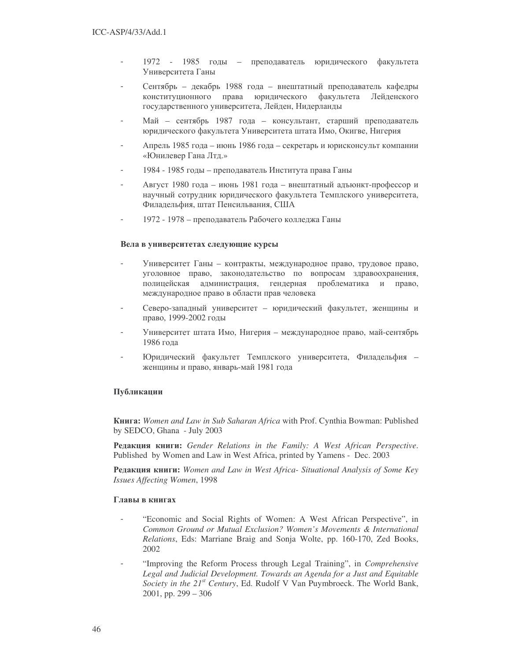- 1972 1985 годы преподаватель юридического факуль факультета Университета Ганы
- Сентябрь декабрь 1988 года внештатный преподаватель кафедры конституционного права юридического факультета Лейденского государственного университета, Лейден, Нидерланды
- Май сентябрь 1987 года консультант, старший преподаватель юридического факультета Университета штата Имо, Окигве, Нигерия
- Апрель 1985 года июнь 1986 года секретарь и юрисконсульт компании «Юнилевер Гана Лтд.»
- 1984 1985 годы преподаватель Института права Ганы
- Август 1980 года июнь 1981 года внештатный адъюнкт-профессор и научный сотрудник юридического факультета Темплского университета, Филадельфия, штат Пенсильвания, США
- 1972 1978 преподаватель Рабочего колледжа Ганы

# Вела в университетах следующие курсы

- Университет Ганы контракты, международное право, трудовое право, уголовное право, законодательство по вопросам здравоохранения, полицейская администрация, гендерная проблематика и право, международное право в области прав человека
- Северо-западный университет юридический факультет, женщины и право, 1999-2002 годы
- Университет штата Имо, Нигерия международное право, май-сентябрь 1986 года
- Юридический факультет Темплского университета, Филадельфия женщины и право, январь-май 1981 года

# Публикации

!**:** *Women and Law in Sub Saharan Africa* with Prof. Cynthia Bowman: Published by SEDCO, Ghana - July 2003

1-& **:** *Gender Relations in the Family: A West African Perspective*. Published by Women and Law in West Africa, printed by Yamens - Dec. 2003

**Редакция книги:** Women and Law in West Africa- Situational Analysis of Some Key *Issues Affecting Women*, 1998

### Главы в книгах

- "Economic and Social Rights of Women: A West African Perspective", in *Common Ground or Mutual Exclusion? Women's Movements & International Relations*, Eds: Marriane Braig and Sonja Wolte, pp. 160-170, Zed Books, 2002
- "Improving the Reform Process through Legal Training", in *Comprehensive Legal and Judicial Development. Towards an Agenda for a Just and Equitable Society in the 21 st Century*, Ed. Rudolf V Van Puymbroeck. The World Bank, 2001, pp. 299 – 306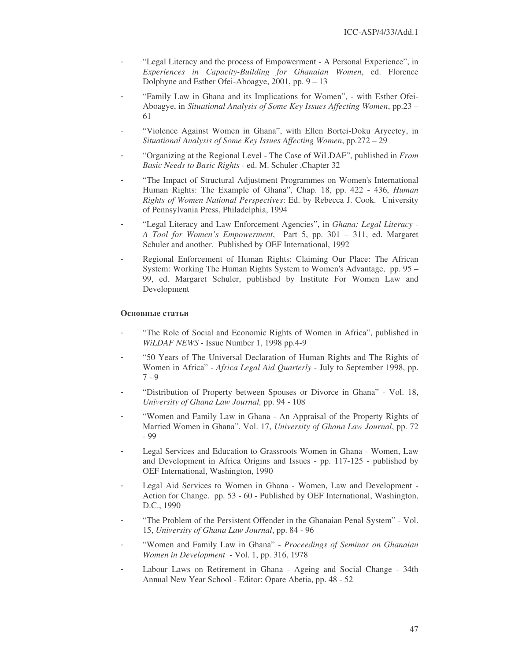- "Legal Literacy and the process of Empowerment A Personal Experience", in *Experiences in Capacity-Building for Ghanaian Women*, ed. Florence Dolphyne and Esther Ofei-Aboagye, 2001, pp. 9 – 13
- "Family Law in Ghana and its Implications for Women", with Esther Ofei-Aboagye, in *Situational Analysis of Some Key Issues Affecting Women*, pp.23 – 61
- "Violence Against Women in Ghana", with Ellen Bortei-Doku Aryeetey, in *Situational Analysis of Some Key Issues Affecting Women*, pp.272 – 29
- "Organizing at the Regional Level The Case of WiLDAF", published in *From Basic Needs to Basic Rights* - ed. M. Schuler ,Chapter 32
- "The Impact of Structural Adjustment Programmes on Women's International Human Rights: The Example of Ghana", Chap. 18, pp. 422 - 436, *Human Rights of Women National Perspectives*: Ed. by Rebecca J. Cook. University of Pennsylvania Press, Philadelphia, 1994
- "Legal Literacy and Law Enforcement Agencies", in *Ghana: Legal Literacy - A Tool for Women's Empowerment*, Part 5, pp. 301 – 311, ed. Margaret Schuler and another. Published by OEF International, 1992
- Regional Enforcement of Human Rights: Claiming Our Place: The African System: Working The Human Rights System to Women's Advantage, pp. 95 – 99, ed. Margaret Schuler, published by Institute For Women Law and Development

# Основные статьи

- "The Role of Social and Economic Rights of Women in Africa", published in *WiLDAF NEWS* - Issue Number 1, 1998 pp.4-9
- "50 Years of The Universal Declaration of Human Rights and The Rights of Women in Africa" - *Africa Legal Aid Quarterly* - July to September 1998, pp. 7 - 9
- "Distribution of Property between Spouses or Divorce in Ghana" Vol. 18, *University of Ghana Law Journal,* pp. 94 - 108
- "Women and Family Law in Ghana An Appraisal of the Property Rights of Married Women in Ghana". Vol. 17, *University of Ghana Law Journal*, pp. 72 - 99
- Legal Services and Education to Grassroots Women in Ghana Women, Law and Development in Africa Origins and Issues - pp. 117-125 - published by OEF International, Washington, 1990
- Legal Aid Services to Women in Ghana Women, Law and Development -Action for Change. pp. 53 - 60 - Published by OEF International, Washington, D.C., 1990
- "The Problem of the Persistent Offender in the Ghanaian Penal System" Vol. 15, *University of Ghana Law Journal*, pp. 84 - 96
- "Women and Family Law in Ghana" *Proceedings of Seminar on Ghanaian Women in Development* - Vol. 1, pp. 316, 1978
- Labour Laws on Retirement in Ghana Ageing and Social Change 34th Annual New Year School - Editor: Opare Abetia, pp. 48 - 52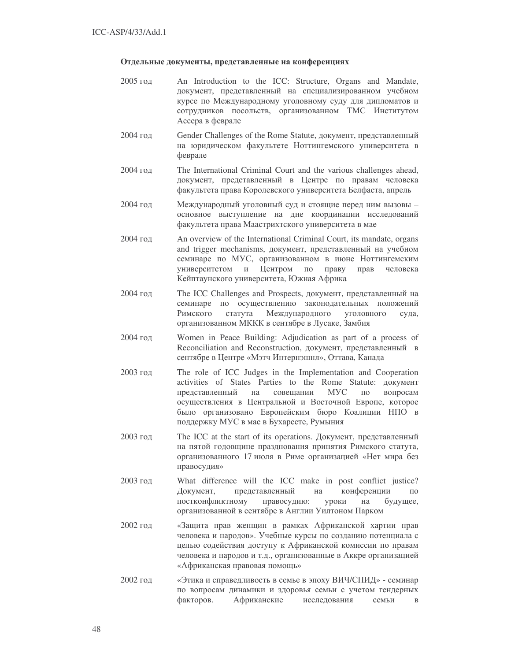# Отдельные документы, представленные на конференциях

- 2005  An Introduction to the ICC: Structure, Organs and Mandate, документ, представленный на специализированном учебном курсе по Международному уголовному суду для дипломатов и сотрудников посольств, организованном ТМС Институтом Ассера в феврале
- 2004 год Gender Challenges of the Rome Statute, документ, представленный на юридическом факультете Ноттингемского университета в феврале
- 2004  The International Criminal Court and the various challenges ahead, документ, представленный в Центре по правам человека факультета права Королевского университета Белфаста, апрель
- 2004 год Международный уголовный суд и стоящие перед ним вызовы основное выступление на дне координации исследований факультета права Маастрихтского университета в мае
- 2004  An overview of the International Criminal Court, its mandate, organs and trigger mechanisms, документ, представленный на учебном семинаре по МУС, организованном в июне Ноттингемским университетом и Центром по прав праву прав человека Кейптаунского университета, Южная Африка
- 2004 год The ICC Challenges and Prospects, документ, представленный на семинаре по осуществлению законодательных положений Римского статута Международного уголовного суда. организованном МККК в сентябре в Лусаке, Замбия
- 2004  Women in Peace Building: Adjudication as part of a process of Reconciliation and Reconstruction, документ, представленный в сентябре в Центре «Мэтч Интернэшнл», Оттава, Канада
- 2003  The role of ICC Judges in the Implementation and Cooperation activities of States Parties to the Rome Statute: представленный на сов совешании МУС по вопросам осуществления в Центральной и Восточной Европе, которое было организовано Европейским бюро Коалиции НПО в поддержку МУС в мае в Бухаресте, Румыния
- 2003 год The ICC at the start of its operations. Документ, представленный на пятой годовщине празднования принятия Римского статута, организованного 17 июля в Риме организацией «Нет мира без правосудия»
- 2003  What difference will the ICC make in post conflict justice? Документ, представленный на конференции по постконфликтному правосудию: уроки на будущее, организованной в сентябре в Англии Уилтоном Парком
- 2002 год и «Защита прав женщин в рамках Африканской хартии прав человека и народов». Учебные курсы по созданию потенциала с целью содействия доступу к Африканской комиссии по правам человека и народов и т.д., организованные в Аккре организацией «Африканская правовая помощь»
- 2002 год и «Этика и справедливость в семье в эпоху ВИЧ/СПИД» семинар по вопросам динамики и здоровья семьи с учетом гендерных факторов. **Африканские** исследования семьи в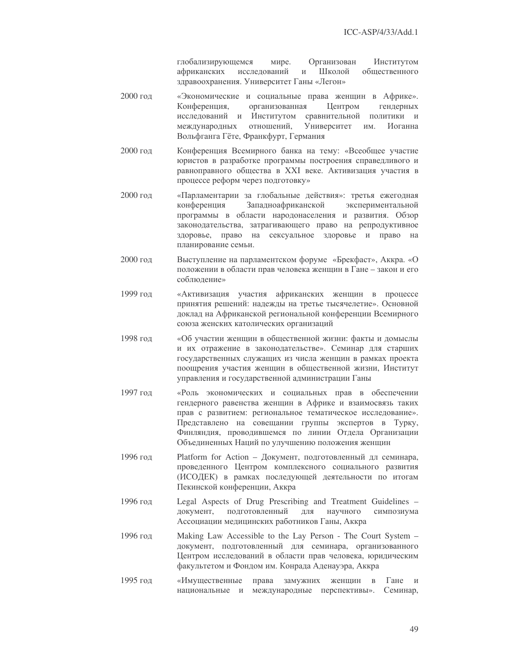глобализирующемся мире. Организован Институтом африканских исследований и Школой обшественного здравоохранения. Университет Ганы «Легон»

- 2000 год и «Экономические и социальные права женщин в Африке». Конференция, организованная Центром гендерных исслелований и аний и Институтом сравнительной политики и международных отношений, Университет им. Иоганна Вольфганга Гёте, Франкфурт, Германия
- 2000 год Конференция Всемирного банка на тему: «Всеобщее участие юристов в разработке программы построения справедливого и равноправного общества в XXI веке. Активизация участия в процессе реформ через подготовку»
- 2000 год и «Парламентарии за глобальные действия»: третья ежегодная конференция Западноафриканской экспериментальной программы в области народонаселения и развития. Обзор законодательства, затрагивающего право на репродуктивное здоровье, право на сексуальное здоровье и право на планирование семьи.
- 2000 год Выступление на парламентском форуме «Брекфаст», Аккра. «О положении в области прав человека женщин в Гане - закон и его соблюдение»
- 1999 год изация участия африканских женщин в процессе принятия решений: надежды на третье тысячелетие». Основной доклад на Африканской региональной конференции Всемирного союза женских католических организаций
- 1998 год «Об участии женщин в общественной жизни: факты и домыслы и их отражение в законодательстве». Семинар для старших государственных служащих из числа женщин в рамках проекта поощрения участия женщин в общественной жизни, Институт управления и государственной администрации Ганы
- 1997 год экономических и социальных прав в обеспечении гендерного равенства женщин в Африке и взаимосвязь таких прав с развитием: региональное тематическое исследование». Представлено на совещании группы экспертов в Турку, Финляндия, проводившемся по линии Отдела Организации Объединенных Наций по улучшению положения женщин
- 1996 год Platform for Action Документ, подготовленный дл семинара, проведенного Центром комплексного социального развития (ИСОДЕК) в рамках последующей деятельности по итогам Пекинской конференции, Аккра
- 1996  Legal Aspects of Drug Prescribing and Treatment Guidelines документ, подготовленный лля научного симпозиума Ассоциации медицинских работников Ганы, Аккра
- 1996  Making Law Accessible to the Lay Person The Court System документ, подготовленный для семинара, организованного Центром исследований в области прав человека, юридическим факультетом и Фондом им. Конрада Аденауэра, Аккра
- 1995 год «Имущественные прав а замужних женщин в Гане и национальные и международные перспективы». Семинар,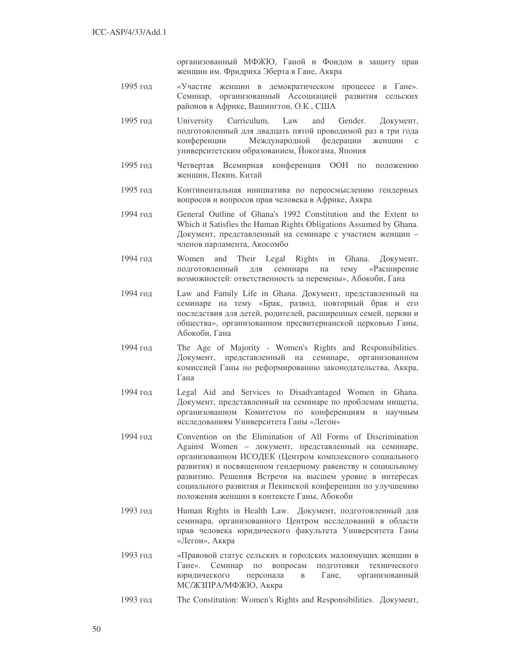организованный МФЖЮ, Ганой и Фондом в защиту прав женщин им. Фридриха Эберта в Гане, Аккра

- «Участие женщин в демократическом процессе в Гане». 1995 гол Семинар, организованный Ассоциацией развития сельских районов в Африке, Вашингтон, О.К., США
- 1995 год University Curriculum, Law and Gender. Документ, подготовленный для двадцать пятой проводимой раз в три года Международной конференции федерации женшин  $\mathbf{c}$ университетским образованием, Йокогама, Япония
- 1995 год Четвертая Всемирная конференция ООН по положению женшин, Пекин, Китай
- 1995 год Континентальная инициатива по переосмыслению гендерных вопросов и вопросов прав человека в Африке, Аккра
- 1994 год General Outline of Ghana's 1992 Constitution and the Extent to Which it Satisfies the Human Rights Obligations Assumed by Ghana. Документ, представленный на семинаре с участием женщин членов парламента, Акосомбо
- 1994 год Women and Their Legal Rights in Ghana. Документ, подготовленный для семинара на тему «Расширение возможностей: ответственность за перемены», Абокоби, Гана
- 1994 год Law and Family Life in Ghana. Документ, представленный на семинаре на тему «Брак, развод, повторный брак и его последствия для детей, родителей, расширенных семей, церкви и общества», организованном пресвитерианской церковью Ганы, Абокоби, Гана
- 1994 год The Age of Majority - Women's Rights and Responsibilities. Документ, представленный на семинаре, организованном комиссией Ганы по реформированию законодательства, Аккра, Гана
- 1994 год Legal Aid and Services to Disadvantaged Women in Ghana. Документ, представленный на семинаре по проблемам нищеты, организованном Комитетом по конференциям и научным исследованиям Университета Ганы «Легон»
- 1994 год Convention on the Elimination of All Forms of Discrimination Against Women - документ, представленный на семинаре, организованном ИСОДЕК (Центром комплексного социального развития) и посвященном гендерному равенству и социальному развитию. Решения Встречи на высшем уровне в интересах социального развития и Пекинской конференции по улучшению положения женщин в контексте Ганы, Абокоби
- Human Rights in Health Law. Документ, подготовленный для 1993 год семинара, организованного Центром исследований в области прав человека юридического факультета Университета Ганы «Легон», Аккра
- 1993 год «Правовой статус сельских и городских малоимущих женщин в Гане». Семинар по вопросам подготовки технического юрилического персонала  $\, {\bf B}$ Гане, организованный МС/ЖЗПРА/МФЖЮ, Аккра
- 1993 год The Constitution: Women's Rights and Responsibilities. Документ,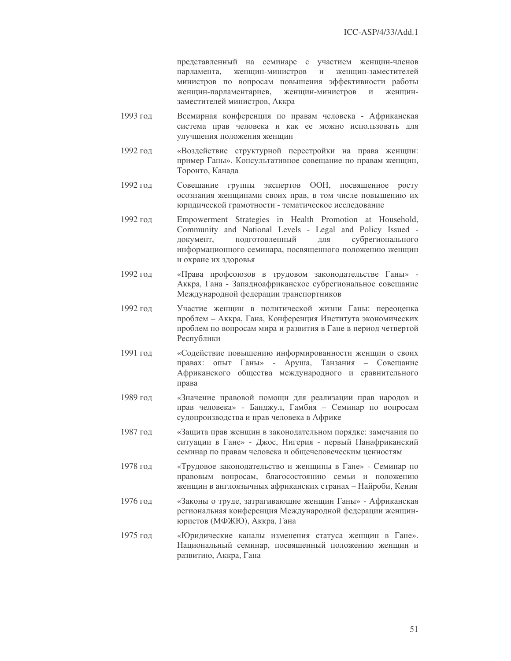представленный на семинаре с участием женщин-членов парламента, женщин-министров и женщин-заместителей министров по вопросам повышения эффективности работы женщин-парламентариев, , женщин-министров и женщинзаместителей министров, Аккра

- 1993 год Всемирная конференция по правам человека Африканская система прав человека и как ее можно использовать для улучшения положения женщин
- 1992 год «Воздействие структурной перестройки на права женщин: пример Ганы». Консультативное совещание по правам женщин, Торонто, Канада
- 1992 год ещание группы экспертов ООН, посвященное росту осознания женщинами своих прав, в том числе повышению их юридической грамотности - тематическое исследование
- 1992  Empowerment Strategies in Health Promotion at Household, Community and National Levels - Legal and Policy Issued документ, подготовленный ленный для субрегионального информационного семинара, посвященного положению женщин и охране их здоровья
- 1992 год а профсоюзов в трудовом законодательстве Ганы» -Аккра, Гана - Западноафриканское субрегиональное совещание Международной федерации транспортников
- 1992 год Участие женщин в политической жизни Ганы: переоценка проблем – Аккра, Гана, Конференция Института экономических проблем по вопросам мира и развития в Гане в период четвертой Республики
- 1991 год «Содействие повышению информированности женщин о своих правах: опыт Ганы» - Аруша, Танзания – Совещание Африканского общества международного и сравнительного права
- 1989 год «Значение правовой помощи для реализации прав народов и прав человека» - Банджул, Гамбия - Семинар по вопросам судопроизводства и прав человека в Африке
- 1987 год «Защита прав женщин в законодательном порядке: замечания по ситуации в Гане» - Джос, Нигерия - первый Панафриканский семинар по правам человека и общечеловеческим ценностям
- 1978 год «Трудовое законодательство и женщины в Гане» Семинар по правовым вопросам, благосостоянию семьи и положению женщин в англоязычных африканских странах – Найроби, Кения
- 1976 год «Законы о труде, затрагивающие женщин Ганы» Африканская региональная конференция Международной федерации женщинюристов (МФЖЮ), Аккра, Гана
- 1975 год «Юридические каналы изменения статуса женщин в Гане». Национальный семинар, посвященный положению женщин и развитию, Аккра, Гана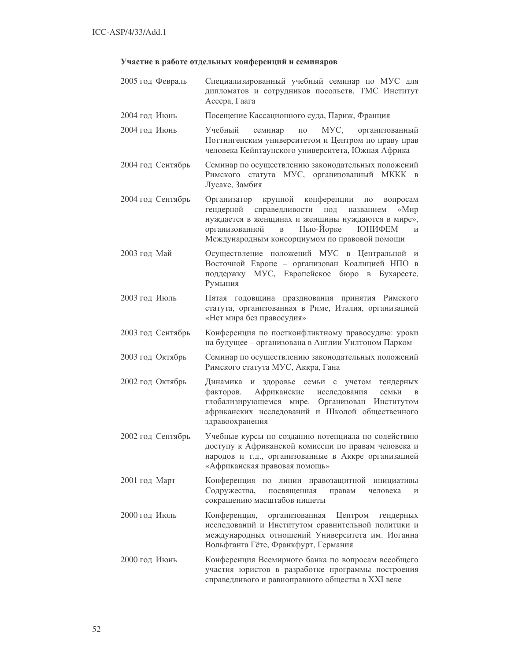# Участие в работе отдельных конференций и семинаров

| 2005 год Февраль  | Специализированный учебный семинар по МУС для<br>дипломатов и сотрудников посольств, ТМС Институт<br>Ассера, Гаага                                                                                                                                                                  |
|-------------------|-------------------------------------------------------------------------------------------------------------------------------------------------------------------------------------------------------------------------------------------------------------------------------------|
| 2004 год Июнь     | Посещение Кассационного суда, Париж, Франция                                                                                                                                                                                                                                        |
| 2004 год Июнь     | Учебный<br>MVC,<br>семинар<br>$\Pi 0$<br>организованный<br>Ноттингенским университетом и Центром по праву прав<br>человека Кейптаунского университета, Южная Африка                                                                                                                 |
| 2004 год Сентябрь | Семинар по осуществлению законодательных положений<br>Римского статута МУС, организованный МККК<br>$\mathbf{B}$<br>Лусаке, Замбия                                                                                                                                                   |
| 2004 год Сентябрь | Организатор крупной конференции<br>$\Pi 0$<br>вопросам<br>гендерной справедливости под<br>$\ll M$ <i>Mp</i><br>названием<br>нуждается в женщинах и женщины нуждаются в мире»,<br>организованной в Нью-Йорке ЮНИФЕМ<br>$\mathbf{M}$<br>Международным консорциумом по правовой помощи |
| 2003 год Май      | Осуществление положений МУС в Центральной и<br>Восточной Европе - организован Коалицией НПО в<br>поддержку МУС, Европейское бюро в Бухаресте,<br>Румыния                                                                                                                            |
| 2003 год Июль     | Пятая годовщина празднования принятия Римского<br>статута, организованная в Риме, Италия, организацией<br>«Нет мира без правосудия»                                                                                                                                                 |
| 2003 год Сентябрь | Конференция по постконфликтному правосудию: уроки<br>на будущее - организована в Англии Уилтоном Парком                                                                                                                                                                             |
| 2003 год Октябрь  | Семинар по осуществлению законодательных положений<br>Римского статута МУС, Аккра, Гана                                                                                                                                                                                             |
| 2002 год Октябрь  | Динамика и здоровье семьи с учетом<br>гендерных<br>Африканские<br>факторов.<br>исследования<br>семьи<br>$\mathbf B$<br>глобализирующемся мире. Организован Институтом<br>африканских исследований и Школой общественного<br>здравоохранения                                         |
| 2002 год Сентябрь | Учебные курсы по созданию потенциала по содействию<br>доступу к Африканской комиссии по правам человека и<br>народов и т.д., организованные в Аккре организацией<br>«Африканская правовая помощь»                                                                                   |
| 2001 год Март     | Конференция по линии правозащитной инициативы<br>Содружества,<br>посвященная<br>правам<br>человека<br>И<br>сокращению масштабов нищеты                                                                                                                                              |
| 2000 год Июль     | Конференция,<br>Центром<br>организованная<br>гендерных<br>исследований и Институтом сравнительной политики и<br>международных отношений Университета им. Иоганна<br>Вольфганга Гёте, Франкфурт, Германия                                                                            |
| 2000 год Июнь     | Конференция Всемирного банка по вопросам всеобщего<br>участия юристов в разработке программы построения<br>справедливого и равноправного общества в XXI веке                                                                                                                        |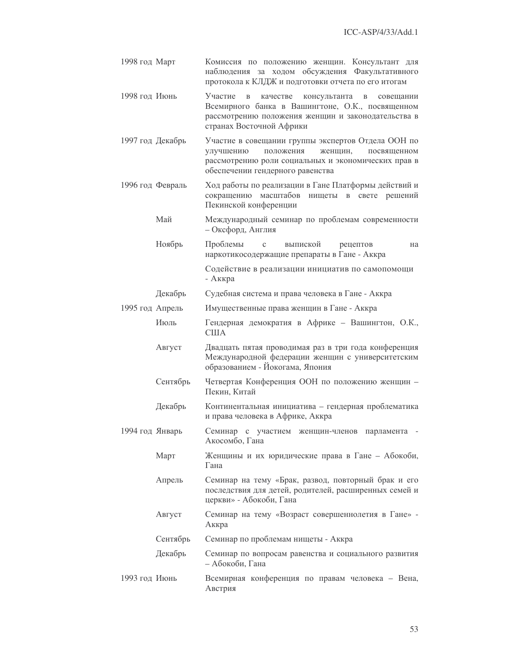| 1998 год Март    | Комиссия по положению женщин. Консультант для<br>наблюдения за ходом обсуждения Факультативного<br>протокола к КЛДЖ и подготовки отчета по его итогам                                                                |
|------------------|----------------------------------------------------------------------------------------------------------------------------------------------------------------------------------------------------------------------|
| 1998 год Июнь    | Участие<br>консультанта<br>качестве<br>$\mathbf B$<br>$\mathbf B$<br>совещании<br>Всемирного банка в Вашингтоне, О.К., посвященном<br>рассмотрению положения женщин и законодательства в<br>странах Восточной Африки |
| 1997 год Декабрь | Участие в совещании группы экспертов Отдела ООН по<br>улучшению<br>положения<br>женщин,<br>посвященном<br>рассмотрению роли социальных и экономических прав в<br>обеспечении гендерного равенства                    |
| 1996 год Февраль | Ход работы по реализации в Гане Платформы действий и<br>масштабов нищеты<br>сокращению<br>$\, {\bf B} \,$<br>свете решений<br>Пекинской конференции                                                                  |
| Май              | Международный семинар по проблемам современности<br>- Оксфорд, Англия                                                                                                                                                |
| Ноябрь           | Проблемы<br>выпиской<br>$\mathbf C$<br>рецептов<br>на<br>наркотикосодержащие препараты в Гане - Аккра                                                                                                                |
|                  | Содействие в реализации инициатив по самопомощи<br>- Аккра                                                                                                                                                           |
| Декабрь          | Судебная система и права человека в Гане - Аккра                                                                                                                                                                     |
| 1995 год Апрель  | Имущественные права женщин в Гане - Аккра                                                                                                                                                                            |
| Июль             | Гендерная демократия в Африке - Вашингтон, О.К.,<br><b>CIIIA</b>                                                                                                                                                     |
| Август           | Двадцать пятая проводимая раз в три года конференция<br>Международной федерации женщин с университетским<br>образованием - Йокогама, Япония                                                                          |
| Сентябрь         | Четвертая Конференция ООН по положению женщин -<br>Пекин, Китай                                                                                                                                                      |
| Декабрь          | Континентальная инициатива - гендерная проблематика<br>и права человека в Африке, Аккра                                                                                                                              |
| 1994 год Январь  | Семинар с участием женщин-членов парламента -<br>Акосомбо, Гана                                                                                                                                                      |
| Март             | Женщины и их юридические права в Гане - Абокоби,<br>Гана                                                                                                                                                             |
| Апрель           | Семинар на тему «Брак, развод, повторный брак и его<br>последствия для детей, родителей, расширенных семей и<br>церкви» - Абокоби, Гана                                                                              |
| Август           | Семинар на тему «Возраст совершеннолетия в Гане» -<br>Аккра                                                                                                                                                          |
| Сентябрь         | Семинар по проблемам нищеты - Аккра                                                                                                                                                                                  |
| Декабрь          | Семинар по вопросам равенства и социального развития<br>- Абокоби, Гана                                                                                                                                              |
| 1993 год Июнь    | Всемирная конференция по правам человека - Вена,<br>Австрия                                                                                                                                                          |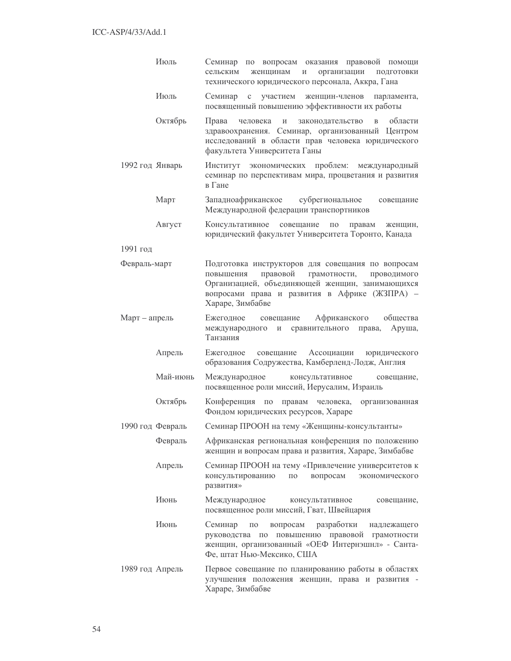|                 | Июль             | Семинар по вопросам оказания правовой помощи<br>женщинам<br>организации<br>сельским<br>И<br>ПОДГОТОВКИ<br>технического юридического персонала, Аккра, Гана                                                                        |
|-----------------|------------------|-----------------------------------------------------------------------------------------------------------------------------------------------------------------------------------------------------------------------------------|
|                 | Июль             | Семинар<br>$\mathbf C$<br>участием<br>женщин-членов<br>парламента,<br>посвященный повышению эффективности их работы                                                                                                               |
|                 | Октябрь          | Права<br>законодательство<br>области<br>человека<br>И<br>$\mathbf B$<br>здравоохранения. Семинар, организованный Центром<br>исследований в области прав человека юридического<br>факультета Университета Ганы                     |
| 1992 год Январь |                  | экономических проблем: международный<br>Институт<br>семинар по перспективам мира, процветания и развития<br>в Гане                                                                                                                |
|                 | Март             | Западноафриканское субрегиональное<br>совещание<br>Международной федерации транспортников                                                                                                                                         |
|                 | Август           | совещание<br>Консультативное<br>$\Pi 0$<br>правам<br>женщин,<br>юридический факультет Университета Торонто, Канада                                                                                                                |
| 1991 год        |                  |                                                                                                                                                                                                                                   |
| Февраль-март    |                  | Подготовка инструкторов для совещания по вопросам<br>правовой<br>грамотности,<br>повышения<br>проводимого<br>Организацией, объединяющей женщин, занимающихся<br>вопросами права и развития в Африке (ЖЗПРА) -<br>Хараре, Зимбабве |
| Март – апрель   |                  | Ежегодное<br>Африканского<br>общества<br>совещание<br>Аруша,<br>международного и<br>сравнительного<br>права,<br>Танзания                                                                                                          |
|                 | Апрель           | Ежегодное совещание<br>Ассоциации<br>юридического<br>образования Содружества, Камберленд-Лодж, Англия                                                                                                                             |
|                 | Май-июнь         | Международное<br>консультативное<br>совещание,<br>посвященное роли миссий, Иерусалим, Израиль                                                                                                                                     |
|                 | Октябрь          | Конференция по<br>правам человека,<br>организованная<br>Фондом юридических ресурсов, Хараре                                                                                                                                       |
|                 | 1990 год Февраль | Семинар ПРООН на тему «Женщины-консультанты»                                                                                                                                                                                      |
|                 | Февраль          | Африканская региональная конференция по положению<br>женщин и вопросам права и развития, Хараре, Зимбабве                                                                                                                         |
|                 | Апрель           | Семинар ПРООН на тему «Привлечение университетов к<br>консультированию<br>вопросам<br>$\Pi$ O<br>экономического<br>развития»                                                                                                      |
|                 | Июнь             | Международное<br>консультативное<br>совещание,<br>посвященное роли миссий, Гват, Швейцария                                                                                                                                        |
|                 | Июнь             | разработки<br>Семинар<br>вопросам<br>ПО<br>надлежащего<br>повышению правовой<br>руководства по<br>грамотности<br>женщин, организованный «ОЕФ Интернэшнл» - Санта-<br>Фе, штат Нью-Мексико, США                                    |
| 1989 год Апрель |                  | Первое совещание по планированию работы в областях<br>улучшения положения женщин, права и развития -<br>Хараре, Зимбабве                                                                                                          |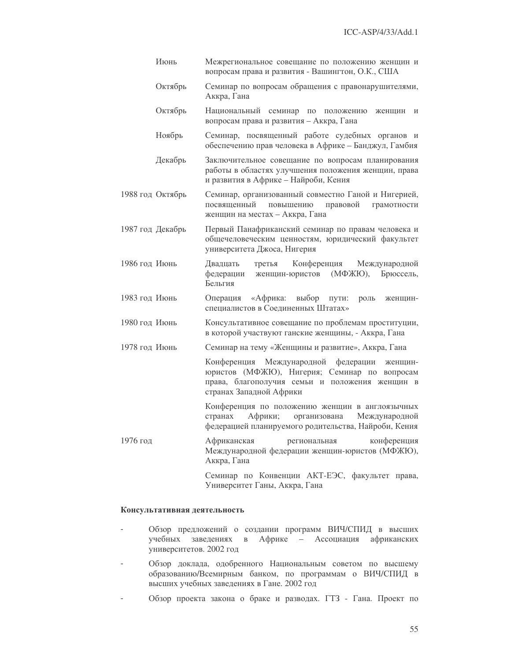|                  | Июнь    | Межрегиональное совещание по положению женщин и<br>вопросам права и развития - Вашингтон, О.К., США                                                                            |  |  |
|------------------|---------|--------------------------------------------------------------------------------------------------------------------------------------------------------------------------------|--|--|
|                  | Октябрь | Семинар по вопросам обращения с правонарушителями,<br>Аккра, Гана                                                                                                              |  |  |
|                  | Октябрь | Национальный семинар<br>$\Pi0$<br>положению<br>женщин<br>И<br>вопросам права и развития - Аккра, Гана                                                                          |  |  |
|                  | Ноябрь  | Семинар, посвященный работе судебных органов и<br>обеспечению прав человека в Африке - Банджул, Гамбия                                                                         |  |  |
|                  | Декабрь | Заключительное совещание по вопросам планирования<br>работы в областях улучшения положения женщин, права<br>и развития в Африке - Найроби, Кения                               |  |  |
| 1988 год Октябрь |         | Семинар, организованный совместно Ганой и Нигерией,<br>посвященный<br>повышению<br>правовой<br>грамотности<br>женщин на местах - Аккра, Гана                                   |  |  |
| 1987 год Декабрь |         | Первый Панафриканский семинар по правам человека и<br>общечеловеческим ценностям, юридический факультет<br>университета Джоса, Нигерия                                         |  |  |
| 1986 год Июнь    |         | Конференция<br>Двадцать<br>Международной<br>третья<br>федерации<br>женщин-юристов<br>(МФЖЮ),<br>Брюссель,<br>Бельгия                                                           |  |  |
| 1983 год Июнь    |         | «Африка:<br>выбор<br>Операция<br>пути:<br>роль<br>женщин-<br>специалистов в Соединенных Штатах»                                                                                |  |  |
| 1980 год Июнь    |         | Консультативное совещание по проблемам проституции,<br>в которой участвуют ганские женщины, - Аккра, Гана                                                                      |  |  |
| 1978 год Июнь    |         | Семинар на тему «Женщины и развитие», Аккра, Гана                                                                                                                              |  |  |
|                  |         | Конференция Международной<br>федерации<br>женщин-<br>юристов (МФЖЮ), Нигерия; Семинар по вопросам<br>права, благополучия семьи и положения женщин в<br>странах Западной Африки |  |  |
|                  |         | Конференция по положению женщин в англоязычных<br>странах<br>Африки;<br>организована<br>Международной<br>федерацией планируемого родительства, Найроби, Кения                  |  |  |
| 1976 год         |         | Африканская<br>конференция<br>региональная<br>Международной федерации женщин-юристов (МФЖЮ),<br>Аккра, Гана                                                                    |  |  |
|                  |         | Семинар по Конвенции АКТ-ЕЭС, факультет права,<br>Университет Ганы, Аккра, Гана                                                                                                |  |  |

### Консультативная деятельность

- Обзор предложений о создании программ ВИЧ/СПИД в высших  $\overline{a}$ учебных заведениях в Африке - Ассоциация африканских университетов. 2002 год
- Обзор доклада, одобренного Национальным советом по высшему  $\mathbf{r}$ образованию/Всемирным банком, по программам о ВИЧ/СПИД в высших учебных заведениях в Гане. 2002 год
- Обзор проекта закона о браке и разводах. ГТЗ Гана. Проект по  $\overline{a}$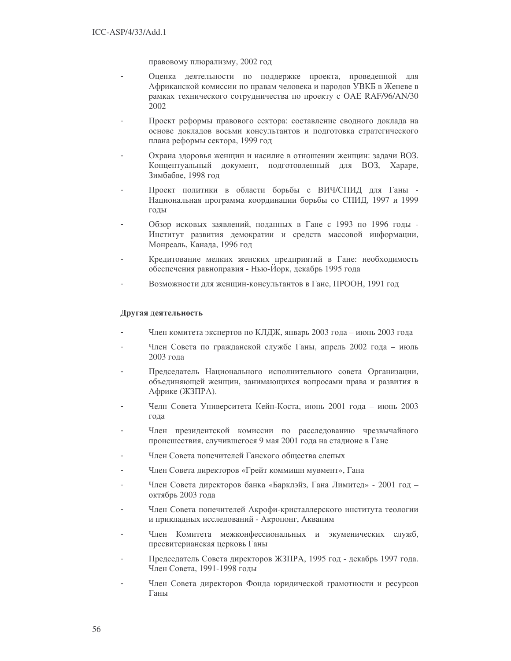правовому плюрализму, 2002 год

- Оценка деятельности по поддержке проекта, проведенной для Африканской комиссии по правам человека и народов УВКБ в Женеве в рамках технического сотрудничества по проекту с OAE RAF/96/AN/30 2002
- Проект реформы правового сектора: составление сводного доклада на основе докладов восьми консультантов и подготовка стратегического плана реформы сектора, 1999 год
- Охрана здоровья женщин и насилие в отношении женщин: задачи ВОЗ. Концептуальный документ, подготовленный для ВОЗ, Хараре, Зимбабве, 1998 год
- Проект политики в области борьбы с ВИЧ/СПИД для Ганы -Национальная программа координации борьбы со СПИД, 1997 и 1999 годы
- Обзор исковых заявлений, поданных в Гане с 1993 по 1996 годы -Институт развития демократии и средств массовой информации, Монреаль, Канада, 1996 год
- Кредитование мелких женских предприятий в Гане: необходимость обеспечения равноправия - Нью-Йорк, декабрь 1995 года
- Возможности для женщин-консультантов в Гане, ПРООН, 1991 год

### Другая деятельность

- Член комитета экспертов по КЛДЖ, январь 2003 года июнь 2003 года
- Член Совета по гражданской службе Ганы, апрель 2002 года июль 2003 года
- Председатель Национального исполнительного совета Организации, объединяющей женщин, занимающихся вопросами права и развития в Африке (ЖЗПРА).
- Челн Совета Университета Кейп-Коста, июнь 2001 года июнь 2003 года
- Член президентской комиссии по расследованию чрезвычайного происшествия, случившегося 9 мая 2001 года на стадионе в Гане
- Член Совета попечителей Ганского общества слепых
- Член Совета директоров «Грейт коммишн мувмент», Гана
- Член Совета директоров банка «Барклэйз, Гана Лимитед» 2001 год октябрь 2003 года
- Член Совета попечителей Акрофи-кристаллерского института теологии и прикладных исследований - Акропонг, Аквапим
- Член Комитета межконфессиональных и экуменических служб, пресвитерианская церковь Ганы
- Председатель Совета директоров ЖЗПРА, 1995 год декабрь 1997 года. Член Совета, 1991-1998 годы
- Член Совета директоров Фонда юридической грамотности и ресурсов Ганы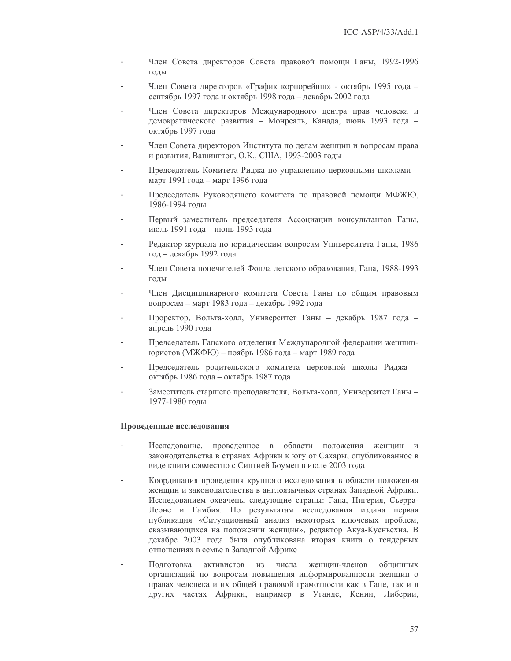- Член Совета директоров Совета правовой помощи Ганы, 1992-1996 ГОЛЫ
- Член Совета директоров «График корпорейшн» октябрь 1995 года сентябрь 1997 года и октябрь 1998 года - декабрь 2002 года
- Член Совета директоров Международного центра прав человека и демократического развития - Монреаль, Канада, июнь 1993 года октябрь 1997 года
- Член Совета директоров Института по делам женщин и вопросам права и развития, Вашингтон, О.К., США, 1993-2003 годы
- Председатель Комитета Риджа по управлению церковными школами март 1991 года - март 1996 года
- Председатель Руководящего комитета по правовой помощи МФЖЮ, 1986-1994 годы
- Первый заместитель председателя Ассоциации консультантов Ганы, июль 1991 года - июнь 1993 года
- Редактор журнала по юридическим вопросам Университета Ганы, 1986 год – декабрь 1992 года
- Член Совета попечителей Фонда детского образования, Гана, 1988-1993 годы
- Член Дисциплинарного комитета Совета Ганы по общим правовым вопросам - март 1983 года - декабрь 1992 года
- Проректор, Вольта-холл, Университет Ганы декабрь 1987 года апрель 1990 года
- Председатель Ганского отделения Международной федерации женщинюристов (МЖФЮ) – ноябрь 1986 года – март 1989 года
- Председатель родительского комитета церковной школы Риджа октябрь 1986 года - октябрь 1987 года
- Заместитель старшего преподавателя, Вольта-холл, Университет Ганы -1977-1980 голы

### Проведенные исследования

- Исследование, проведенное в области положения женщин и законодательства в странах Африки к югу от Сахары, опубликованное в виде книги совместно с Синтией Боумен в июле 2003 года
- Координация проведения крупного исследования в области положения женщин и законодательства в англоязычных странах Западной Африки. Исследованием охвачены следующие страны: Гана, Нигерия, Сьерра-Леоне и Гамбия. По результатам исследования издана первая публикация «Ситуационный анализ некоторых ключевых проблем, сказывающихся на положении женщин», редактор Акуа-Куеньехиа. В декабре 2003 года была опубликована вторая книга о гендерных отношениях в семье в Западной Африке
- женшин-членов Полготовка активистов **ИЗ** числа обшинных организаций по вопросам повышения информированности женщин о правах человека и их общей правовой грамотности как в Гане, так и в других частях Африки, например в Уганде, Кении, Либерии,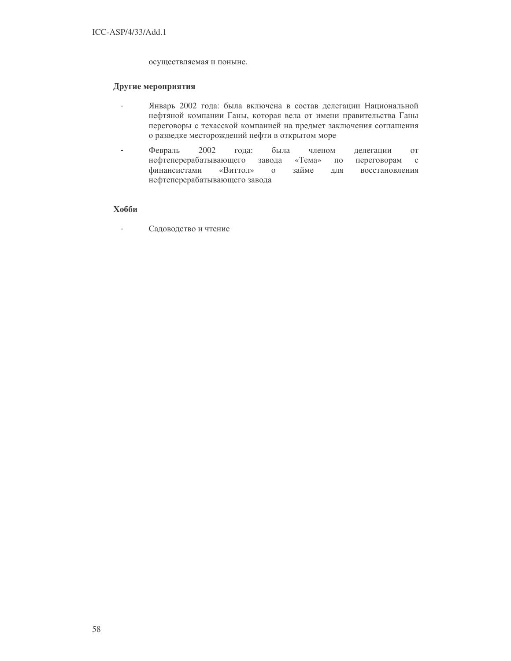осуществляемая и поныне.

### Другие мероприятия

- Январь 2002 года: была включена в состав делегации Национальной  $\mathbf{r}$ нефтяной компании Ганы, которая вела от имени правительства Ганы переговоры с техасской компанией на предмет заключения соглашения о разведке месторождений нефти в открытом море
- $\overline{a}$ Февраль 2002 года: была членом делегации  $\overline{O}$ нефтеперерабатывающего завода  $\langle$ Tema $\rangle$  $\Pi0$ переговорам  $\mathbf{c}$ финансистами «Виттол»  $\mathbf{O}$ займе ДЛЯ восстановления нефтеперерабатывающего завода

# Хобби

 $\mathbf{r}$ Садоводство и чтение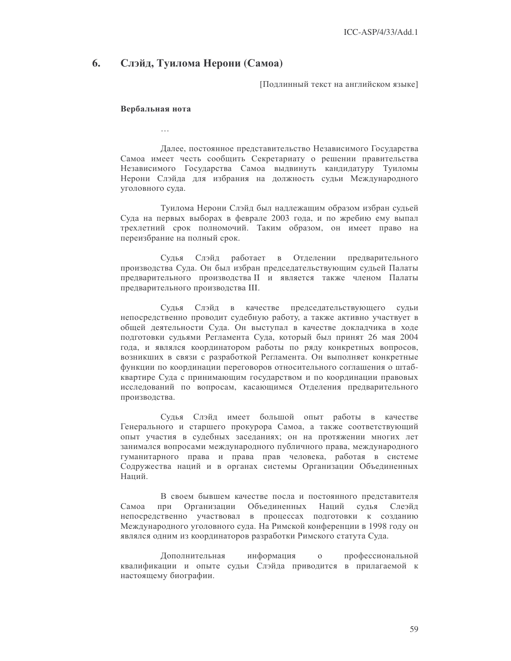#### 6. Слэйд, Туилома Нерони (Самоа)

Подлинный текст на английском языке]

#### Вербальная нота

Далее, постоянное представительство Независимого Государства Самоа имеет честь сообщить Секретариату о решении правительства Независимого Государства Самоа выдвинуть кандидатуру Туиломы Нерони Слэйда для избрания на должность судьи Международного уголовного суда.

Туилома Нерони Слэйд был надлежащим образом избран судьей Суда на первых выборах в феврале 2003 года, и по жребию ему выпал трехлетний срок полномочий. Таким образом, он имеет право на переизбрание на полный срок.

Судья Слэйд работает в Отделении предварительного производства Суда. Он был избран председательствующим судьей Палаты предварительного производства II и является также членом Палаты предварительного производства III.

Судья Слэйд в качестве председательствующего судьи непосредственно проводит судебную работу, а также активно участвует в общей деятельности Суда. Он выступал в качестве докладчика в ходе подготовки судьями Регламента Суда, который был принят 26 мая 2004 года, и являлся координатором работы по ряду конкретных вопросов, возникших в связи с разработкой Регламента. Он выполняет конкретные функции по координации переговоров относительного соглашения о штабквартире Суда с принимающим государством и по координации правовых исследований по вопросам, касающимся Отделения предварительного производства.

Судья Слэйд имеет большой опыт работы в качестве Генерального и старшего прокурора Самоа, а также соответствующий опыт участия в судебных заседаниях; он на протяжении многих лет занимался вопросами международного публичного права, международного гуманитарного права и права прав человека, работая в системе Содружества наций и в органах системы Организации Объединенных Наний.

В своем бывшем качестве посла и постоянного представителя Самоа при Организации Объединенных Наций судья Слеэйд непосредственно участвовал в процессах подготовки к созданию Международного уголовного суда. На Римской конференции в 1998 году он являлся одним из координаторов разработки Римского статута Суда.

Дополнительная информация  $\mathbf{O}$ профессиональной квалификации и опыте судьи Слэйда приводится в прилагаемой к настоящему биографии.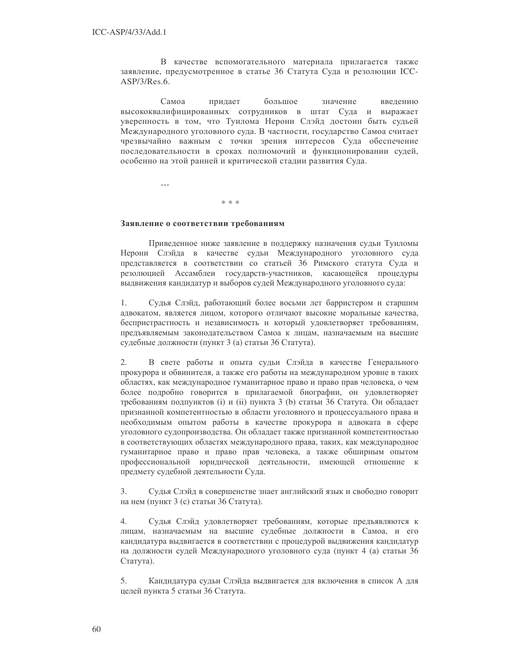В качестве вспомогательного материала прилагается также заявление, предусмотренное в статье 36 Статута Суда и резолюции ICC- $ASP/3/Res.6.$ 

Самоа большое значение придает введению высококвалифицированных сотрудников в штат Суда и выражает уверенность в том, что Туилома Нерони Слэйд достоин быть судьей Международного уголовного суда. В частности, государство Самоа считает чрезвычайно важным с точки зрения интересов Суда обеспечение последовательности в сроках полномочий и функционировании судей, особенно на этой ранней и критической стадии развития Суда.

 $\ddotsc$ 

#### $* * *$

### Заявление о соответствии требованиям

Приведенное ниже заявление в поддержку назначения судьи Туиломы Нерони Слэйда в качестве судьи Международного уголовного суда представляется в соответствии со статьей 36 Римского статута Суда и резолюцией Ассамблеи государств-участников, касающейся процедуры выдвижения кандидатур и выборов судей Международного уголовного суда:

1. Судья Слэйд, работающий более восьми лет барристером и старшим адвокатом, является лицом, которого отличают высокие моральные качества, беспристрастность и независимость и который удовлетворяет требованиям, предъявляемым законодательством Самоа к лицам, назначаемым на высшие судебные должности (пункт 3 (а) статьи 36 Статута).

В свете работы и опыта судьи Слэйда в качестве Генерального  $2.$ прокурора и обвинителя, а также его работы на международном уровне в таких областях, как международное гуманитарное право и право прав человека, о чем более подробно говорится в прилагаемой биографии, он удовлетворяет требованиям подпунктов (i) и (ii) пункта 3 (b) статьи 36 Статута. Он обладает признанной компетентностью в области уголовного и процессуального права и необходимым опытом работы в качестве прокурора и адвоката в сфере уголовного судопроизводства. Он обладает также признанной компетентностью в соответствующих областях международного права, таких, как международное гуманитарное право и право прав человека, а также обширным опытом профессиональной юридической деятельности, имеющей отношение к предмету судебной деятельности Суда.

Судья Слэйд в совершенстве знает английский язык и свободно говорит  $3.$ на нем (пункт 3 (с) статьи 36 Статута).

 $4.$ Судья Слэйд удовлетворяет требованиям, которые предъявляются к лицам, назначаемым на высшие судебные должности в Самоа, и его кандидатура выдвигается в соответствии с процедурой выдвижения кандидатур на должности судей Международного уголовного суда (пункт 4 (а) статьи 36 Статута).

5. Кандидатура судьи Слэйда выдвигается для включения в список А для целей пункта 5 статьи 36 Статута.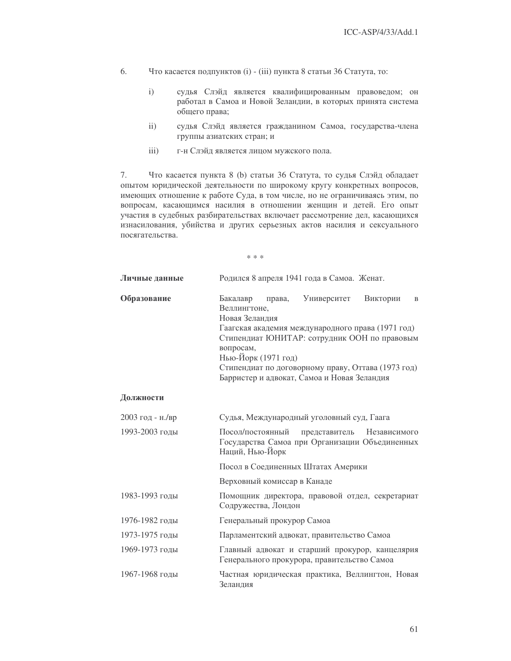- 6. Что касается подпунктов (i) - (iii) пункта 8 статьи 36 Статута, то:
	- судья Слэйд является квалифицированным правоведом; он  $i)$ работал в Самоа и Новой Зеландии, в которых принята система общего права;
	- $ii)$ судья Слэйд является гражданином Самоа, государства-члена группы азиатских стран; и
	- $iii)$ г-н Слэйд является лицом мужского пола.

Что касается пункта 8 (b) статьи 36 Статута, то судья Слэйд обладает 7. опытом юридической деятельности по широкому кругу конкретных вопросов, имеющих отношение к работе Суда, в том числе, но не ограничиваясь этим, по вопросам, касающимся насилия в отношении женщин и детей. Его опыт участия в судебных разбирательствах включает рассмотрение дел, касающихся изнасилования, убийства и других серьезных актов насилия и сексуального посягательства.

\* \* \*

| Личные данные    | Родился 8 апреля 1941 года в Самоа. Женат.                                                                                                                                                                                                                                                                                         |  |  |  |  |
|------------------|------------------------------------------------------------------------------------------------------------------------------------------------------------------------------------------------------------------------------------------------------------------------------------------------------------------------------------|--|--|--|--|
| Образование      | Бакалавр<br>Университет<br>Виктории<br>права,<br>B<br>Веллингтоне,<br>Новая Зеландия<br>Гаагская академия международного права (1971 год)<br>Стипендиат ЮНИТАР: сотрудник ООН по правовым<br>вопросам,<br>Нью-Йорк (1971 год)<br>Стипендиат по договорному праву, Оттава (1973 год)<br>Барристер и адвокат, Самоа и Новая Зеландия |  |  |  |  |
| Должности        |                                                                                                                                                                                                                                                                                                                                    |  |  |  |  |
| 2003 год - н./вр | Судья, Международный уголовный суд, Гаага                                                                                                                                                                                                                                                                                          |  |  |  |  |
| 1993-2003 годы   | Посол/постоянный<br>Независимого<br>представитель<br>Государства Самоа при Организации Объединенных<br>Наций, Нью-Йорк                                                                                                                                                                                                             |  |  |  |  |
|                  | Посол в Соединенных Штатах Америки                                                                                                                                                                                                                                                                                                 |  |  |  |  |
|                  | Верховный комиссар в Канаде                                                                                                                                                                                                                                                                                                        |  |  |  |  |
| 1983-1993 годы   | Помощник директора, правовой отдел, секретариат<br>Содружества, Лондон                                                                                                                                                                                                                                                             |  |  |  |  |
| 1976-1982 годы   | Генеральный прокурор Самоа                                                                                                                                                                                                                                                                                                         |  |  |  |  |
| 1973-1975 годы   | Парламентский адвокат, правительство Самоа                                                                                                                                                                                                                                                                                         |  |  |  |  |
| 1969-1973 годы   | Главный адвокат и старший прокурор, канцелярия<br>Генерального прокурора, правительство Самоа                                                                                                                                                                                                                                      |  |  |  |  |
| 1967-1968 годы   | Частная юридическая практика, Веллингтон, Новая<br>Зеландия                                                                                                                                                                                                                                                                        |  |  |  |  |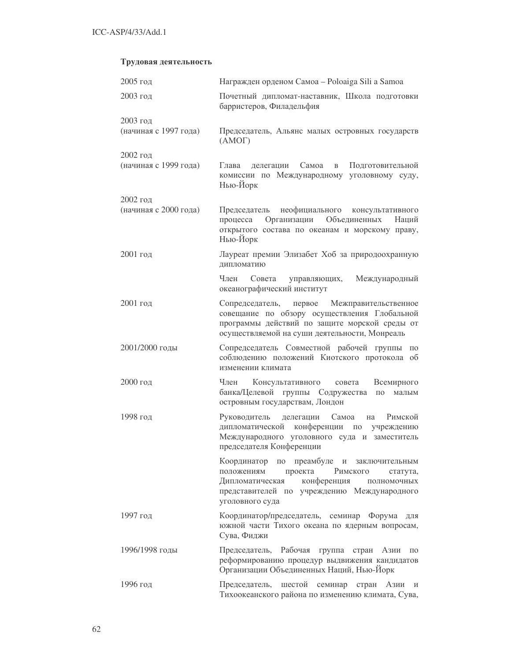# Трудовая деятельность

| 2005 год              | Награжден орденом Самоа - Poloaiga Sili a Samoa                                                                                                                                                               |  |  |
|-----------------------|---------------------------------------------------------------------------------------------------------------------------------------------------------------------------------------------------------------|--|--|
| $2003$ год            | Почетный дипломат-наставник, Школа подготовки<br>барристеров, Филадельфия                                                                                                                                     |  |  |
| 2003 год              |                                                                                                                                                                                                               |  |  |
| (начиная с 1997 года) | Председатель, Альянс малых островных государств<br>(AMOT)                                                                                                                                                     |  |  |
| 2002 год              |                                                                                                                                                                                                               |  |  |
| (начиная с 1999 года) | Глава<br>делегации<br>Самоа<br>Подготовительной<br>$\mathbf{B}$<br>комиссии по Международному уголовному суду,<br>Нью-Йорк                                                                                    |  |  |
| 2002 год              |                                                                                                                                                                                                               |  |  |
| (начиная с 2000 года) | Председатель неофициального консультативного<br>Организации<br>Объединенных<br>процесса<br>Наций<br>открытого состава по океанам и морскому праву,<br>Нью-Йорк                                                |  |  |
| 2001 год              | Лауреат премии Элизабет Хоб за природоохранную<br>дипломатию                                                                                                                                                  |  |  |
|                       | Международный<br>Член<br>Совета<br>управляющих,<br>океанографический институт                                                                                                                                 |  |  |
| 2001 год              | Межправительственное<br>Сопредседатель,<br>первое<br>совещание по обзору осуществления Глобальной<br>программы действий по защите морской среды от<br>осуществляемой на суши деятельности, Монреаль           |  |  |
| 2001/2000 годы        | Сопредседатель Совместной рабочей группы<br>ПО<br>соблюдению положений Киотского протокола об<br>изменении климата                                                                                            |  |  |
| 2000 год              | Член<br>Консультативного<br>Всемирного<br>совета<br>банка/Целевой группы Содружества<br>ПО<br>малым<br>островным государствам, Лондон                                                                         |  |  |
| 1998 год              | Римской<br>Руководитель<br>Самоа<br>делегации<br>на<br>дипломатической конференции по учреждению<br>Международного уголовного суда и заместитель<br>председателя Конференции                                  |  |  |
|                       | Координатор по преамбуле и заключительным<br>проекта<br>Римского<br>положениям<br>статута,<br>конференция<br>Дипломатическая<br>ПОЛНОМОЧНЫХ<br>представителей по учреждению Международного<br>уголовного суда |  |  |
| 1997 год              | Координатор/председатель, семинар Форума<br>ДЛЯ<br>южной части Тихого океана по ядерным вопросам,<br>Сува, Фиджи                                                                                              |  |  |
| 1996/1998 годы        | Рабочая группа стран Азии<br>Председатель,<br>$\Pi 0$<br>реформированию процедур выдвижения кандидатов<br>Организации Объединенных Наций, Нью-Йорк                                                            |  |  |
| 1996 год              | Председатель,<br>шестой<br>семинар<br>стран<br>Азии<br>И<br>Тихоокеанского района по изменению климата, Сува,                                                                                                 |  |  |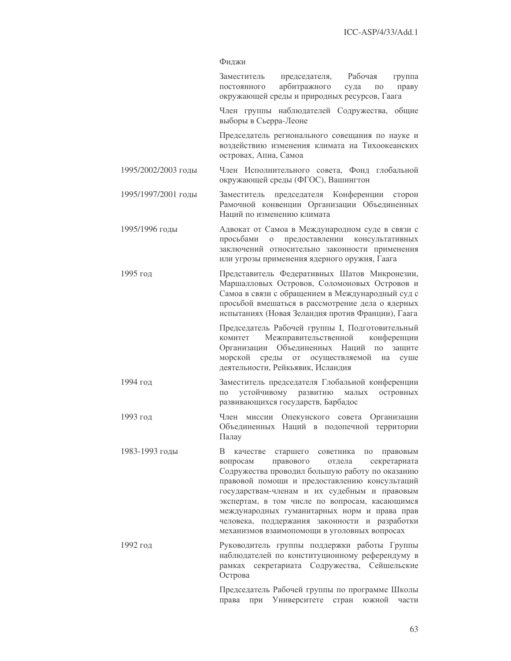# Фиджи

|                     | Заместитель<br>председателя, Рабочая<br>группа<br>арбитражного<br>ПОСТОЯННОГО<br>суда<br>праву<br>ПО<br>окружающей среды и природных ресурсов, Гаага                                                                                                                                                                                                                                                                                                               |  |  |  |  |
|---------------------|--------------------------------------------------------------------------------------------------------------------------------------------------------------------------------------------------------------------------------------------------------------------------------------------------------------------------------------------------------------------------------------------------------------------------------------------------------------------|--|--|--|--|
|                     | Член группы наблюдателей Содружества, общие<br>выборы в Сьерра-Леоне                                                                                                                                                                                                                                                                                                                                                                                               |  |  |  |  |
|                     | Председатель регионального совещания по науке и<br>воздействию изменения климата на Тихоокеанских<br>островах, Апиа, Самоа                                                                                                                                                                                                                                                                                                                                         |  |  |  |  |
| 1995/2002/2003 годы | Член Исполнительного совета, Фонд глобальной<br>окружающей среды (ФГОС), Вашингтон                                                                                                                                                                                                                                                                                                                                                                                 |  |  |  |  |
| 1995/1997/2001 годы | председателя Конференции сторон<br>Заместитель<br>Рамочной конвенции Организации Объединенных<br>Наций по изменению климата                                                                                                                                                                                                                                                                                                                                        |  |  |  |  |
| 1995/1996 годы      | Адвокат от Самоа в Международном суде в связи с<br>предоставлении консультативных<br>просьбами<br>$\mathbf{O}$<br>заключений относительно законности применения<br>или угрозы применения ядерного оружия, Гаага                                                                                                                                                                                                                                                    |  |  |  |  |
| 1995 год            | Представитель Федеративных Шатов Микронезии,<br>Маршалловых Островов, Соломоновых Островов и<br>Самоа в связи с обращением в Международный суд с<br>просьбой вмешаться в рассмотрение дела о ядерных<br>испытаниях (Новая Зеландия против Франции), Гаага                                                                                                                                                                                                          |  |  |  |  |
|                     | Председатель Рабочей группы I, Подготовительный<br>Межправительственной<br>конференции<br>комитет<br>Объединенных<br>Наций<br>Организации<br>ПО<br>защите<br>морской<br>среды от осуществляемой<br>на<br>суше<br>деятельности, Рейкьявик, Исландия                                                                                                                                                                                                                 |  |  |  |  |
| 1994 год            | Заместитель председателя Глобальной конференции<br>устойчивому развитию<br>островных<br>малых<br>по<br>развивающихся государств, Барбадос                                                                                                                                                                                                                                                                                                                          |  |  |  |  |
| 1993 год            | Член<br>Опекунского совета Организации<br>миссии<br>Объединенных Наций в подопечной территории<br>Палау                                                                                                                                                                                                                                                                                                                                                            |  |  |  |  |
| 1983-1993 годы      | В<br>качестве<br>старшего<br>советника<br>ПО<br>правовым<br>правового<br>вопросам<br>отдела<br>секретариата<br>Содружества проводил большую работу по оказанию<br>правовой помощи и предоставлению консультаций<br>государствам-членам и их судебным и правовым<br>экспертам, в том числе по вопросам, касающимся<br>международных гуманитарных норм и права прав<br>человека, поддержания законности и разработки<br>механизмов взаимопомощи в уголовных вопросах |  |  |  |  |
| 1992 год            | Руководитель группы поддержки работы Группы<br>наблюдателей по конституционному референдуму в<br>Содружества, Сейшельские<br>рамках секретариата<br>Острова                                                                                                                                                                                                                                                                                                        |  |  |  |  |
|                     | Председатель Рабочей группы по программе Школы<br>Университете<br>стран<br>южной<br>права<br>при<br>части                                                                                                                                                                                                                                                                                                                                                          |  |  |  |  |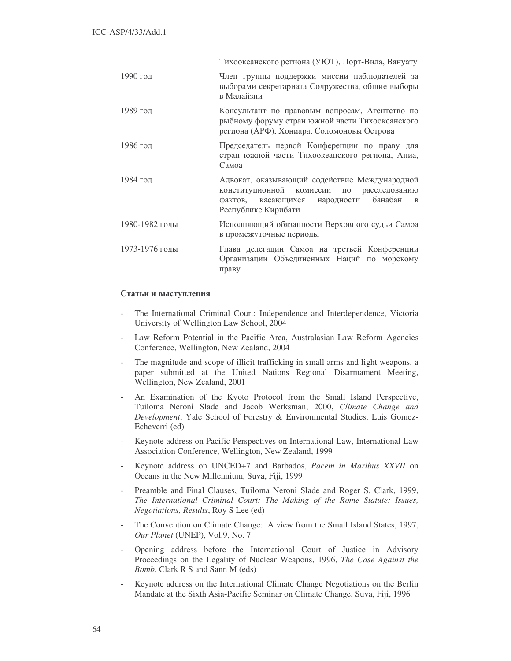|                | Тихоокеанского региона (УЮТ), Порт-Вила, Вануату                                                                                                                              |  |  |
|----------------|-------------------------------------------------------------------------------------------------------------------------------------------------------------------------------|--|--|
| 1990 год       | Член группы поддержки миссии наблюдателей за<br>выборами секретариата Содружества, общие выборы<br>в Малайзии                                                                 |  |  |
| 1989 год       | Консультант по правовым вопросам, Агентство по<br>рыбному форуму стран южной части Тихоокеанского<br>региона (АРФ), Хониара, Соломоновы Острова                               |  |  |
| 1986 год       | Председатель первой Конференции по праву для<br>стран южной части Тихоокеанского региона, Апиа,<br>Самоа                                                                      |  |  |
| 1984 год       | Адвокат, оказывающий содействие Международной<br>конституционной комиссии по расследованию<br>банабан<br>фактов, касающихся народности<br>$\mathbf{B}$<br>Республике Кирибати |  |  |
| 1980-1982 годы | Исполняющий обязанности Верховного судьи Самоа<br>в промежуточные периоды                                                                                                     |  |  |
| 1973-1976 годы | Глава делегации Самоа на третьей Конференции<br>Организации Объединенных Наций по морскому<br>праву                                                                           |  |  |

# Статьи и выступления

- The International Criminal Court: Independence and Interdependence, Victoria University of Wellington Law School, 2004
- Law Reform Potential in the Pacific Area, Australasian Law Reform Agencies Conference, Wellington, New Zealand, 2004
- The magnitude and scope of illicit trafficking in small arms and light weapons, a paper submitted at the United Nations Regional Disarmament Meeting, Wellington, New Zealand, 2001
- An Examination of the Kyoto Protocol from the Small Island Perspective, Tuiloma Neroni Slade and Jacob Werksman, 2000, *Climate Change and Development*, Yale School of Forestry & Environmental Studies, Luis Gomez-Echeverri (ed)
- Keynote address on Pacific Perspectives on International Law, International Law Association Conference, Wellington, New Zealand, 1999
- Keynote address on UNCED+7 and Barbados, *Pacem in Maribus XXVII* on Oceans in the New Millennium, Suva, Fiji, 1999
- Preamble and Final Clauses, Tuiloma Neroni Slade and Roger S. Clark, 1999, *The International Criminal Court: The Making of the Rome Statute: Issues, Negotiations, Results*, Roy S Lee (ed)
- The Convention on Climate Change: A view from the Small Island States, 1997, *Our Planet* (UNEP), Vol.9, No. 7
- Opening address before the International Court of Justice in Advisory Proceedings on the Legality of Nuclear Weapons, 1996, *The Case Against the Bomb*, Clark R S and Sann M (eds)
- Keynote address on the International Climate Change Negotiations on the Berlin Mandate at the Sixth Asia-Pacific Seminar on Climate Change, Suva, Fiji, 1996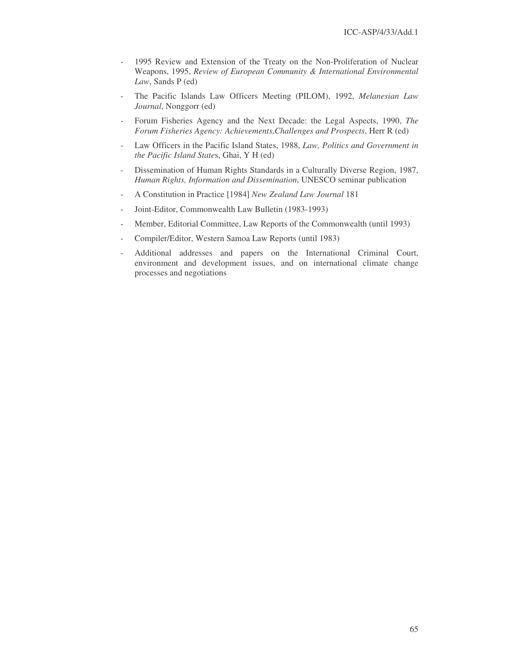- 1995 Review and Extension of the Treaty on the Non-Proliferation of Nuclear Weapons, 1995, *Review of European Community & International Environmental Law*, Sands P (ed)
- The Pacific Islands Law Officers Meeting (PILOM), 1992, *Melanesian Law Journal*, Nonggorr (ed)
- Forum Fisheries Agency and the Next Decade: the Legal Aspects, 1990, *The Forum Fisheries Agency: Achievements,Challenges and Prospects*, Herr R (ed)
- Law Officers in the Pacific Island States, 1988, *Law, Politics and Government in the Pacific Island State*s, Ghai, Y H (ed)
- Dissemination of Human Rights Standards in a Culturally Diverse Region, 1987, *Human Rights, Information and Dissemination*, UNESCO seminar publication
- A Constitution in Practice [1984] *New Zealand Law Journal* 181
- Joint-Editor, Commonwealth Law Bulletin (1983-1993)
- Member, Editorial Committee, Law Reports of the Commonwealth (until 1993)
- Compiler/Editor, Western Samoa Law Reports (until 1983)
- Additional addresses and papers on the International Criminal Court, environment and development issues, and on international climate change processes and negotiations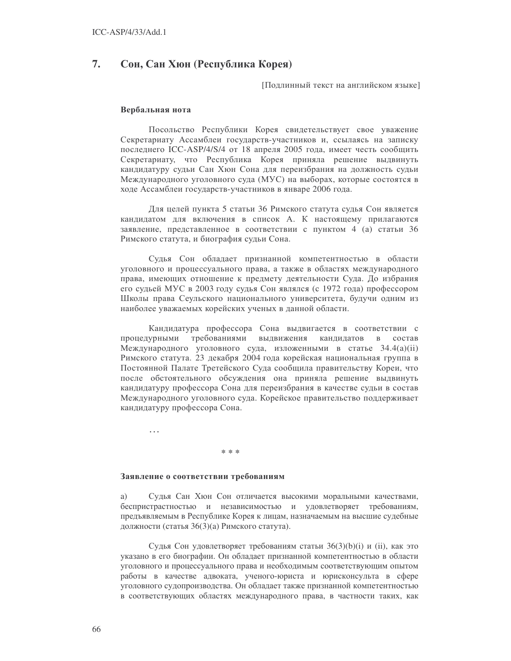#### 7. Сон, Сан Хюн (Республика Корея)

Подлинный текст на английском языке]

#### Вербальная нота

Посольство Республики Корея свидетельствует свое уважение Секретариату Ассамблеи государств-участников и, ссылаясь на записку последнего ICC-ASP/4/S/4 от 18 апреля 2005 года, имеет честь сообщить Секретариату, что Республика Корея приняла решение выдвинуть кандидатуру судьи Сан Хюн Сона для переизбрания на должность судьи Международного уголовного суда (МУС) на выборах, которые состоятся в ходе Ассамблеи государств-участников в январе 2006 года.

Для целей пункта 5 статьи 36 Римского статута судья Сон является кандидатом для включения в список А. К настоящему прилагаются заявление, представленное в соответствии с пунктом 4 (а) статьи 36 Римского статута, и биография судьи Сона.

Судья Сон обладает признанной компетентностью в области уголовного и процессуального права, а также в областях международного права, имеющих отношение к предмету деятельности Суда. До избрания его судьей МУС в 2003 году судья Сон являлся (с 1972 года) профессором Школы права Сеульского национального университета, будучи одним из наиболее уважаемых корейских ученых в данной области.

Кандидатура профессора Сона выдвигается в соответствии с процедурными требованиями выдвижения кандидатов  $\mathbf{B}$ состав Международного уголовного суда, изложенными в статье 34.4(a)(ii) Римского статута. 23 декабря 2004 года корейская национальная группа в Постоянной Палате Третейского Суда сообщила правительству Кореи, что после обстоятельного обсуждения она приняла решение выдвинуть кандидатуру профессора Сона для переизбрания в качестве судьи в состав Международного уголовного суда. Корейское правительство поддерживает кандидатуру профессора Сона.

 $\ddotsc$ 

#### \* \* \*

#### Заявление о соответствии требованиям

a) Судья Сан Хюн Сон отличается высокими моральными качествами, беспристрастностью и независимостью и удовлетворяет требованиям, предъявляемым в Республике Корея к лицам, назначаемым на высшие судебные должности (статья 36(3)(а) Римского статута).

Судья Сон удовлетворяет требованиям статьи 36(3)(b)(i) и (ii), как это указано в его биографии. Он обладает признанной компетентностью в области уголовного и процессуального права и необходимым соответствующим опытом работы в качестве адвоката, ученого-юриста и юрисконсульта в сфере уголовного судопроизводства. Он обладает также признанной компетентностью в соответствующих областях международного права, в частности таких, как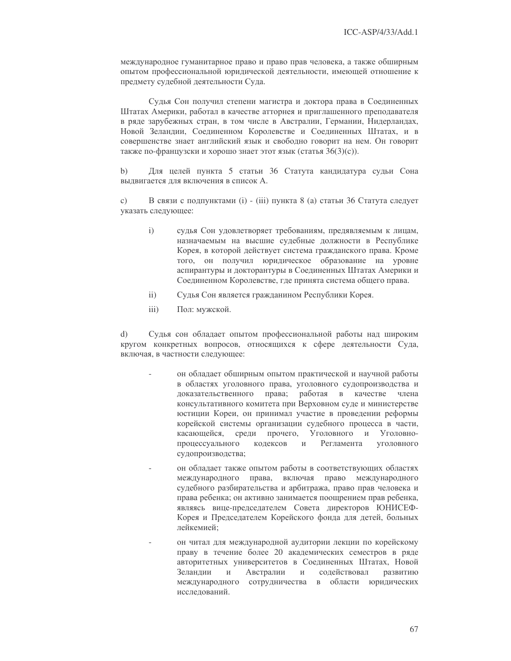международное гуманитарное право и право прав человека, а также обширным опытом профессиональной юридической деятельности, имеющей отношение к предмету судебной деятельности Суда.

Судья Сон получил степени магистра и доктора права в Соединенных Штатах Америки, работал в качестве атторнея и приглашенного преподавателя в ряде зарубежных стран, в том числе в Австралии, Германии, Нидерландах, Новой Зеландии, Соединенном Королевстве и Соединенных Штатах, и в совершенстве знает английский язык и свободно говорит на нем. Он говорит также по-французски и хорошо знает этот язык (статья 36(3)(с)).

Для целей пункта 5 статьи 36 Статута кандидатура судьи Сона  $b)$ выдвигается для включения в список А.

 $c)$ В связи с подпунктами (i) - (iii) пункта 8 (a) статьи 36 Статута следует указать следующее:

- $\mathbf{i}$ судья Сон удовлетворяет требованиям, предявляемым к лицам, назначаемым на высшие судебные должности в Республике Корея, в которой действует система гражданского права. Кроме того, он получил юридическое образование на уровне аспирантуры и докторантуры в Соединенных Штатах Америки и Соединенном Королевстве, где принята система общего права.
- $\overline{ii}$ ) Судья Сон является гражданином Республики Корея.
- $iii)$ Пол: мужской.

 $\mathbf{d}$ Судья сон обладает опытом профессиональной работы над широким кругом конкретных вопросов, относящихся к сфере деятельности Суда, включая, в частности следующее:

- он обладает обширным опытом практической и научной работы в областях уголовного права, уголовного судопроизводства и доказательственного права; работая в качестве члена консультативного комитета при Верховном суде и министерстве юстиции Кореи, он принимал участие в проведении реформы корейской системы организации судебного процесса в части, касающейся, среди прочего, Уголовного и Уголовноуголовного процессуального колексов  $\overline{M}$ Регламента судопроизводства;
- он обладает также опытом работы в соответствующих областях международного права, включая право международного судебного разбирательства и арбитража, право прав человека и права ребенка; он активно занимается поощрением прав ребенка, являясь вице-председателем Совета директоров ЮНИСЕФ-Корея и Председателем Корейского фонда для детей, больных лейкемией:
- он читал для международной аудитории лекции по корейскому праву в течение более 20 академических семестров в ряде авторитетных университетов в Соединенных Штатах, Новой Зеландии  $\mathbf{M}$ Австралии  $\,$   $\,$   $\,$ содействовал развитию международного сотрудничества в области юридических исследований.

67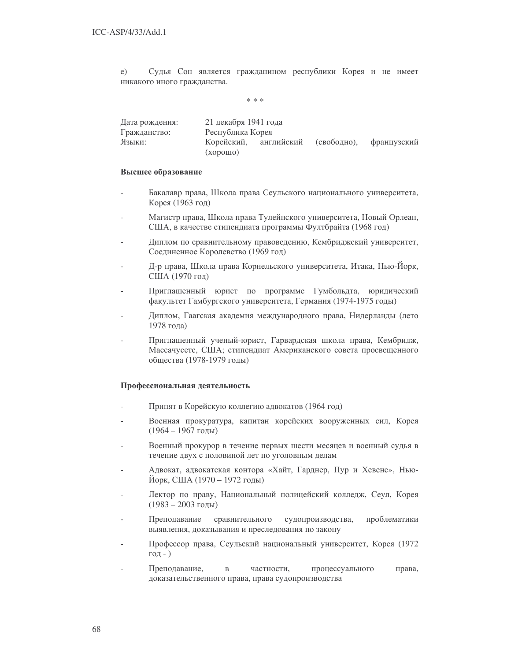Судья Сон является гражданином республики Корея и не имеет e) никакого иного гражданства.

 $* * *$ 

| Дата рождения: | 21 декабря 1941 года |            |             |             |
|----------------|----------------------|------------|-------------|-------------|
| Гражданство:   | Республика Корея     |            |             |             |
| Языки:         | Корейский,           | английский | (свободно), | французский |
|                | (xopom)              |            |             |             |

#### Высшее образование

- Бакалавр права, Школа права Сеульского национального университета, Корея (1963 год)
- Магистр права, Школа права Тулейнского университета, Новый Орлеан, США, в качестве стипендиата программы Фултбрайта (1968 год)
- Диплом по сравнительному правоведению, Кембриджский университет, Соединенное Королевство (1969 год)
- Д-р права, Школа права Корнельского университета, Итака, Нью-Йорк, США (1970 год)
- Приглашенный юрист по программе Гумбольдта, юридический факультет Гамбургского университета, Германия (1974-1975 годы)
- Диплом, Гаагская академия международного права, Нидерланды (лето 1978 года)
- Приглашенный ученый-юрист, Гарвардская школа права, Кембридж, Массачусетс, США; стипендиат Американского совета просвещенного общества (1978-1979 годы)

# Профессиональная деятельность

- Принят в Корейскую коллегию адвокатов (1964 год)
- Военная прокуратура, капитан корейских вооруженных сил, Корея  $(1964 - 1967$  годы)
- Военный прокурор в течение первых шести месяцев и военный судья в течение двух с половиной лет по уголовным делам
- Адвокат, адвокатская контора «Хайт, Гарднер, Пур и Хевенс», Нью-Йорк, США (1970 – 1972 годы)
- Лектор по праву, Национальный полицейский колледж, Сеул, Корея  $(1983 - 2003$  годы)
- сравнительного судопроизводства, проблематики Преподавание выявления, доказывания и преследования по закону
- Профессор права, Сеульский национальный университет, Корея (1972  $\Gamma$ ОД - )
- Преподавание. частности, процессуального права,  $\overline{R}$ доказательственного права, права судопроизводства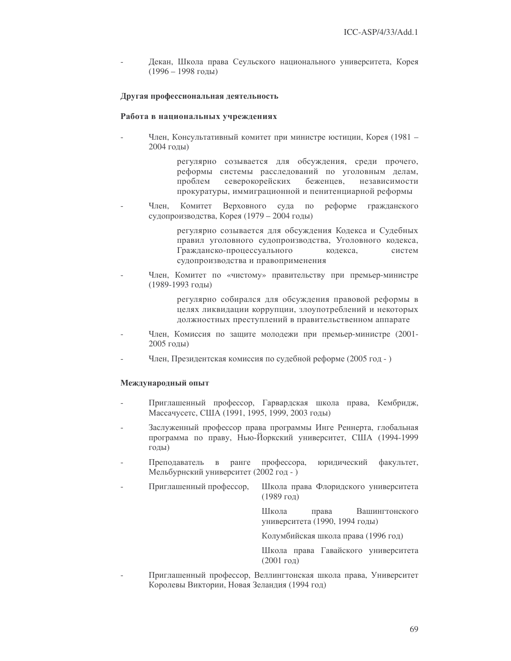Декан, Школа права Сеульского национального университета, Корея  $(1996 - 1998$  годы)

#### Другая профессиональная деятельность

#### Работа в национальных учреждениях

Член, Консультативный комитет при министре юстиции, Корея (1981 -2004 годы)

> регулярно созывается для обсуждения, среди прочего, реформы системы расследований по уголовным делам, проблем северокорейских бежениев. независимости прокуратуры, иммиграционной и пенитенциарной реформы

Член. Комитет Верховного суда по реформе гражданского судопроизводства, Корея (1979 – 2004 годы)

> регулярно созывается для обсуждения Кодекса и Судебных правил уголовного судопроизводства, Уголовного кодекса, Гражданско-процессуального колекса. систем судопроизводства и правоприменения

Член, Комитет по «чистому» правительству при премьер-министре (1989-1993 годы)

> регулярно собирался для обсуждения правовой реформы в целях ликвидации коррупции, злоупотреблений и некоторых должностных преступлений в правительственном аппарате

- Член, Комиссия по защите молодежи при премьер-министре (2001- $2005$  голы)
- Член, Президентская комиссия по судебной реформе (2005 год )

#### Международный опыт

- Приглашенный профессор, Гарвардская школа права, Кембридж, Массачусетс, США (1991, 1995, 1999, 2003 годы)
- Заслуженный профессор права программы Инге Реннерта, глобальная программа по праву, Нью-Йоркский университет, США (1994-1999 голы)
- Преподаватель в ранге профессора, юридический факультет, Мельбурнский университет (2002 год - )
- Приглашенный профессор, Школа права Флоридского университета  $(1989)$  год)

Школа права Вашингтонского университета (1990, 1994 годы)

Колумбийская школа права (1996 год)

Школа права Гавайского университета  $(2001$  год)

Приглашенный профессор, Веллингтонская школа права, Университет Королевы Виктории, Новая Зеландия (1994 год)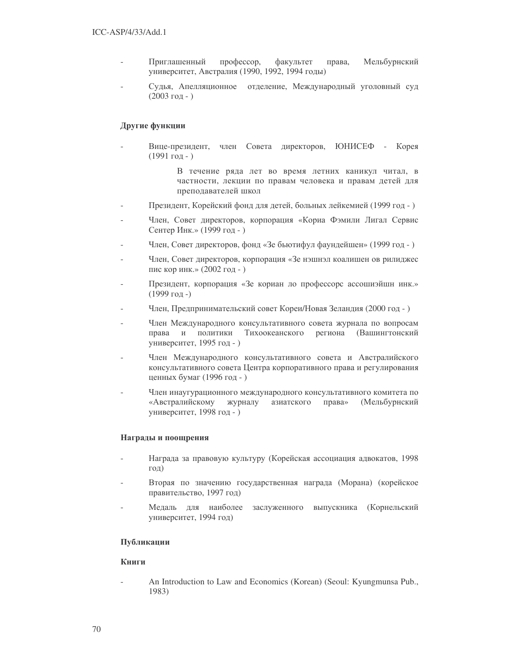- Приглашенный профессор, факультет права. а, Мельбурнский университет, Австралия (1990, 1992, 1994 годы)
- Судья, Апелляционное отделение, Международный уголовный суд  $(2003$  год -  $)$

# Другие функции

- Вице-президент, член Совета директоров, ЮНИСЕФ - Корея  $(1991$  год - )

> В течение ряда лет во время летних каникул читал, в частности, лекции по правам человека и правам детей для преподавателей школ

- Президент, Корейский фонд для детей, больных лейкемией (1999 год -)
- Член, Совет директоров, корпорация «Кориа Фэмили Лигал Сервис Сентер Инк.» (1999 год - )
- Член, Совет директоров, фонд «Зе бьютифул фаундейшен» (1999 год -)
- Член, Совет директоров, корпорация «Зе нэшнэл коалишен ов рилиджес пис кор инк.»  $(2002 \text{ год} - )$
- Президент, корпорация «Зе кориан ло профессорс ассошиэйшн инк.»  $(1999)$  год -)
- Член, Предпринимательский совет Кореи/Новая Зеландия (2000 год -)
- Член Международного консультативного совета журнала по вопросам права и политики Тихоокеанского региона (Вашингтонский университет, 1995 год - )
- Член Международного консультативного совета и Австралийского консультативного совета Центра корпоративного права и регулирования ценных бумаг (1996 год - )
- Член инаугурационного международного консультативного комитета по «Австралийскому журналу азиатского прав а» (Мельбурнский университет, 1998 год - )

# Награды и поощрения

- Награда за правовую культуру (Корейская ассоциация адвокатов, 1998 год)
- Вторая по значению государственная награда (Морана) (корейское правительство, 1997 год)
- Медаль для наиболее заслуженного выпускника (Корнельский университет, 1994 год)

# Публикации

# **Книги**

- An Introduction to Law and Economics (Korean) (Seoul: Kyungmunsa Pub., 1983)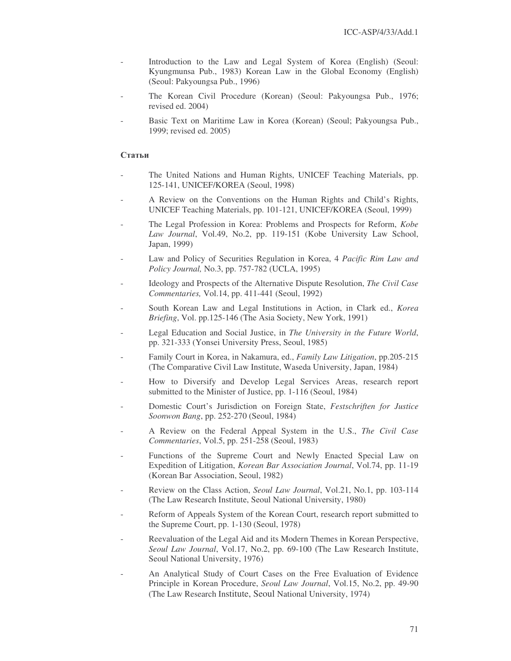- Introduction to the Law and Legal System of Korea (English) (Seoul: Kyungmunsa Pub., 1983) Korean Law in the Global Economy (English) (Seoul: Pakyoungsa Pub., 1996)
- The Korean Civil Procedure (Korean) (Seoul: Pakyoungsa Pub., 1976; revised ed. 2004)
- Basic Text on Maritime Law in Korea (Korean) (Seoul; Pakyoungsa Pub., 1999; revised ed. 2005)

### **Статьи**

- The United Nations and Human Rights, UNICEF Teaching Materials, pp. 125-141, UNICEF/KOREA (Seoul, 1998)
- A Review on the Conventions on the Human Rights and Child's Rights, UNICEF Teaching Materials, pp. 101-121, UNICEF/KOREA (Seoul, 1999)
- The Legal Profession in Korea: Problems and Prospects for Reform, *Kobe Law Journal*, Vol.49, No.2, pp. 119-151 (Kobe University Law School, Japan, 1999)
- Law and Policy of Securities Regulation in Korea, 4 *Pacific Rim Law and Policy Journal,* No.3, pp. 757-782 (UCLA, 1995)
- Ideology and Prospects of the Alternative Dispute Resolution, *The Civil Case Commentaries,* Vol.14, pp. 411-441 (Seoul, 1992)
- South Korean Law and Legal Institutions in Action, in Clark ed., *Korea Briefing*, Vol. pp.125-146 (The Asia Society, New York, 1991)
- Legal Education and Social Justice, in *The University in the Future World*, pp. 321-333 (Yonsei University Press, Seoul, 1985)
- Family Court in Korea, in Nakamura, ed., *Family Law Litigation*, pp.205-215 (The Comparative Civil Law Institute, Waseda University, Japan, 1984)
- How to Diversify and Develop Legal Services Areas, research report submitted to the Minister of Justice, pp. 1-116 (Seoul, 1984)
- Domestic Court's Jurisdiction on Foreign State, *Festschriften for Justice Soonwon Bang*, pp. 252-270 (Seoul, 1984)
- A Review on the Federal Appeal System in the U.S., *The Civil Case Commentaries*, Vol.5, pp. 251-258 (Seoul, 1983)
- Functions of the Supreme Court and Newly Enacted Special Law on Expedition of Litigation, *Korean Bar Association Journal*, Vol.74, pp. 11-19 (Korean Bar Association, Seoul, 1982)
- Review on the Class Action, *Seoul Law Journal*, Vol.21, No.1, pp. 103-114 (The Law Research Institute, Seoul National University, 1980)
- Reform of Appeals System of the Korean Court, research report submitted to the Supreme Court, pp. 1-130 (Seoul, 1978)
- Reevaluation of the Legal Aid and its Modern Themes in Korean Perspective, *Seoul Law Journal*, Vol.17, No.2, pp. 69-100 (The Law Research Institute, Seoul National University, 1976)
- An Analytical Study of Court Cases on the Free Evaluation of Evidence Principle in Korean Procedure, *Seoul Law Journal*, Vol.15, No.2, pp. 49-90 (The Law Research Institute, Seoul National University, 1974)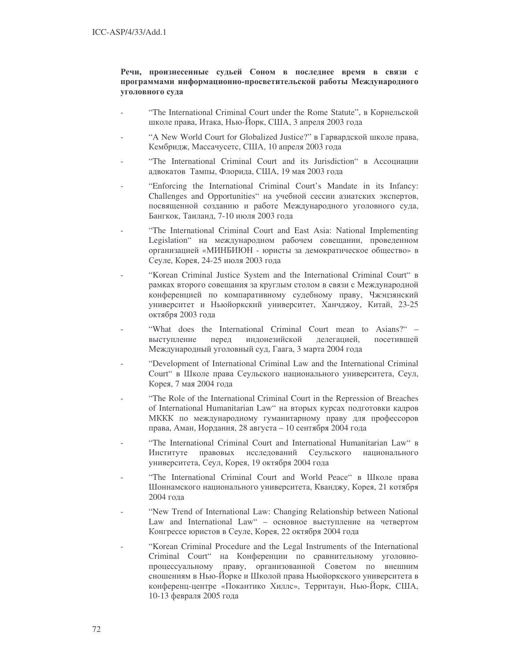# Речи, произнесенные судьей Соном в последнее время в связи с программами информационно-просветительской работы Международного уголовного суда

- "The International Criminal Court under the Rome Statute", в Корнельской школе права, Итака, Нью-Йорк, США, 3 апреля 2003 года
- "A New World Court for Globalized Justice?" в Гарвардской школе права, Кембридж, Массачусетс, США, 10 апреля 2003 года
- "The International Criminal Court and its Jurisdiction" в Ассоциации адвокатов Тампы, Флорида, США, 19 мая 2003 года
- "Enforcing the International Criminal Court's Mandate in its Infancy: Challenges and Opportunities" на учебной сессии азиатских экспертов, посвященной созданию и работе Международного уголовного суда, Бангкок, Таиланд, 7-10 июля 2003 года
- "The International Criminal Court and East Asia: National Implementing Legislation" на международном рабочем совещании, проведенном организацией «МИНБИЮН - юристы за демократическое общество» в Сеуле, Корея, 24-25 июля 2003 года
- "Korean Criminal Justice System and the International Criminal Court" B рамках второго совещания за круглым столом в связи с Международной конференцией по компаративному судебному праву, Чжэцзянский университет и Ньюйоркский университет, Ханчджоу, Китай, 23-25 октября 2003 года
- "What does the International Criminal Court mean to Asians?" выступление перед индонезийской делегацией, посетившей Международный уголовный суд, Гаага, 3 марта 2004 года
- "Development of International Criminal Law and the International Criminal Court" в Школе права Сеульского национального университета, Сеул, Корея, 7 мая 2004 года
- "The Role of the International Criminal Court in the Repression of Breaches" of International Humanitarian Law" на вторых курсах подготовки кадров МККК по международному гуманитарному праву для профессоров права, Аман, Иордания, 28 августа - 10 сентября 2004 года
- "The International Criminal Court and International Humanitarian Law" B Институте правовых исследований Сеульского национального университета, Сеул, Корея, 19 октября 2004 года
- "The International Criminal Court and World Peace" в Школе права Шоннамского национального университета, Кванджу, Корея, 21 котября 2004 года
- "New Trend of International Law: Changing Relationship between National Law and International Law" - основное выступление на четвертом Конгрессе юристов в Сеуле, Корея, 22 октября 2004 года
- "Korean Criminal Procedure and the Legal Instruments of the International Criminal Court" на Конференции по сравнительному уголовнопроцессуальному праву, организованной Советом по внешним сношениям в Нью-Йорке и Школой права Ньюйоркского университета в конференц-центре «Покантико Хиллс», Территаун, Нью-Йорк, США, 10-13 февраля 2005 года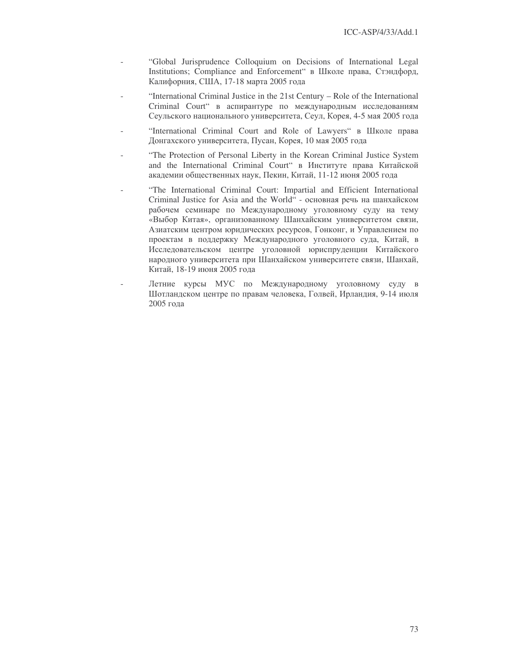- "Global Jurisprudence Colloquium on Decisions of International Legal Institutions; Compliance and Enforcement" в Школе права, Стэндфорд, Калифорния, США, 17-18 марта 2005 года
- "International Criminal Justice in the 21st Century Role of the International Criminal Court" в аспирантуре по международным исследованиям Сеульского национального университета, Сеул, Корея, 4-5 мая 2005 года
- "International Criminal Court and Role of Lawyers" в Школе права Донгахского университета, Пусан, Корея, 10 мая 2005 года
- "The Protection of Personal Liberty in the Korean Criminal Justice System and the International Criminal Court" в Институте права Китайской академии общественных наук, Пекин, Китай, 11-12 июня 2005 года
- "The International Criminal Court: Impartial and Efficient International Criminal Justice for Asia and the World" - основная речь на шанхайском рабочем семинаре по Международному уголовному суду на тему «Выбор Китая», организованному Шанхайским университетом связи, Азиатским центром юридических ресурсов, Гонконг, и Управлением по проектам в поддержку Международного уголовного суда, Китай, в Исследовательском центре уголовной юриспруденции Китайского народного университета при Шанхайском университете связи, Шанхай, Китай, 18-19 июня 2005 года
- Летние курсы МУС по Международному уголовному суду в Шотландском центре по правам человека, Голвей, Ирландия, 9-14 июля 2005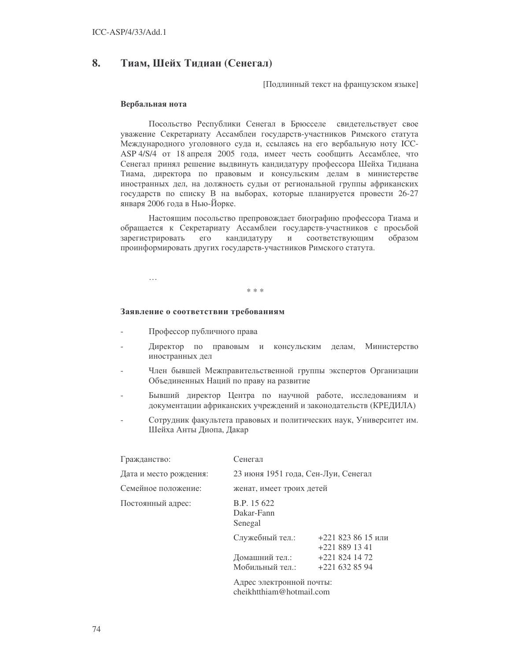#### 8. Тиам, Шейх Тидиан (Сенегал)

Подлинный текст на французском языке]

#### Вербальная нота

Посольство Республики Сенегал в Брюсселе свидетельствует свое уважение Секретариату Ассамблеи государств-участников Римского статута Международного уголовного суда и, ссылаясь на его вербальную ноту ICC-ASP 4/S/4 от 18 апреля 2005 года, имеет честь сообщить Ассамблее, что Сенегал принял решение выдвинуть кандидатуру профессора Шейха Тидиана Тиама, директора по правовым и консульским делам в министерстве иностранных дел, на должность судьи от региональной группы африканских государств по списку В на выборах, которые планируется провести 26-27 января 2006 года в Нью-Йорке.

Настоящим посольство препровождает биографию профессора Тиама и обращается к Секретариату Ассамблеи государств-участников с просьбой зарегистрировать  $er$ кандидатуру  $\,$   $\,$   $\,$   $\,$ соответствующим образом проинформировать других государств-участников Римского статута.

 $\ddotsc$ 

#### $* * *$

## Заявление о соответствии требованиям

- Профессор публичного права
- Директор по правовым и консульским делам, Министерство иностранных дел
- Член бывшей Межправительственной группы экспертов Организации Объединенных Наций по праву на развитие
- Бывший директор Центра по научной работе, исследованиям и документации африканских учреждений и законодательств (КРЕДИЛА)
- Сотрудник факультета правовых и политических наук, Университет им. Шейха Анты Диопа, Дакар

| Гражданство:           | Сенегал                              |                                    |  |
|------------------------|--------------------------------------|------------------------------------|--|
| Дата и место рождения: | 23 июня 1951 года, Сен-Луи, Сенегал  |                                    |  |
| Семейное положение:    | женат, имеет троих детей             |                                    |  |
| Постоянный адрес:      | B.P. 15 622<br>Dakar-Fann<br>Senegal |                                    |  |
|                        | Служебный тел.:                      | $+2218238615$ или<br>$+2218891341$ |  |
|                        | Домашний тел.:                       | $+2218241472$                      |  |
|                        | Мобильный тел.:                      | $+221$ 632 85 94                   |  |
|                        | Алрес электронной почты              |                                    |  |

cheikhtthiam@hotmail.com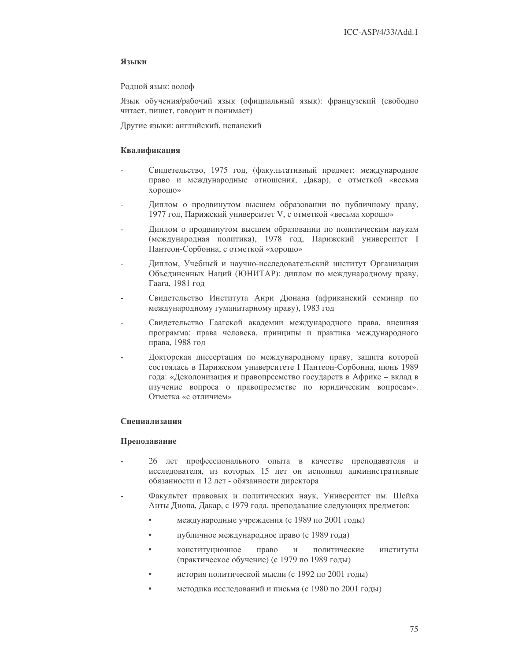## Языки

Родной язык: волоф

Язык обучения/рабочий язык (официальный язык): французский (свободно читает, пишет, говорит и понимает)

Другие языки: английский, испанский

## Квалификация

- Свидетельство, 1975 год, (факультативный предмет: международное право и международные отношения, Дакар), с отметкой «весьма хорошо»
- Диплом о продвинутом высшем образовании по публичному праву, 1977 год, Парижский университет V, с отметкой «весьма хорошо»
- Диплом о продвинутом высшем образовании по политическим наукам (международная политика), 1978 год, Парижский университет I Пантеон-Сорбонна, с отметкой «хорошо»
- Диплом, Учебный и научно-исследовательский институт Организации Объединенных Наций (ЮНИТАР): диплом по международному праву, Гаага, 1981 год
- Свидетельство Института Анри Дюнана (африканский семинар по международному гуманитарному праву), 1983 год
- Свидетельство Гаагской академии международного права, внешняя программа: права человека, принципы и практика международного права, 1988 год
- Докторская диссертация по международному праву, защита которой состоялась в Парижском университете I Пантеон-Сорбонна, июнь 1989 года: «Деколонизация и правопреемство государств в Африке - вклад в изучение вопроса о правопреемстве по юридическим вопросам». Отметка «с отличием»

## Спениализания

### Преподавание

- 26 лет профессионального опыта в качестве преподавателя и исследователя, из которых 15 лет он исполнял административные обязанности и 12 лет - обязанности директора
- Факультет правовых и политических наук. Университет им. Шейха Анты Диопа, Дакар, с 1979 года, преподавание следующих предметов:
	- международные учреждения (с 1989 по 2001 годы)
	- $\mathbf{r}$ публичное международное право (с 1989 года)
	- конституционное право политические институты  $\overline{M}$ (практическое обучение) (с 1979 по 1989 годы)
	- история политической мысли (с 1992 по 2001 годы)
	- методика исследований и письма (с 1980 по 2001 годы)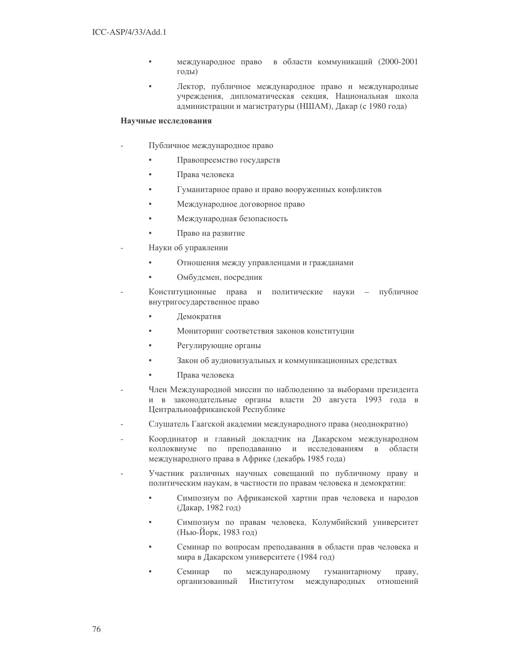- международное право в области коммуникаций (2000-2001 годы)
- Лектор, публичное международное право и международные учреждения, дипломатическая секция, Национальная школа администрации и магистратуры (НШАМ), Дакар (с 1980 года)

## Научные исследования

- Публичное международное право
	- Правопреемство государств
	- Права человека
	- Гуманитарное право и право вооруженных конфликтов
	- Международное договорное право
	- Международная безопасность
	- Право на развитие
- Науки об управлении
	- Отношения между управленцами и гражданами
	- Омбудсмен, посредник
- Конституционные права и политические науки - публичное внутригосударственное право
	- ÷. Демократия
	- Мониторинг соответствия законов конституции
	- Регулирующие органы
	- Закон об аудиовизуальных и коммуникационных средствах
	- Права человека
- Член Международной миссии по наблюдению за выборами президента и в законодательные органы власти 20 августа 1993 года в Центральноафриканской Республике
- Слушатель Гаагской академии международного права (неоднократно)
- Координатор и главный докладчик на Дакарском международном коллоквиуме по преподаванию и исследованиям в области международного права в Африке (декабрь 1985 года)
- Участник различных научных совещаний по публичному праву и политическим наукам, в частности по правам человека и демократии:
	- Симпозиум по Африканской хартии прав человека и народов (Дакар, 1982 год)
	- Симпозиум по правам человека, Колумбийский университет (Нью-Йорк, 1983 год)
	- Семинар по вопросам преподавания в области прав человека и мира в Дакарском университете (1984 год)
	- Семинар  $\Pi 0$ международному гуманитарному праву, организованный Институтом международных отношений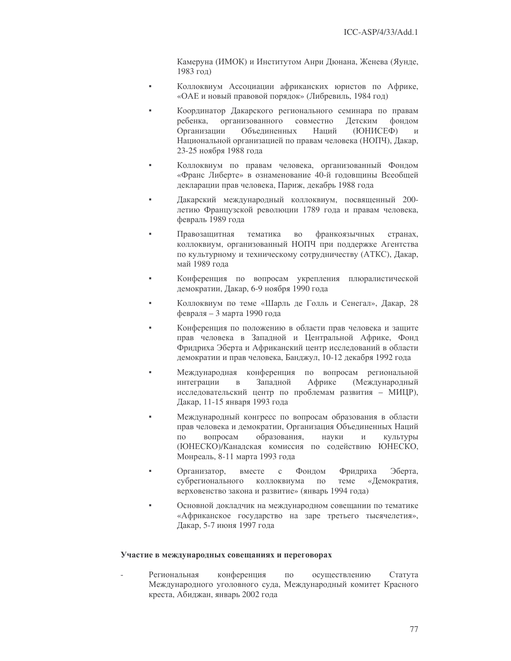Камеруна (ИМОК) и Институтом Анри Дюнана, Женева (Яунде, 1983 год)

- Коллоквиум Ассоциации африканских юристов по Африке, «ОАЕ и новый правовой порядок» (Либревиль, 1984 год)
- Координатор Дакарского регионального семинара по правам ребенка. организованного совместно Детским фондом Организации Объелиненных Напий (ЮНИСЕФ)  $\overline{M}$ Национальной организацией по правам человека (НОПЧ), Дакар, 23-25 ноября 1988 года
- Коллоквиум по правам человека, организованный Фондом «Франс Либерте» в ознаменование 40-й годовщины Всеобщей декларации прав человека, Париж, декабрь 1988 года
- Дакарский международный коллоквиум, посвященный 200- $\alpha$ летию Французской революции 1789 года и правам человека, февраль 1989 года
- Правозащитная тематика  ${\rm BO}$ франкоязычных странах, коллоквиум, организованный НОПЧ при поддержке Агентства по культурному и техническому сотрудничеству (АТКС), Дакар, май 1989 года
- Конференция по вопросам укрепления плюралистической демократии, Дакар, 6-9 ноября 1990 года
- Коллоквиум по теме «Шарль де Голль и Сенегал», Дакар, 28 февраля - 3 марта 1990 года
- Конференция по положению в области прав человека и защите прав человека в Западной и Центральной Африке, Фонд Фридриха Эберта и Африканский центр исследований в области демократии и прав человека, Банджул, 10-12 декабря 1992 года
- Международная конференция по вопросам региональной Западной Африке интеграции  $\, {\bf B}$ (Международный исследовательский центр по проблемам развития - МИЦР), Дакар, 11-15 января 1993 года
- Международный конгресс по вопросам образования в области прав человека и демократии, Организация Объединенных Наций образования,  $\overline{10}$ вопросам науки  $\overline{M}$ **КVЛЬТVDЫ** (ЮНЕСКО)/Канадская комиссия по содействию ЮНЕСКО, Монреаль, 8-11 марта 1993 года
- Эберта. вместе  $\mathbf{c}$ Фондом Фридриха Организатор, субрегионального коллоквиума теме «Демократия,  $\Pi$ <sup>O</sup> верховенство закона и развитие» (январь 1994 года)
- Основной докладчик на международном совещании по тематике «Африканское государство на заре третьего тысячелетия», Дакар, 5-7 июня 1997 года

### Участие в международных совещаниях и переговорах

Региональная конференция  $\Pi 0$ осуществлению Статута Международного уголовного суда, Международный комитет Красного креста, Абиджан, январь 2002 года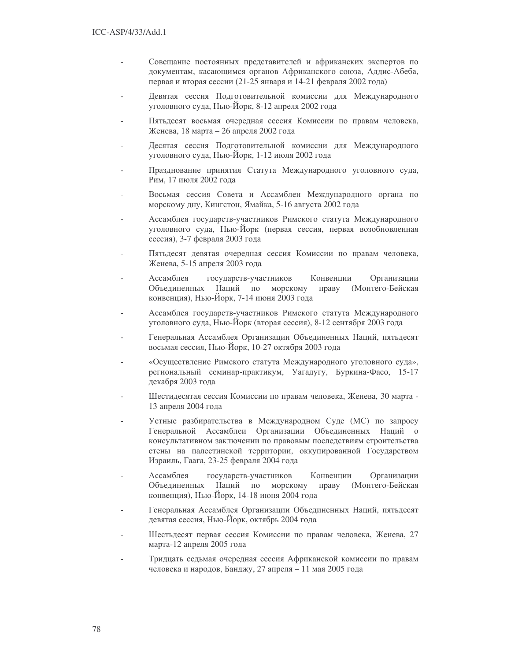- Совещание постоянных представителей и африканских экспертов по документам, касающимся органов Африканского союза, Аддис-Абеба, первая и вторая сессии (21-25 января и 14-21 февраля 2002 года)
- Девятая сессия Подготовительной комиссии для Международного уголовного суда, Нью-Йорк, 8-12 апреля 2002 года
- Пятьдесят восьмая очередная сессия Комиссии по правам человека, Женева, 18 марта – 26 апреля 2002 года
- Десятая сессия Подготовительной комиссии для Международного уголовного суда, Нью-Йорк, 1-12 июля 2002 года
- Празднование принятия Статута Международного уголовного суда, Рим, 17 июля 2002 года
- Восьмая сессия Совета и Ассамблеи Международного органа по морскому дну, Кингстон, Ямайка, 5-16 августа 2002 года
- Ассамблея государств-участников Римского статута Международного уголовного суда, Нью-Йорк (первая сессия, первая возобновленная сессия), 3-7 февраля 2003 года
- Пятьдесят девятая очередная сессия Комиссии по правам человека, Женева, 5-15 апреля 2003 года
- Ассамблея государств-участников Конвенции Организации Объединенных Наций по морскому праву (Монтего-Бейская конвенция), Нью-Йорк, 7-14 июня 2003 года
- Ассамблея государств-участников Римского статута Международного уголовного суда, Нью-Йорк (вторая сессия), 8-12 сентября 2003 года
- Генеральная Ассамблея Организации Объединенных Наций, пятьдесят восьмая сессия, Нью-Йорк, 10-27 октября 2003 года
- «Осуществление Римского статута Международного уголовного суда», региональный семинар-практикум, Уагадугу, Буркина-Фасо, 15-17 декабря 2003 года
- Шестидесятая сессия Комиссии по правам человека, Женева, 30 марта -13 апреля 2004 года
- Устные разбирательства в Международном Суде (МС) по запросу Генеральной Ассамблеи Организации Объединенных Наций о консультативном заключении по правовым последствиям строительства стены на палестинской территории, оккупированной Государством Израиль, Гаага, 23-25 февраля 2004 года
- Ассамблея государств-участников Конвенции Организации Объединенных Наций по морскому праву (Монтего-Бейская конвенция), Нью-Йорк, 14-18 июня 2004 года
- Генеральная Ассамблея Организации Объединенных Наций, пятьдесят девятая сессия, Нью-Йорк, октябрь 2004 года
- Шестьдесят первая сессия Комиссии по правам человека, Женева, 27 марта-12 апреля 2005 года
- Тридцать седьмая очередная сессия Африканской комиссии по правам человека и народов, Банджу, 27 апреля - 11 мая 2005 года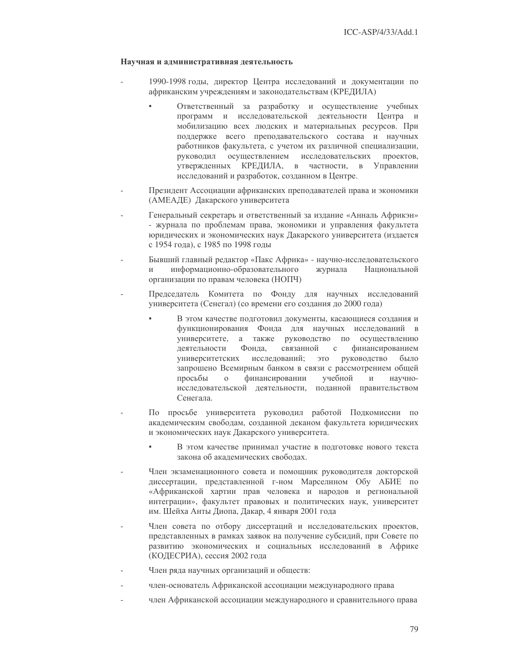## Научная и административная деятельность

- 1990-1998 годы, директор Центра исследований и документации по африканским учреждениям и законодательствам (КРЕДИЛА)
	- Ответственный за разработку и осуществление учебных программ и исследовательской деятельности Центра и мобилизацию всех людских и материальных ресурсов. При поддержке всего преподавательского состава и научных работников факультета, с учетом их различной специализации, руководил осуществлением исследовательских проектов, утвержденных КРЕДИЛА, в частности, в Управлении исследований и разработок, созданном в Центре.
- Президент Ассоциации африканских преподавателей права и экономики (АМЕАДЕ) Дакарского университета
- Генеральный секретарь и ответственный за издание «Анналь Африкэн» - журнала по проблемам права, экономики и управления факультета юридических и экономических наук Дакарского университета (издается с 1954 года), с 1985 по 1998 годы
- Бывший главный редактор «Пакс Африка» научно-исследовательского  $\overline{M}$ информационно-образовательного журнала Национальной организации по правам человека (НОПЧ)
- Председатель Комитета по Фонду для научных исследований университета (Сенегал) (со времени его создания до 2000 года)
	- В этом качестве подготовил документы, касающиеся создания и функционирования Фонда для научных исследований в университете, а также руководство по осуществлению Фонда. связанной леятельности  $\mathbf{c}$ финансированием исследований; университетских ЭТО руководство было запрошено Всемирным банком в связи с рассмотрением общей просьбы  $\Omega$ финансировании учебной  $W$ научноисследовательской деятельности, поданной правительством Сенегала.
- По просьбе университета руководил работой Подкомиссии по академическим свободам, созданной деканом факультета юридических и экономических наук Дакарского университета.
	- В этом качестве принимал участие в подготовке нового текста закона об академических свободах.
- Член экзаменационного совета и помощник руководителя докторской диссертации, представленной г-ном Марселином Обу АБИЕ по «Африканской хартии прав человека и народов и региональной интеграции», факультет правовых и политических наук, университет им. Шейха Анты Диопа, Дакар, 4 января 2001 года
- Член совета по отбору диссертаций и исследовательских проектов, представленных в рамках заявок на получение субсидий, при Совете по развитию экономических и социальных исследований в Африке (КОДЕСРИА), сессия 2002 года
- Член ряда научных организаций и обществ:
- член-основатель Африканской ассоциации международного права
- член Африканской ассоциации международного и сравнительного права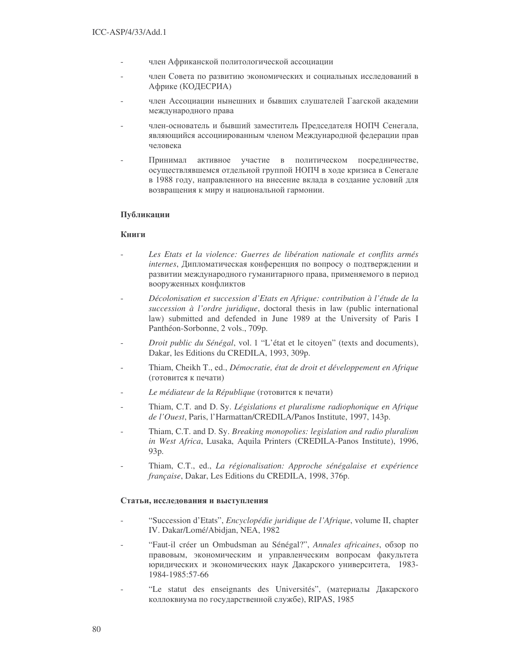- член Африканской политологической ассоциации
- член Совета по развитию экономических и социальных исследований в Африке (КОДЕСРИА)
- член Ассоциации нынешних и бывших слушателей Гаагской академии международного права
- член-основатель и бывший заместитель Председателя НОПЧ Сенегала, являющийся ассоциированным членом Международной федерации прав человека
- Принимал ное участие в политическом посредничестве, осуществлявшемся отдельной группой НОПЧ в ходе кризиса в Сенегале в 1988 году, направленного на внесение вклада в создание условий для возвращения к миру и национальной гармонии.

## Публикации

## **Книги**

- *Les Etats et la violence: Guerres de libération nationale et conflits armés internes*, Дипломатическая конференция по вопросу о подтверждении и развитии международного гуманитарного права, применяемого в период вооруженных конфликтов
- *Décolonisation et succession d'Etats en Afrique: contribution à l'étude de la succession à l'ordre juridique*, doctoral thesis in law (public international law) submitted and defended in June 1989 at the University of Paris I Panthéon-Sorbonne, 2 vols., 709p.
- *Droit public du Sénégal*, vol. 1 "L'état et le citoyen" (texts and documents), Dakar, les Editions du CREDILA, 1993, 309p.
- Thiam, Cheikh T., ed., *Démocratie, état de droit et développement en Afrique* (готовится к печати)
- *Le médiateur de la République* (готовится к печати)
- Thiam, C.T. and D. Sy. *Législations et pluralisme radiophonique en Afrique de l'Ouest*, Paris, l'Harmattan/CREDILA/Panos Institute, 1997, 143p.
- Thiam, C.T. and D. Sy. *Breaking monopolies: legislation and radio pluralism in West Africa*, Lusaka, Aquila Printers (CREDILA-Panos Institute), 1996, 93p.
- Thiam, C.T., ed., *La régionalisation: Approche sénégalaise et expérience française*, Dakar, Les Editions du CREDILA, 1998, 376p.

## Статьи, исследования и выступления

- "Succession d'Etats", *Encyclopédie juridique de l'Afrique*, volume II, chapter IV. Dakar/Lomé/Abidjan, NEA, 1982
- "Faut-il créer un Ombudsman au Sénégal?", *Annales africaines*, обзор по правовым, экономическим и управленческим вопросам факультета юридических и экономических наук Дакарского университета, 1983-1984-1985:57-66
- "Le statut des enseignants des Universités", (материалы Дакарского коллоквиума по государственной службе), RIPAS, 1985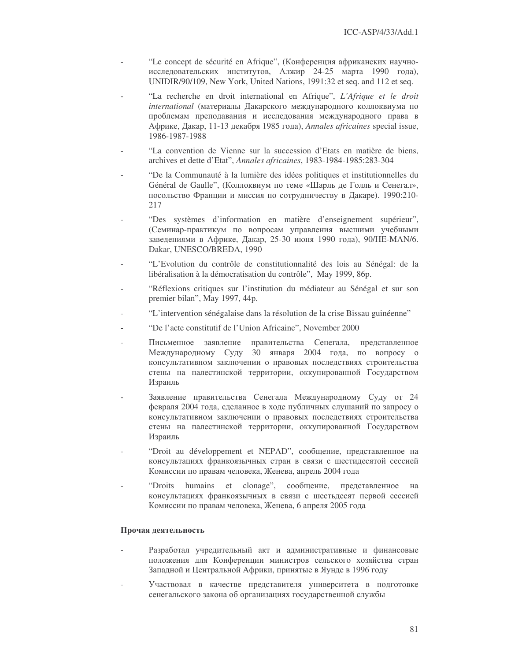- "Le concept de sécurité en Afrique", (Конференция африканских научноисследовательских институтов, Алжир 24-25 марта 1990 года), UNIDIR/90/109, New York, United Nations, 1991:32 et seq. and 112 et seq.
- "La recherche en droit international en Afrique", *L'Afrique et le droit* international (материалы Дакарского международного коллоквиума по проблемам преподавания и исследования международного права в \$, , 11-13 \* 1985  ), *Annales africaines* special issue, 1986-1987-1988
- "La convention de Vienne sur la succession d'Etats en matière de biens, archives et dette d'Etat", *Annales africaines*, 1983-1984-1985:283-304
- "De la Communauté à la lumière des idées politiques et institutionnelles du Général de Gaulle", (Коллоквиум по теме «Шарль де Голль и Сенегал», посольство Франции и миссия по сотрудничеству в Дакаре). 1990:210-217
- "Des systèmes d'information en matière d'enseignement supérieur", (Семинар-практикум по вопросам управления высшими учебными заведениями в Африке, Дакар, 25-30 июня 1990 года), 90/НЕ-МАN/6. Dakar, UNESCO/BREDA, 1990
- "L'Evolution du contrôle de constitutionnalité des lois au Sénégal: de la libéralisation à la démocratisation du contrôle", May 1999, 86p.
- "Réflexions critiques sur l'institution du médiateur au Sénégal et sur son premier bilan", May 1997, 44p.
- "L'intervention sénégalaise dans la résolution de la crise Bissau guinéenne"
- "De l'acte constitutif de l'Union Africaine", November 2000
- Письменное заявление правительства Сенегала, представленное Международному Суду 30 января 2004 года, по вопросу о консультативном заключении о правовых последствиях строительства стены на палестинской территории, оккупированной Государством Израиль
- Заявление правительства Сенегала Международному Суду от 24 февраля 2004 года, сделанное в ходе публичных слушаний по запросу о консультативном заключении о правовых последствиях строительства стены на палестинской территории, оккупированной Государством Израиль
- "Droit au développement et NEPAD", сообщение, представленное на консультациях франкоязычных стран в связи с шестидесятой сессией Комиссии по правам человека, Женева, апрель 2004 года
- "Droits humains et clonage", cooбщение, представленное на консультациях франкоязычных в связи с шестьдесят первой сессией Комиссии по правам человека, Женева, 6 апреля 2005 года

### Прочая деятельность

- Разработал учредительный акт и административные и финансовые положения для Конференции министров сельского хозяйства стран Западной и Центральной Африки, принятые в Яунде в 1996 году
- Участвовал в качестве представителя университета в подготовке сенегальского закона об организациях государственной службы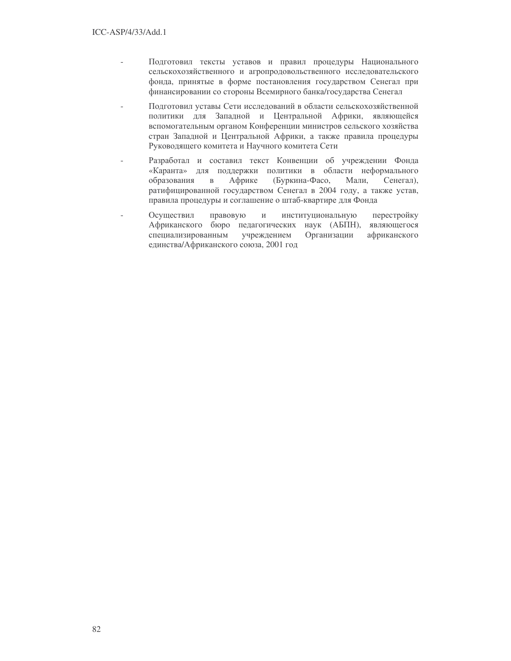- Подготовил тексты уставов и правил процедуры Национального сельскохозяйственного и агропродовольственного исследовательского фонда, принятые в форме постановления государством Сенегал при финансировании со стороны Всемирного банка/государства Сенегал
- Подготовил уставы Сети исследований в области сельскохозяйственной политики для Западной и Центральной Африки, являющейся вспомогательным органом Конференции министров сельского хозяйства стран Западной и Центральной Африки, а также правила процедуры Руководящего комитета и Научного комитета Сети
- Разработал и составил текст Конвенции об учреждении Фонда «Каранта» для поддержки политики в области неформального образования Африке (Буркина-Фасо, Мали,  $\, {\bf B}$ Сенегал), ратифицированной государством Сенегал в 2004 году, а также устав, правила процедуры и соглашение о штаб-квартире для Фонда
- Осуществил правовую институциональную перестройку  $\overline{a}$  $\,$   $\,$   $\,$   $\,$ Африканского бюро педагогических наук (АБПН), являющегося специализированным учреждением Организации африканского единства/Африканского союза, 2001 год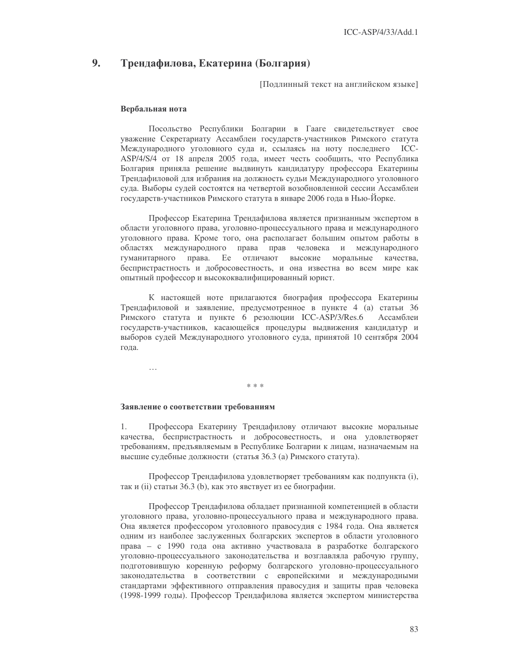#### 9. Трендафилова, Екатерина (Болгария)

Подлинный текст на английском языке]

#### Вербальная нота

Посольство Республики Болгарии в Гааге свидетельствует свое уважение Секретариату Ассамблеи государств-участников Римского статута Международного уголовного суда и, ссылаясь на ноту последнего ICC-ASP/4/S/4 от 18 апреля 2005 года, имеет честь сообщить, что Республика Болгария приняла решение выдвинуть кандидатуру профессора Екатерины Трендафиловой для избрания на должность судьи Международного уголовного суда. Выборы судей состоятся на четвертой возобновленной сессии Ассамблеи государств-участников Римского статута в январе 2006 года в Нью-Йорке.

Профессор Екатерина Трендафилова является признанным экспертом в области уголовного права, уголовно-процессуального права и международного уголовного права. Кроме того, она располагает большим опытом работы в человека и международного областях международного права прав гуманитарного права. Ее отличают высокие моральные качества. беспристрастность и добросовестность, и она известна во всем мире как опытный профессор и высококвалифицированный юрист.

К настоящей ноте прилагаются биография профессора Екатерины Трендафиловой и заявление, предусмотренное в пункте 4 (а) статьи 36 Римского статута и пункте 6 резолюции ICC-ASP/3/Res.6 Ассамблеи государств-участников, касающейся процедуры выдвижения кандидатур и выборов судей Международного уголовного суда, принятой 10 сентября 2004 года.

 $\ddotsc$ 

## $* * *$

## Заявление о соответствии требованиям

1. Профессора Екатерину Трендафилову отличают высокие моральные качества, беспристрастность и добросовестность, и она удовлетворяет требованиям, предъявляемым в Республике Болгарии к лицам, назначаемым на высшие судебные должности (статья 36.3 (а) Римского статута).

Профессор Трендафилова удовлетворяет требованиям как подпункта (i), так и (ii) статьи 36.3 (b), как это явствует из ее биографии.

Профессор Трендафилова обладает признанной компетенцией в области уголовного права, уголовно-процессуального права и международного права. Она является профессором уголовного правосудия с 1984 года. Она является одним из наиболее заслуженных болгарских экспертов в области уголовного права - с 1990 года она активно участвовала в разработке болгарского уголовно-процессуального законодательства и возглавляла рабочую группу, подготовившую коренную реформу болгарского уголовно-процессуального законодательства в соответствии с европейскими и международными стандартами эффективного отправления правосудия и защиты прав человека (1998-1999 годы). Профессор Трендафилова является экспертом министерства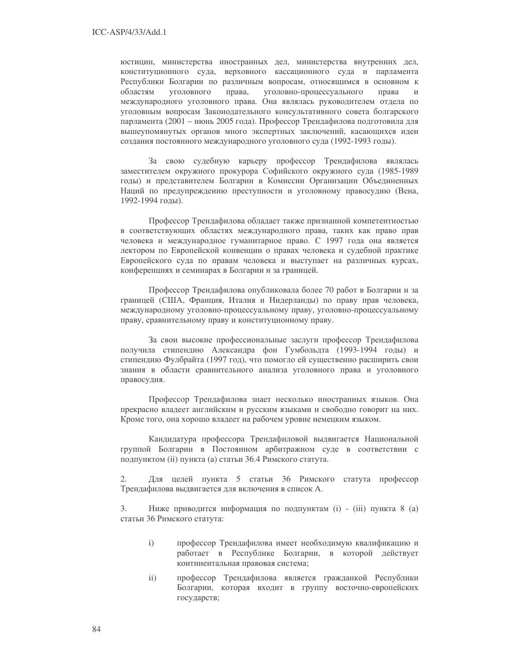юстиции, министерства иностранных дел, министерства внутренних дел, конституционного суда, верховного кассационного суда и парламента Республики Болгарии по различным вопросам, относящимся в основном к областям уголовного права, уголовно-процессуального права  $\overline{M}$ международного уголовного права. Она являлась руководителем отдела по уголовным вопросам Законодательного консультативного совета болгарского парламента (2001 – июнь 2005 года). Профессор Трендафилова подготовила для вышеупомянутых органов много экспертных заключений, касающихся идеи создания постоянного международного уголовного суда (1992-1993 годы).

За свою судебную карьеру профессор Трендафилова являлась заместителем окружного прокурора Софийского окружного суда (1985-1989 годы) и представителем Болгарии в Комиссии Организации Объединенных Наций по предупреждению преступности и уголовному правосудию (Вена, 1992-1994 годы).

Профессор Трендафилова обладает также признанной компетентностью в соответствующих областях международного права, таких как право прав человека и международное гуманитарное право. С 1997 года она является лектором по Европейской конвенции о правах человека и судебной практике Европейского суда по правам человека и выступает на различных курсах, конференциях и семинарах в Болгарии и за границей.

Профессор Трендафилова опубликовала более 70 работ в Болгарии и за границей (США, Франция, Италия и Нидерланды) по праву прав человека, международному уголовно-процессуальному праву, уголовно-процессуальному праву, сравнительному праву и конституционному праву.

За свои высокие профессиональные заслуги профессор Трендафилова получила стипендию Александра фон Гумбольдта (1993-1994 годы) и стипендию Фулбрайта (1997 год), что помогло ей существенно расширить свои знания в области сравнительного анализа уголовного права и уголовного правосудия.

Профессор Трендафилова знает несколько иностранных языков. Она прекрасно владеет английским и русским языками и свободно говорит на них. Кроме того, она хорошо владеет на рабочем уровне немецким языком.

Кандидатура профессора Трендафиловой выдвигается Национальной группой Болгарии в Постоянном арбитражном суде в соответствии с подпунктом (ii) пункта (а) статьи 36.4 Римского статута.

Для целей пункта 5 статьи 36 Римского статута профессор 2. Трендафилова выдвигается для включения в список А.

3. Ниже приводится информация по подпунктам (i) - (iii) пункта 8 (a) статьи 36 Римского статута:

- $\mathbf{i}$ профессор Трендафилова имеет необходимую квалификацию и работает в Республике Болгарии, в которой действует континентальная правовая система;
- $\mathbf{ii}$ профессор Трендафилова является гражданкой Республики Болгарии, которая входит в группу восточно-европейских государств;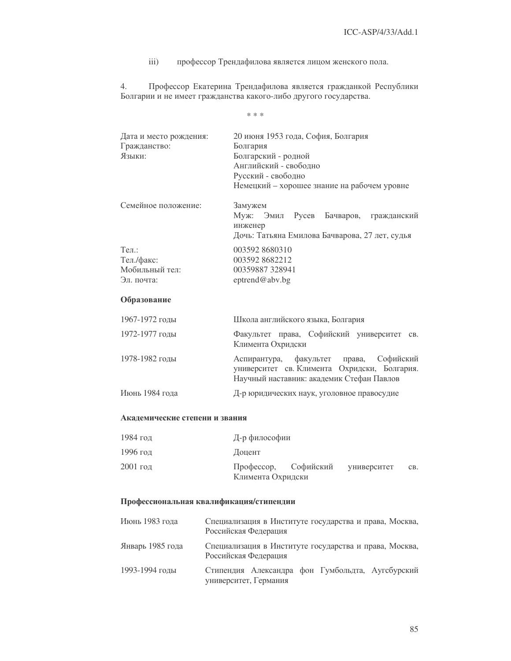$iii)$ профессор Трендафилова является лицом женского пола.

 $4.$ Профессор Екатерина Трендафилова является гражданкой Республики Болгарии и не имеет гражданства какого-либо другого государства.

 $\ast\,\ast\,\ast$ 

| Дата и место рождения: | 20 июня 1953 года, София, Болгария             |  |  |  |
|------------------------|------------------------------------------------|--|--|--|
| Гражданство:           | Болгария                                       |  |  |  |
| Языки:                 | Болгарский - родной<br>Английский - свободно   |  |  |  |
|                        |                                                |  |  |  |
|                        | Русский - свободно                             |  |  |  |
|                        | Немецкий – хорошее знание на рабочем уровне    |  |  |  |
| Семейное положение:    | Замужем                                        |  |  |  |
|                        | Эмил Русев Бачваров,<br>Муж:<br>гражданский    |  |  |  |
|                        | инженер                                        |  |  |  |
|                        | Дочь: Татьяна Емилова Бачварова, 27 лет, судья |  |  |  |
| $Ten.$ :               | 003592 8680310                                 |  |  |  |
| Тел./факс:             | 0035928682212                                  |  |  |  |
| Мобильный тел:         | 00359887328941                                 |  |  |  |
| Эл. почта:             | eptrend@abv.bg                                 |  |  |  |
| $\sim$                 |                                                |  |  |  |

## Образование

| 1967-1972 годы | Школа английского языка, Болгария                                                                                                    |  |  |  |
|----------------|--------------------------------------------------------------------------------------------------------------------------------------|--|--|--|
| 1972-1977 годы | Факультет права, Софийский университет св.<br>Климента Охридски                                                                      |  |  |  |
| 1978-1982 годы | Аспирантура, факультет права, Софийский<br>университет св. Климента Охридски, Болгария.<br>Научный наставник: академик Стефан Павлов |  |  |  |
| Июнь 1984 года | Д-р юридических наук, уголовное правосудие                                                                                           |  |  |  |

## Академические степени и звания

| 1984 год   | Д-р философии     |                                  |  |     |
|------------|-------------------|----------------------------------|--|-----|
| 1996 год   | Доцент            |                                  |  |     |
| $2001$ год | Климента Охридски | Профессор, Софийский университет |  | CB. |

## Профессиональная квалификация/стипендии

| Июнь 1983 года   | Специализация в Институте государства и права, Москва,<br>Российская Федерация |
|------------------|--------------------------------------------------------------------------------|
| Январь 1985 года | Специализация в Институте государства и права, Москва,<br>Российская Федерация |
| 1993-1994 годы   | Стипендия Александра фон Гумбольдта, Аугсбурский<br>университет, Германия      |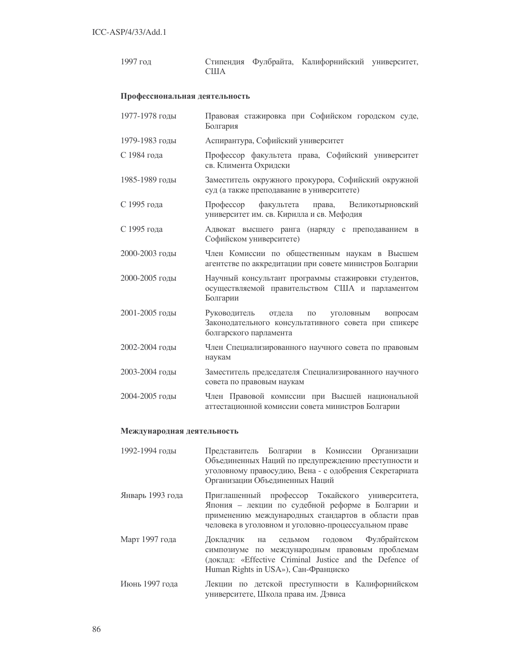1997 год стипендия Фулбрайта, Калифорнийский университет,  $\rm CIIIA$ 

#### Профессиональная деятельность

| 1977-1978 годы | Правовая стажировка при Софийском городском суде,<br>Болгария                                                                                                  |
|----------------|----------------------------------------------------------------------------------------------------------------------------------------------------------------|
| 1979-1983 годы | Аспирантура, Софийский университет                                                                                                                             |
| С 1984 года    | Профессор факультета права, Софийский университет<br>св. Климента Охридски                                                                                     |
| 1985-1989 годы | Заместитель окружного прокурора, Софийский окружной<br>суд (а также преподавание в университете)                                                               |
| С 1995 года    | Профессор факультета<br>права, Великотырновский<br>университет им. св. Кирилла и св. Мефодия                                                                   |
| С 1995 года    | Адвокат высшего ранга (наряду с преподаванием в<br>Софийском университете)                                                                                     |
| 2000-2003 годы | Член Комиссии по общественным наукам в Высшем<br>агентстве по аккредитации при совете министров Болгарии                                                       |
| 2000-2005 годы | Научный консультант программы стажировки студентов,<br>осуществляемой правительством США и парламентом<br>Болгарии                                             |
| 2001-2005 годы | Руководитель<br>отдела<br><b>УГОЛОВНЫМ</b><br>$\Pi$ <sup>O</sup><br>вопросам<br>Законодательного консультативного совета при спикере<br>болгарского парламента |
| 2002-2004 годы | Член Специализированного научного совета по правовым<br>наукам                                                                                                 |
| 2003-2004 годы | Заместитель председателя Специализированного научного<br>совета по правовым наукам                                                                             |
| 2004-2005 годы | Член Правовой комиссии при Высшей национальной<br>аттестационной комиссии совета министров Болгарии                                                            |

#### Международная деятельность

| 1992-1994 годы   | Представитель Болгарии в Комиссии Организации<br>Объединенных Наций по предупреждению преступности и<br>уголовному правосудию, Вена - с одобрения Секретариата<br>Организации Объединенных Наций                  |
|------------------|-------------------------------------------------------------------------------------------------------------------------------------------------------------------------------------------------------------------|
| Январь 1993 года | Приглашенный профессор Токайского университета,<br>Япония - лекции по судебной реформе в Болгарии и<br>применению международных стандартов в области прав<br>человека в уголовном и уголовно-процессуальном праве |
| Март 1997 года   | Докладчик на седьмом годовом Фулбрайтском<br>симпозиуме по международным правовым проблемам<br>(доклад: «Effective Criminal Justice and the Defence of<br>Human Rights in USA»), Сан-Франциско                    |
| Июнь 1997 года   | Лекции по детской преступности в Калифорнийском<br>университете, Школа права им. Дэвиса                                                                                                                           |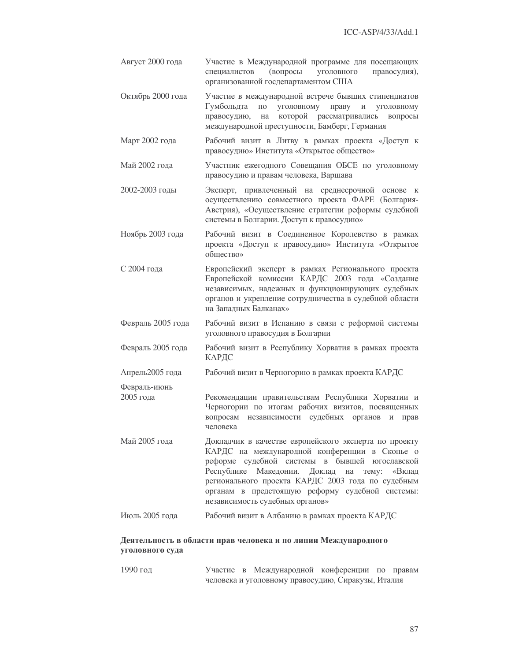Август 2000 года Участие в Международной программе для посещающих специалистов (вопросы уголовного правосудия), организованной госдепартаментом США Участие в международной встрече бывших стипендиатов Октябрь 2000 года Гумбольдта по уголовному праву и уголовному правосудию, на которой рассматривались вопросы международной преступности, Бамберг, Германия Март 2002 года Рабочий визит в Литву в рамках проекта «Доступ к правосудию» Института «Открытое общество» Май 2002 гола Участник ежегодного Совещания ОБСЕ по уголовному правосудию и правам человека, Варшава 2002-2003 голы Эксперт, привлеченный на среднесрочной основе к осуществлению совместного проекта ФАРЕ (Болгария-Австрия), «Осуществление стратегии реформы судебной системы в Болгарии. Доступ к правосудию» Ноябрь 2003 года Рабочий визит в Соединенное Королевство в рамках проекта «Доступ к правосудию» Института «Открытое общество» С 2004 года Европейский эксперт в рамках Регионального проекта Европейской комиссии КАРДС 2003 года «Создание независимых, надежных и функционирующих судебных органов и укрепление сотрудничества в судебной области на Западных Балканах» Рабочий визит в Испанию в связи с реформой системы Февраль 2005 года уголовного правосудия в Болгарии Февраль 2005 года Рабочий визит в Республику Хорватия в рамках проекта КАРДС Апрель2005 года Рабочий визит в Черногорию в рамках проекта КАРДС Февраль-июнь 2005 гола Рекомендации правительствам Республики Хорватии и Черногории по итогам рабочих визитов, посвященных вопросам независимости судебных органов и прав человека Май 2005 года Докладчик в качестве европейского эксперта по проекту КАРДС на международной конференции в Скопье о реформе судебной системы в бывшей югославской Республике Македонии. Доклад на тему: «Вклад регионального проекта КАРДС 2003 года по судебным органам в предстоящую реформу судебной системы: независимость судебных органов» Июль 2005 года Рабочий визит в Албанию в рамках проекта КАРДС

## Деятельность в области прав человека и по линии Международного уголовного суда

1990 год Участие в Международной конференции по правам человека и уголовному правосудию, Сиракузы, Италия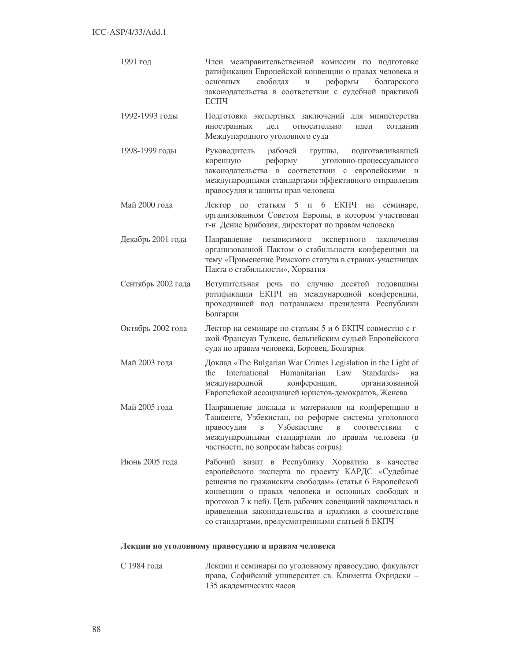- 1991 год Член межправительственной комиссии по подготовке ратификации Европейской конвенции о правах человека и основных своболах  $\overline{M}$ реформы болгарского законодательства в соответствии с судебной практикой ЕСПЧ
- 1992-1993 голы Подготовка экспертных заключений для министерства иностранных леп относительно илеи создания Международного уголовного суда
- 1998-1999 голы полготавливавшей Руководитель рабочей группы, коренную реформу уголовно-процессуального законодательства в соответствии с европейскими и международными стандартами эффективного отправления правосудия и защиты прав человека
- Май 2000 гола Лектор по статьям 5 и 6 ЕКПЧ на семинаре, организованном Советом Европы, в котором участвовал г-н Денис Брибозия, директорат по правам человека
- Декабрь 2001 года Направление независимого экспертного заключения организованной Пактом о стабильности конференции на тему «Применение Римского статута в странах-участницах Пакта о стабильности», Хорватия
- Вступительная речь по случаю десятой годовщины Сентябрь 2002 года ратификации ЕКПЧ на международной конференции, проходившей под потранажем президента Республики Болгарии
- Октябрь 2002 года Лектор на семинаре по статьям 5 и 6 ЕКПЧ совместно с гжой Франсуаз Тулкенс, бельгийским судьей Европейского суда по правам человека, Боровец, Болгария
- Май 2003 года Доклад «The Bulgarian War Crimes Legislation in the Light of International Humanitarian Law Standards» the на конференции, организованной международной Европейской ассоциацией юристов-демократов, Женева
- Май 2005 года Направление доклада и материалов на конференцию в Ташкенте, Узбекистан, по реформе системы уголовного правосудия  $\, {\bf B}$ Узбекистане  $\mathbf{B}$ соответствии  $\mathcal{C}$ международными стандартами по правам человека (в частности, по вопросам habeas corpus)
- Июнь 2005 гола Рабочий визит в Республику Хорватию в качестве европейского эксперта по проекту КАРДС «Судебные решения по гражанским свободам» (статья 6 Европейской конвенции о правах человека и основных свободах и протокол 7 к ней). Цель рабочих совещаний заключалась в приведении законодательства и практики в соответствие со стандартами, предусмотренными статьей 6 ЕКПЧ

#### Лекции по уголовному правосудию и правам человека

С 1984 года Лекции и семинары по уголовному правосудию, факультет права, Софийский университет св. Климента Охридски -135 акалемических часов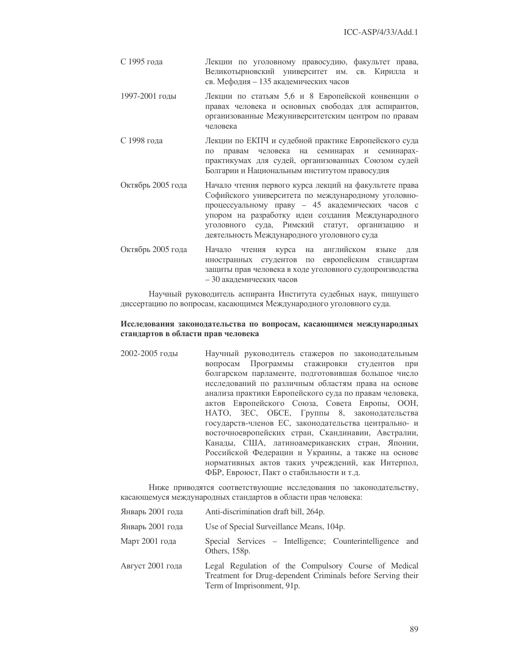- С 1995 года и Пекции по уголовному правосудию, факультет права, Великотырновский университет им. св. Кирилла и св. Мефодия - 135 академических часов
- 1997-2001 годы Лекции по статьям 5,6 и 8 Европейской конвенции о правах человека и основных свободах для аспирантов, организованные Межуниверситетским центром по правам человека
- С 1998 года Пекции по ЕКПЧ и судебной практике Европейского суда по правам человека на семинарах и семинарахпрактикумах для судей, организованных Союзом судей Болгарии и Национальным институтом правосудия
- Октябрь 2005 года 2005 года Начало чтения первого курса лекций на факультете права Софийского университета по международному уголовнопроцессуальному праву - 45 академических часов с упором на разработку идеи создания Международного уголовного суда, Римский статут, организацию и деятельность Международного уголовного суда
- Октябрь 2005 года Начало чтения курса на английском языке для иностранных студентов по европейским стандартам защиты прав человека в ходе уголовного судопроизводства - 30 академических часов

Научный руководитель аспиранта Института судебных наук, пишущего диссертацию по вопросам, касающимся Международного уголовного суда.

## Исследования законодательства по вопросам, касающимся международных стандартов в области прав человека

2002-2005 годы Научный руководитель стажеров по законодательным вопросам Программы стажировки студентов при болгарском парламенте, подготовившая большое число исследований по различным областям права на основе анализа практики Европейского суда по правам человека, актов Европейского Союза, Совета Европы, ООН, НАТО, ЗЕС, ОБСЕ, Группы 8, законодательства государств-членов ЕС, законодательства центрально- и восточноевропейских стран, Скандинавии, Австралии, Канады, США, латиноамериканских стран, Японии, Российской Федерации и Украины, а также на основе нормативных актов таких учреждений, как Интерпол, ФБР, Евроюст, Пакт о стабильности и т.д.

Ниже приводятся соответствующие исследования по законодательству, касающемуся международных стандартов в области прав человека:

| Январь 2001 года | Anti-discrimination draft bill, 264p.                                                                                                             |  |  |
|------------------|---------------------------------------------------------------------------------------------------------------------------------------------------|--|--|
| Январь 2001 года | Use of Special Surveillance Means, 104p.                                                                                                          |  |  |
| Март 2001 года   | Special Services – Intelligence; Counterintelligence and<br>Others, 158p.                                                                         |  |  |
| Август 2001 года | Legal Regulation of the Compulsory Course of Medical<br>Treatment for Drug-dependent Criminals before Serving their<br>Term of Imprisonment, 91p. |  |  |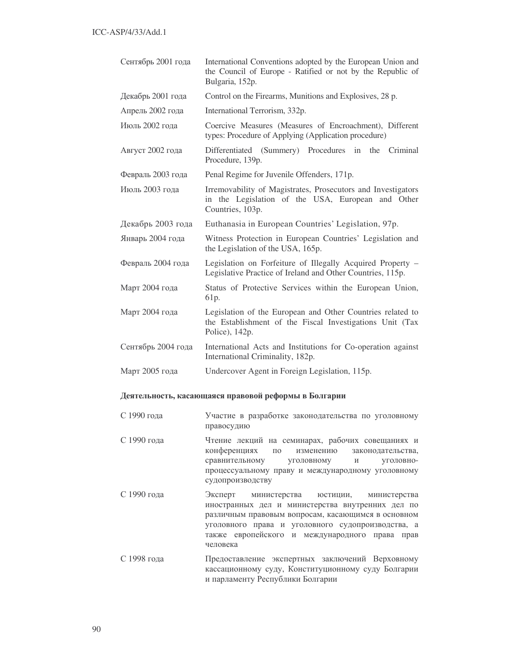| Сентябрь 2001 года | International Conventions adopted by the European Union and<br>the Council of Europe - Ratified or not by the Republic of<br>Bulgaria, 152p. |
|--------------------|----------------------------------------------------------------------------------------------------------------------------------------------|
| Декабрь 2001 года  | Control on the Firearms, Munitions and Explosives, 28 p.                                                                                     |
| Апрель 2002 года   | International Terrorism, 332p.                                                                                                               |
| Июль 2002 года     | Coercive Measures (Measures of Encroachment), Different<br>types: Procedure of Applying (Application procedure)                              |
| Август 2002 года   | Differentiated (Summery) Procedures in<br>the<br>Criminal<br>Procedure, 139p.                                                                |
| Февраль 2003 года  | Penal Regime for Juvenile Offenders, 171p.                                                                                                   |
| Июль 2003 года     | Irremovability of Magistrates, Prosecutors and Investigators<br>in the Legislation of the USA, European and Other<br>Countries, 103p.        |
| Декабрь 2003 года  | Euthanasia in European Countries' Legislation, 97p.                                                                                          |
|                    |                                                                                                                                              |
| Январь 2004 года   | Witness Protection in European Countries' Legislation and<br>the Legislation of the USA, 165p.                                               |
| Февраль 2004 года  | Legislation on Forfeiture of Illegally Acquired Property -<br>Legislative Practice of Ireland and Other Countries, 115p.                     |
| Март 2004 года     | Status of Protective Services within the European Union,<br>61 <sub>p</sub> .                                                                |
| Март 2004 года     | Legislation of the European and Other Countries related to<br>the Establishment of the Fiscal Investigations Unit (Tax<br>Police), 142p.     |
| Сентябрь 2004 года | International Acts and Institutions for Co-operation against<br>International Criminality, 182p.                                             |

## Деятельность, касающаяся правовой реформы в Болгарии

- С 1990 года разработке законодательства по уголовному правосудию
- С 1990 года Рение лекций на семинарах, рабочих совещаниях и конференциях по изменению ства, сравнитель уголовному ному и уголовнопроцессуальному праву и международному уголовному судопроизводству
- С 1990 года Эксперт министерства а юстиции, министерства иностранных дел и министерства внутренних дел по различным правовым вопросам, касающимся в основном уголовного права и уголовного судопроизводства, а также европейского и международного права прав человека
- С 1998 года ление экспертных заключений Верховному кассационному суду, Конституционному суду Болгарии и парламенту Республики Болгарии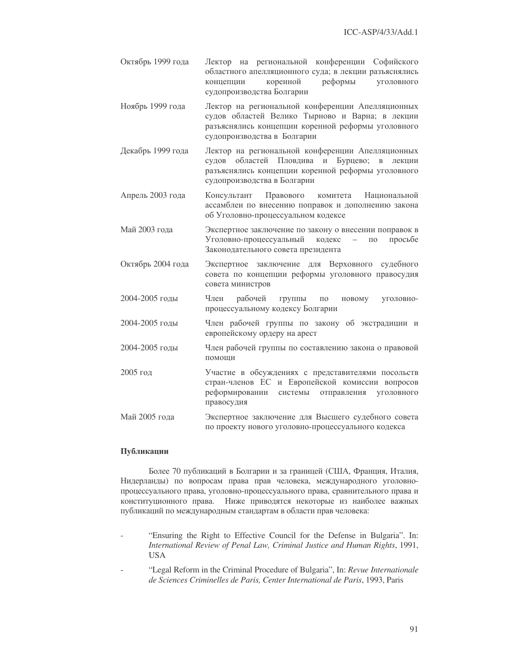- Октябрь 1999 года 1999 года Лектор на региональной конференции Софийского областного апелляционного суда; в лекции разъяснялись концепции коренной реформы уголовного судопроизводства Болгарии
- Ноябрь 1999 года 1999 года Лектор на региональной конференции Апелляционных судов областей Велико Тырново и Варна; в лекции разъяснялись концепции коренной реформы уголовного судопроизводства в Болгарии
- Декабрь 1999 года 1999 года Лектор на региональной конференции Апелляционных судов областей Пловдива и Бурцево; в лекции разъяснялись концепции коренной реформы уголовного судопроизводства в Болгарии
- Апрель 2003 года Консуль тант Правов ого комитета Национальной ассамблеи по внесению поправок и дополнению закона об Уголовно-процессуальном кодексе
- Май 2003 года Экспертное заключение по закону о внесении поправок в Уголовно-процессуаль кодекс – по просьбе Законодательного совета президента
- Октябрь 2004 года 2004 года Экспертное заключение для Верховного судебного совета по концепции реформы уголовного правосудия совета министров
- 2004-2005 годы Член рабочей группы по новому ому уголовнопроцессуальному кодексу Болгарии
- 2004-2005 годы Член рабочей группы по закону об экстрадиции и европейскому ордеру на арест
- 2004-2005 годы Член рабочей группы по составлению закона о правовой помощи
- 2005 год Участие в обсуждениях с представителями посольств стран-членов ЕС и Европейской комиссии вопросов реформировании системы отправления уголовного правосудия
- Май 2005 года Маспертное заключение для Высшего судебного совета по проекту нового уголовно-процессуального кодекса

## Публикации

Более 70 публикаций в Болгарии и за границей (США, Франция, Италия, Нидерланды) по вопросам права прав человека, международного уголовнопроцессуального права, уголовно-процессуального права, сравнительного права и конституционного права. Ниже приводятся некоторые из наиболее важных публикаций по международным стандартам в области прав человека:

- "Ensuring the Right to Effective Council for the Defense in Bulgaria". In: *International Review of Penal Law, Criminal Justice and Human Rights*, 1991, USA
- "Legal Reform in the Criminal Procedure of Bulgaria", In: *Revue Internationale de Sciences Criminelles de Paris, Center International de Paris*, 1993, Paris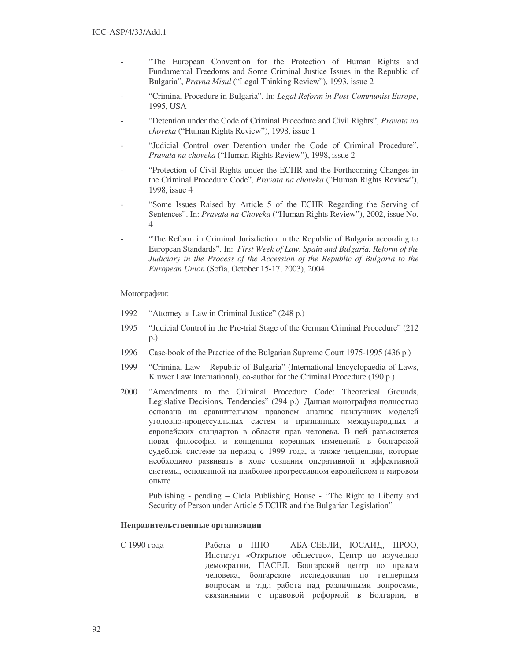- "The European Convention for the Protection of Human Rights and Fundamental Freedoms and Some Criminal Justice Issues in the Republic of Bulgaria", *Pravna Misul* ("Legal Thinking Review"), 1993, issue 2
- "Criminal Procedure in Bulgaria". In: *Legal Reform in Post-Communist Europe*, 1995, USA
- "Detention under the Code of Criminal Procedure and Civil Rights", *Pravata na choveka* ("Human Rights Review"), 1998, issue 1
- "Judicial Control over Detention under the Code of Criminal Procedure", *Pravata na choveka* ("Human Rights Review"), 1998, issue 2
- "Protection of Civil Rights under the ECHR and the Forthcoming Changes in the Criminal Procedure Code", *Pravata na choveka* ("Human Rights Review"), 1998, issue 4
- "Some Issues Raised by Article 5 of the ECHR Regarding the Serving of Sentences". In: *Pravata na Choveka* ("Human Rights Review"), 2002, issue No. 4
- "The Reform in Criminal Jurisdiction in the Republic of Bulgaria according to European Standards". In: *First Week of Law. Spain and Bulgaria. Reform of the Judiciary in the Process of the Accession of the Republic of Bulgaria to the European Union* (Sofia, October 15-17, 2003), 2004

Монографии:

- 1992 "Attorney at Law in Criminal Justice" (248 p.)
- 1995 "Judicial Control in the Pre-trial Stage of the German Criminal Procedure" (212 p.)
- 1996 Case-book of the Practice of the Bulgarian Supreme Court 1975-1995 (436 p.)
- 1999 "Criminal Law Republic of Bulgaria" (International Encyclopaedia of Laws, Kluwer Law International), co-author for the Criminal Procedure (190 p.)
- 2000 "Amendments to the Criminal Procedure Code: Theoretical Grounds, Legislative Decisions, Tendencies" (294 p.). Данная монография полностью основана на сравнительном правовом анализе наилучших моделей уголовно-процессуальных систем и признанных международных и европейских стандартов в области прав человека. В ней разъясняется новая философия и концепция коренных изменений в болгарской судебной системе за период с 1999 года, а также тенденции, которые необходимо развивать в ходе создания оперативной и эффективной системы, основанной на наиболее прогрессивном европейском и мировом опыте

Publishing - pending – Ciela Publishing House - "The Right to Liberty and Security of Person under Article 5 ECHR and the Bulgarian Legislation"

## Неправительственные организации

С 1990 года Работа в НПО - АБА-СЕЕЛИ, ЮСАИД, ПРОО, Институт «Открытое общество», Центр по изучению демократии, ПАСЕЛ, Болгарский центр по правам человека, болгарские исследования по гендерным вопросам и т.д.; работа над различными вопросами, связанными с правовой реформой в Болгарии, в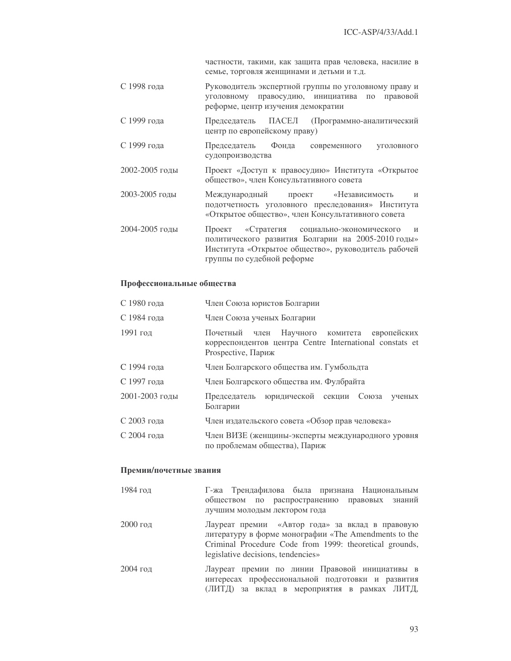частности, такими, как защита прав человека, насилие в семье, торговля женщинами и детьми и т.д.

- С 1998 гола Руководитель экспертной группы по уголовному праву и уголовному правосудию, инициатива по правовой реформе, центр изучения демократии
- С 1999 года ПАСЕЛ Председатель (Программно-аналитический центр по европейскому праву)
- С 1999 гола Председатель Фонда современного уголовного судопроизводства
- 2002-2005 годы Проект «Доступ к правосудию» Института «Открытое общество», член Консультативного совета
- 2003-2005 голы «Независимость Международный проект  $\overline{M}$ подотчетность уголовного преследования» Института «Открытое общество», член Консультативного совета
- 2004-2005 годы «Стратегия социально-экономического Проект  $\overline{M}$ политического развития Болгарии на 2005-2010 годы» Института «Открытое общество», руководитель рабочей группы по судебной реформе

#### Профессиональные общества

| С 1980 года    | Член Союза юристов Болгарии                                                                                                  |  |  |  |
|----------------|------------------------------------------------------------------------------------------------------------------------------|--|--|--|
| С 1984 года    | Член Союза ученых Болгарии                                                                                                   |  |  |  |
| 1991 год       | Почетный член Научного комитета европейских<br>корреспондентов центра Centre International constats et<br>Prospective, Париж |  |  |  |
| С 1994 года    | Член Болгарского общества им. Гумбольдта                                                                                     |  |  |  |
| С 1997 года    | Член Болгарского общества им. Фулбрайта                                                                                      |  |  |  |
| 2001-2003 годы | Председатель юридической секции Союза<br>ученых<br>Болгарии                                                                  |  |  |  |
| С 2003 года    | Член издательского совета «Обзор прав человека»                                                                              |  |  |  |
| С 2004 года    | Член ВИЗЕ (женщины-эксперты международного уровня<br>по проблемам общества), Париж                                           |  |  |  |

#### Премии/почетные звания

| 1984 год   | Г-жа Трендафилова была признана Национальным                                                                                                                       |
|------------|--------------------------------------------------------------------------------------------------------------------------------------------------------------------|
|            | обществом по распространению правовых знаний                                                                                                                       |
|            | лучшим молодым лектором года                                                                                                                                       |
| $2000$ год | Лауреат премии «Автор года» за вклад в правовую<br>литературу в форме монографии «The Amendments to the<br>Criminal Procedure Code from 1999: theoretical grounds, |
|            | legislative decisions, tendencies»                                                                                                                                 |
| $2004$ год | Лауреат премии по линии Правовой инициативы в<br>интересах профессиональной подготовки и развития<br>(ЛИТД) за вклад в мероприятия в рамках ЛИТД,                  |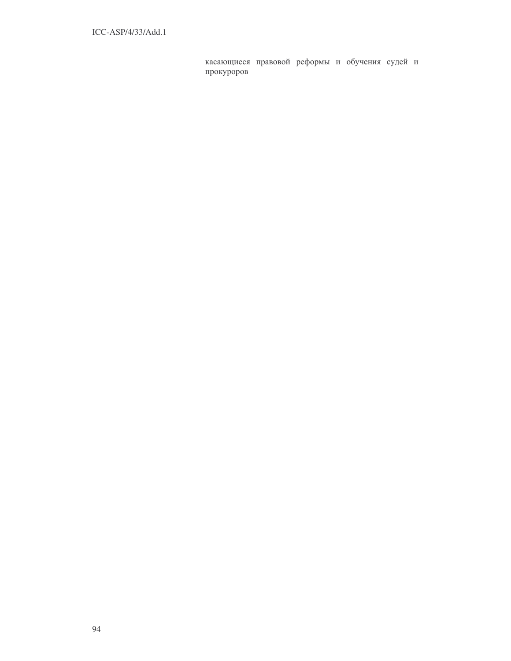касающиеся правовой реформы и обучения судей и прокуроров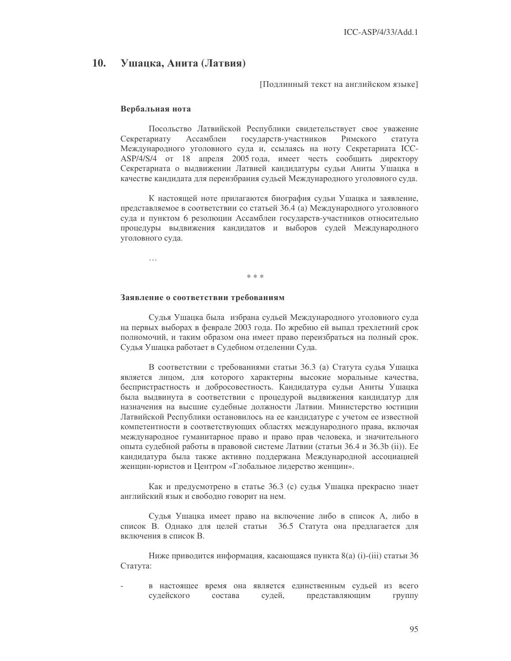#### 10. Ушацка, Анита (Латвия)

Подлинный текст на английском языке]

#### Вербальная нота

Посольство Латвийской Республики свидетельствует свое уважение Секретариату Ассамблеи государств-участников Римского статута Международного уголовного суда и, ссылаясь на ноту Секретариата ICC-ASP/4/S/4 от 18 апреля 2005 года, имеет честь сообщить директору Секретариата о выдвижении Латвией кандидатуры судьи Аниты Ушацка в качестве кандидата для переизбрания судьей Международного уголовного суда.

К настоящей ноте прилагаются биография судьи Ушацка и заявление, представляемое в соответствии со статьей 36.4 (а) Международного уголовного суда и пунктом 6 резолюции Ассамблеи государств-участников относительно процедуры выдвижения кандидатов и выборов судей Международного уголовного суда.

 $\ddotsc$ 

 $* \times *$ 

#### Заявление о соответствии требованиям

Судья Ушацка была избрана судьей Международного уголовного суда на первых выборах в феврале 2003 года. По жребию ей выпал трехлетний срок полномочий, и таким образом она имеет право переизбраться на полный срок. Судья Ушацка работает в Судебном отделении Суда.

В соответствии с требованиями статьи 36.3 (а) Статута судья Ушацка является лицом, для которого характерны высокие моральные качества, беспристрастность и добросовестность. Кандидатура судьи Аниты Ушацка была выдвинута в соответствии с процедурой выдвижения кандидатур для назначения на высшие судебные должности Латвии. Министерство юстиции Латвийской Республики остановилось на ее кандидатуре с учетом ее известной компетентности в соответствующих областях международного права, включая международное гуманитарное право и право прав человека, и значительного опыта судебной работы в правовой системе Латвии (статьи 36.4 и 36.3b (ii)). Ее кандидатура была также активно поддержана Международной ассоциацией женщин-юристов и Центром «Глобальное лидерство женщин».

Как и предусмотрено в статье 36.3 (с) судья Ушацка прекрасно знает английский язык и свободно говорит на нем.

Судья Ушацка имеет право на включение либо в список А, либо в список В. Однако для целей статьи 36.5 Статута она предлагается для включения в список В.

Ниже приводится информация, касающаяся пункта 8(a) (i)-(iii) статьи 36 Статута:

в настоящее время она является единственным судьей из всего судейского состава судей, представляющим группу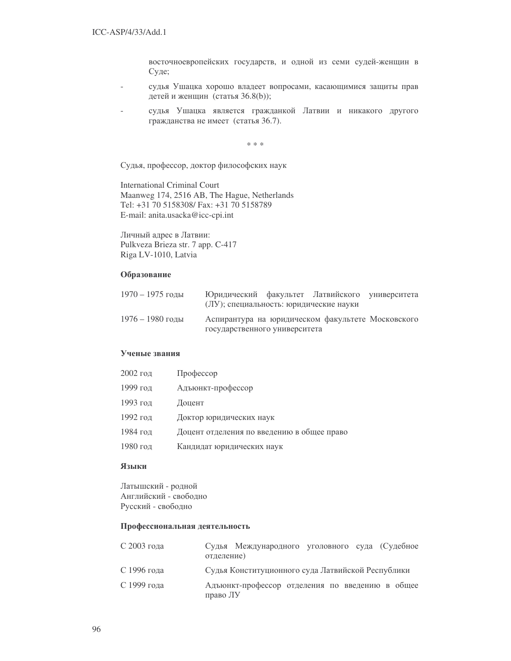восточноевропейских государств, и одной из семи судей-женщин в Суде;

- судья Ушацка хорошо владеет вопросами, касающимися защиты прав детей и женщин (статья 36.8(b));
- судья Ушацка является гражданкой Латвии и никакого другого гражданства не имеет (статья 36.7).

\* \* \*

Судья, профессор, доктор философских наук

International Criminal Court Maanweg 174, 2516 AB, The Hague, Netherlands Tel: +31 70 5158308/ Fax: +31 70 5158789 E-mail: anita.usacka@icc-cpi.int

Личный адрес в Латвии: Pulkveza Brieza str. 7 app. C-417 Riga LV-1010, Latvia

#### Образование

| $1970 - 1975$ голы | Юридический факультет Латвийского университета<br>(ЛУ); специальность: юридические науки |  |  |
|--------------------|------------------------------------------------------------------------------------------|--|--|
| $1976 - 1980$ годы | Аспирантура на юридическом факультете Московского<br>государственного университета       |  |  |

#### Ученые звания

| 2002 год | Профессор                                  |
|----------|--------------------------------------------|
| 1999 год | Адъюнкт-профессор                          |
| 1993 год | Доцент                                     |
| 1992 год | Доктор юридических наук                    |
| 1984 год | Доцент отделения по введению в общее право |
| 1980 год | Кандидат юридических наук                  |

## Языки

Латышский - родной Английский - свободно Русский - свободно

#### Профессиональная деятельность

| С 2003 года | отделение) | Судья Международного уголовного суда (Судебное    |  |  |  |
|-------------|------------|---------------------------------------------------|--|--|--|
| С 1996 года |            | Судья Конституционного суда Латвийской Республики |  |  |  |
| С 1999 года | право ЛУ   | Адъюнкт-профессор отделения по введению в общее   |  |  |  |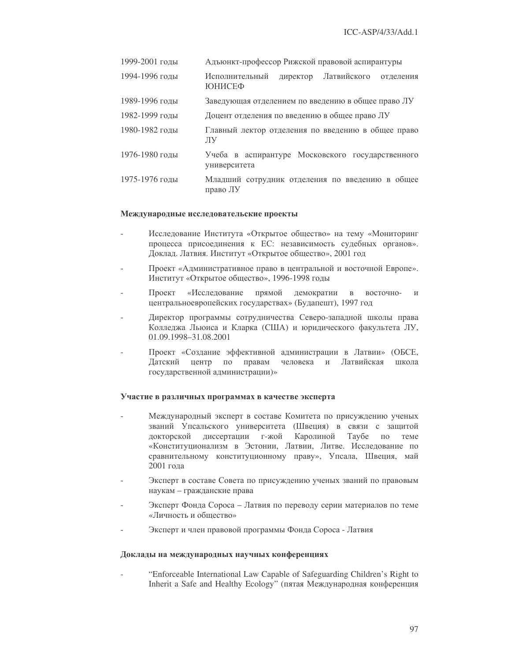| 1999-2001 годы | Адъюнкт-профессор Рижской правовой аспирантуры                          |  |  |  |  |
|----------------|-------------------------------------------------------------------------|--|--|--|--|
| 1994-1996 годы | Латвийского<br>Исполнительный<br>директор<br>отделения<br><b>ЮНИСЕФ</b> |  |  |  |  |
| 1989-1996 годы | Заведующая отделением по введению в общее право ЛУ                      |  |  |  |  |
| 1982-1999 годы | Доцент отделения по введению в общее право ЛУ                           |  |  |  |  |
| 1980-1982 годы | Главный лектор отделения по введению в общее право<br>ЛV                |  |  |  |  |
| 1976-1980 годы | Учеба в аспирантуре Московского государственного<br>университета        |  |  |  |  |
| 1975-1976 годы | Младший сотрудник отделения по введению в общее<br>право ЛУ             |  |  |  |  |

#### Международные исследовательские проекты

- Исследование Института «Открытое общество» на тему «Мониторинг процесса присоединения к ЕС: независимость судебных органов». Доклад. Латвия. Институт «Открытое общество», 2001 год
- Проект «Административное право в центральной и восточной Европе». Институт «Открытое общество», 1996-1998 годы
- Проект «Исследование ание прямой демократии в восточно- и центральноевропейских государствах» (Будапешт), 1997 год
- Директор программы сотрудничества Северо-западной школы права Колледжа Льюиса и Кларка (США) и юридического факультета ЛУ, 01.09.1998–31.08.2001
- Проект «Создание эффективной администрации в Латвии» (ОБСЕ, Датский центр по правам человека и Латв Латвийская школа государственной администрации)»

#### Участие в различных программах в качестве эксперта

- Международный эксперт в составе Комитета по присуждению ученых званий Упсальского университета (Швеция) в связи с защитой докторской диссертации г-жой Каролиной Таубе по теме «Конституционализм в Эстонии, Латвии, Литве. Исследование по сравнительному конституционному праву», Упсала, Швеция, май 2001 года
- Эксперт в составе Совета по присуждению ученых званий по правовым наукам – гражданские права
- Эксперт Фонда Сороса Латвия по переводу серии материалов по теме «Личность и общество»
- Эксперт и член правовой программы Фонда Сороса Латвия

## Доклады на международных научных конференциях

"Enforceable International Law Capable of Safeguarding Children's Right to Inherit a Safe and Healthy Ecology" (пятая Международная конференция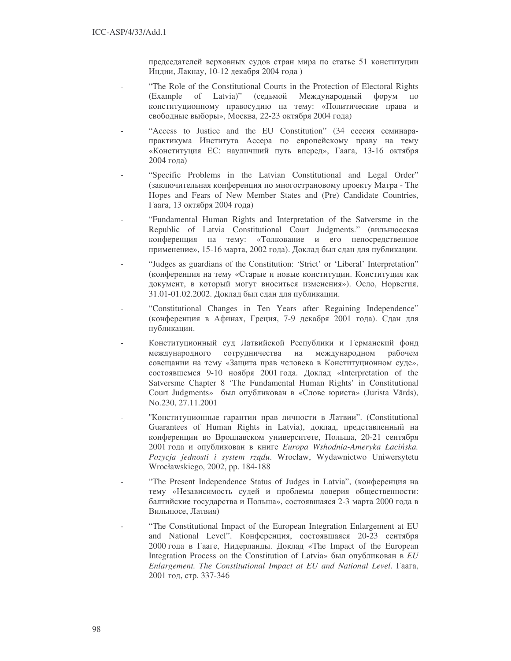председателей верховных судов стран мира по статье 51 конституции Индии, Лакнау, 10-12 декабря 2004 года)

- "The Role of the Constitutional Courts in the Protection of Electoral Rights (Example of Latvia)" (седьмой Международный форум по конституционному правосудию на тему: «Политические права и свободные выборы», Москва, 22-23 октября 2004 года)
- "Access to Justice and the EU Constitution"  $(34 \text{ cecc} \mu)$  семинарапрактикума Института Ассера по европейскому праву на тему «Конституция ЕС: науличший путь вперед», Гаага, 13-16 октября 2004  )
- "Specific Problems in the Latvian Constitutional and Legal Order" (заключительная конференция по многострановому проекту Матра - The Hopes and Fears of New Member States and (Pre) Candidate Countries, Гаага, 13 октября 2004 года)
- "Fundamental Human Rights and Interpretation of the Satversme in the Republic of Latvia Constitutional Court Judgments." (вильнюсская конференция на тему: «Толкование и его непосредственное применение», 15-16 марта, 2002 года). Доклад был сдан для публикации.
- "Judges as guardians of the Constitution: 'Strict' or 'Liberal' Interpretation" (конференция на тему «Старые и новые конституции. Конституция как документ, в который могут вноситься изменения»). Осло, Норвегия, 31.01-01.02.2002. Доклад был сдан для публикации.
- "Constitutional Changes in Ten Years after Regaining Independence" (конференция в Афинах, Греция, 7-9 декабря 2001 года). Сдан для публикации.
- Конституционный суд Латвийской Республики и Германский фонд международного сотрудничества на международном рабочем совещании на тему «Защита прав человека в Конституционном суде», состоявшемся 9-10 ноября 2001 года. Доклад «Interpretation of the Satversme Chapter 8 'The Fundamental Human Rights' in Constitutional Court Judgments» был опубликован в «Слове юриста» (Jurista Vārds), No.230, 27.11.2001
- "Конституционные гарантии прав личности в Латвии". (Constitutional Guarantees of Human Rights in Latvia), доклад, представленный на конференции во Вроцлавском университете, Польша, 20-21 сентября 2001 года и опубликован в книге Europa Wshodnia-Ameryka Łacińska. *Pozycja jednosti i system rz*&*du*. Wrocław, Wydawnictwo Uniwersytetu Wrocławskiego, 2002, pp. 184-188
- "The Present Independence Status of Judges in Latvia", (конференция на тему «Независимость судей и проблемы доверия общественности: балтийские государства и Польша», состоявшаяся 2-3 марта 2000 года в Вильнюсе, Латвия)
- "The Constitutional Impact of the European Integration Enlargement at EU and National Level". Конференция, состоявшаяся 20-23 сентября 2000 года в Гааге, Нидерланды. Доклад «The Impact of the European Integration Process on the Constitution of Latvia» был опубликован в *EU Enlargement. The Constitutional Impact at EU and National Level.* Faara, 2001 год, стр. 337-346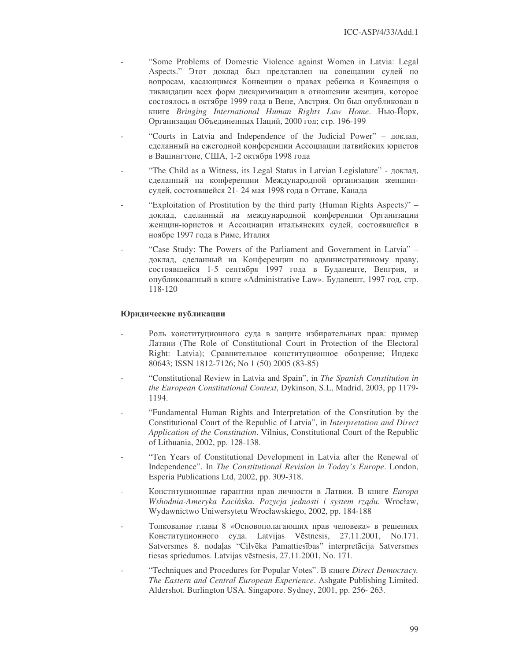- "Some Problems of Domestic Violence against Women in Latvia: Legal Aspects." Этот доклад был представлен на совещании судей по вопросам, касающимся Конвенции о правах ребенка и Конвенция о ликвидации всех форм дискриминации в отношении женщин, которое состоялось в октябре 1999 года в Вене, Австрия. Он был опубликован в книге Bringing International Human Rights Law Home. Нью-Йорк, Организация Объединенных Наций, 2000 год; стр. 196-199
- "Courts in Latvia and Independence of the Judicial Power" доклад, сделанный на ежегодной конференции Ассоциации латвийских юристов в Вашингтоне, США, 1-2 октября 1998 года
- "The Child as a Witness, its Legal Status in Latvian Legislature" доклад, сделанный на конференции Международной организации женщинсудей, состоявшейся 21-24 мая 1998 года в Оттаве, Канада
- "Exploitation of Prostitution by the third party (Human Rights Aspects)" доклад, сделанный на международной конференции Организации женщин-юристов и Ассоциации итальянских судей, состоявшейся в ноябре 1997 года в Риме, Италия
- "Case Study: The Powers of the Parliament and Government in Latvia" доклад, сделанный на Конференции по административному праву, состоявшейся 1-5 сентября 1997 года в Будапеште, Венгрия, и опубликованный в книге «Administrative Law». Будапешт, 1997 год, стр.  $118 - 120$

## Юридические публикации

- Роль конституционного суда в защите избирательных прав: пример Латвии (The Role of Constitutional Court in Protection of the Electoral Right: Latvia); Сравнительное конституционное обозрение; Индекс 80643; ISSN 1812-7126; No 1 (50) 2005 (83-85)
- "Constitutional Review in Latvia and Spain", in The Spanish Constitution in *the European Constitutional Context, Dykinson, S.L. Madrid, 2003, pp 1179-*1194.
- "Fundamental Human Rights and Interpretation of the Constitution by the Constitutional Court of the Republic of Latvia", in Interpretation and Direct Application of the Constitution. Vilnius, Constitutional Court of the Republic of Lithuania, 2002, pp. 128-138.
- "Ten Years of Constitutional Development in Latvia after the Renewal of Independence". In The Constitutional Revision in Today's Europe. London, Esperia Publications Ltd, 2002, pp. 309-318.
- Конституционные гарантии прав личности в Латвии. В книге Europa Wshodnia-Ameryka Łacińska. Pozycja jednosti i system rządu. Wrocław, Wydawnictwo Uniwersytetu Wrocławskiego, 2002, pp. 184-188
- Толкование главы 8 «Основополагающих прав человека» в решениях Конституционного суда. Latvijas Vēstnesis, 27.11.2001, No.171. Satversmes 8. nodaļas "Cilvēka Pamattiesības" interpretācija Satversmes tiesas spriedumos. Latvijas vēstnesis, 27.11.2001, No. 171.
- "Techniques and Procedures for Popular Votes". B книге Direct Democracy. The Eastern and Central European Experience. Ashgate Publishing Limited. Aldershot. Burlington USA. Singapore. Sydney, 2001, pp. 256-263.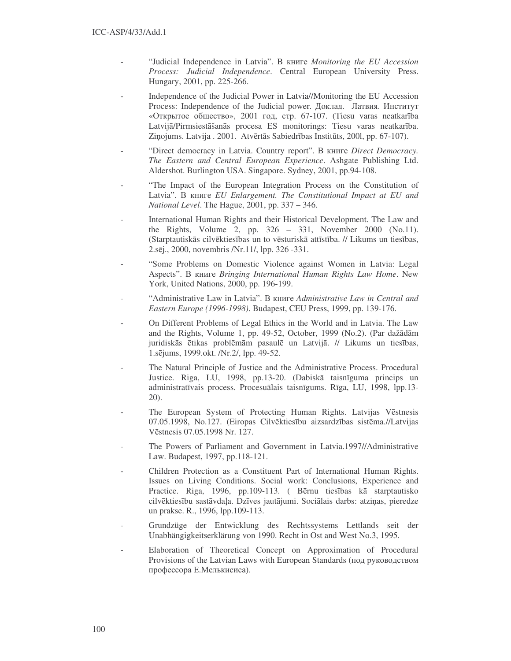- "Judicial Independence in Latvia". B KHUTE Monitoring the EU Accession Process: Judicial Independence. Central European University Press. Hungary, 2001, pp. 225-266.
- Independence of the Judicial Power in Latvia//Monitoring the EU Accession Process: Independence of the Judicial power. Доклад. Латвия. Институт «Открытое общество», 2001 год, стр. 67-107. (Tiesu varas neatkarība Latvijā/Pirmsiestāšanās procesa ES monitorings: Tiesu varas neatkarība. Ziņojums. Latvija . 2001. Atvērtās Sabiedrības Institūts, 2001, pp. 67-107).
- "Direct democracy in Latvia. Country report". B KHUTE Direct Democracy. The Eastern and Central European Experience. Ashgate Publishing Ltd. Aldershot. Burlington USA. Singapore. Sydney, 2001, pp.94-108.
- "The Impact of the European Integration Process on the Constitution of Latvia". B KHUTE EU Enlargement. The Constitutional Impact at EU and *National Level.* The Hague, 2001, pp. 337 – 346.
- International Human Rights and their Historical Development. The Law and the Rights, Volume 2, pp. 326 - 331, November 2000 (No.11). (Starptautiskās cilvēktiesības un to vēsturiskā attīstība. // Likums un tiesības, 2.sēj., 2000, novembris /Nr.11/, lpp. 326 -331.
- "Some Problems on Domestic Violence against Women in Latvia: Legal Aspects". B KHUTE Bringing International Human Rights Law Home. New York, United Nations, 2000, pp. 196-199.
- "Administrative Law in Latvia". B KHUTE Administrative Law in Central and Eastern Europe (1996-1998). Budapest, CEU Press, 1999, pp. 139-176.
- On Different Problems of Legal Ethics in the World and in Latvia. The Law and the Rights, Volume 1, pp. 49-52, October, 1999 (No.2). (Par dažādām juridiskās ētikas problēmām pasaulē un Latvijā. // Likums un tiesības, 1.sējums, 1999.okt. /Nr.2/, lpp. 49-52.
- The Natural Principle of Justice and the Administrative Process. Procedural Justice. Riga, LU, 1998, pp.13-20. (Dabiskā taisnīguma princips un administratīvais process. Procesuālais taisnīgums. Rīga, LU, 1998, lpp.13- $20$ ).
- The European System of Protecting Human Rights. Latvijas Vēstnesis 07.05.1998, No.127. (Eiropas Cilvēktiesību aizsardzības sistēma.//Latvijas Vēstnesis 07.05.1998 Nr. 127.
- The Powers of Parliament and Government in Latvia.1997//Administrative Law. Budapest, 1997, pp.118-121.
- Children Protection as a Constituent Part of International Human Rights. Issues on Living Conditions. Social work: Conclusions, Experience and Practice. Riga, 1996, pp.109-113. (Bērnu tiesības kā starptautisko cilvēktiesību sastāvdaļa. Dzīves jautājumi. Sociālais darbs: atziņas, pieredze un prakse. R., 1996, lpp.109-113.
- Grundzüge der Entwicklung des Rechtssystems Lettlands seit der Unabhängigkeitserklärung von 1990. Recht in Ost and West No.3, 1995.
- Elaboration of Theoretical Concept on Approximation of Procedural Provisions of the Latvian Laws with European Standards (под руководством профессора Е.Мелькисиса).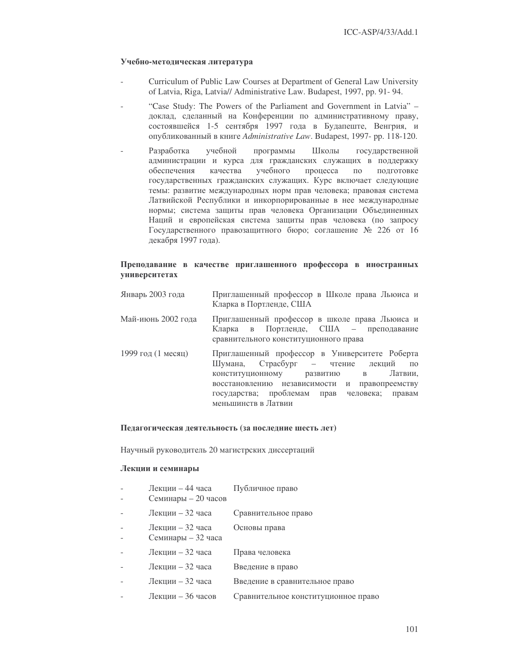## Учебно-методическая литература

- Curriculum of Public Law Courses at Department of General Law University of Latvia, Riga, Latvia// Administrative Law. Budapest, 1997, pp. 91- 94.
- "Case Study: The Powers of the Parliament and Government in Latvia" доклад, сделанный на Конференции по административному праву, состоявшейся 1-5 сентября 1997 года в Будапеште, Венгрия, и опубликованный в книге Administrative Law. Budapest, 1997- pp. 118-120.
- Разработка учебной программы Школы государственной администрации и курса для гражданских служащих в поддержку обеспечения качества учебного процесса по подготовке государственных гражданских служащих. Курс включает следующие темы: развитие международных норм прав человека; правовая система Латвийской Республики и инкорпорированные в нее международные нормы; система защиты прав человека Организации Объединенных Наций и европейская система защиты прав человека (по запросу Государственного правозащитного бюро; соглашение № 226 от 16 декабря 1997 года).

# Преподавание в качестве приглашенного профессора в иностранных университетах

| Январь 2003 года   | Приглашенный профессор в Школе права Льюиса и<br>Кларка в Портленде, США                                                                                                                                                                                               |
|--------------------|------------------------------------------------------------------------------------------------------------------------------------------------------------------------------------------------------------------------------------------------------------------------|
| Май-июнь 2002 года | Приглашенный профессор в школе права Льюиса и<br>Кларка в Портленде, США – преподавание<br>сравнительного конституционного права                                                                                                                                       |
| 1999 год (1 месяц) | Приглашенный профессор в Университете Роберта<br>Шумана, Страсбург – чтение лекций<br>$\overline{u}$<br>Латвии,<br>конституционному развитию в<br>восстановлению независимости и правопреемству<br>государства; проблемам прав человека; правам<br>меньшинств в Латвии |

## Педагогическая деятельность (за последние шесть лет)

Научный руководитель 20 магистрских диссертаций

### Лекции и семинары

| $\overline{\phantom{0}}$ | Лекции – 44 часа<br>Семинары – 20 часов | Публичное право                     |
|--------------------------|-----------------------------------------|-------------------------------------|
|                          | Лекции - 32 часа                        | Сравнительное право                 |
|                          | Лекции – 32 часа<br>Семинары - 32 часа  | Основы права                        |
|                          | Лекции - 32 часа                        | Права человека                      |
|                          | Лекции – 32 часа                        | Введение в право                    |
|                          | Лекции - 32 часа                        | Введение в сравнительное право      |
|                          | Лекции - 36 часов                       | Сравнительное конституционное право |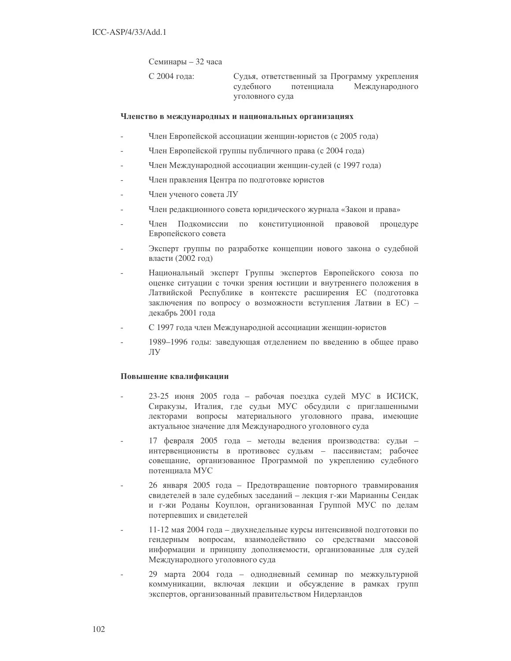Семинары – 32 часа

С 2004 года:

Судья, ответственный за Программу укрепления Международного судебного потенниала уголовного суда

### Членство в международных и национальных организациях

- Член Европейской ассоциации женщин-юристов (с 2005 года)
- Член Европейской группы публичного права (с 2004 года)
- Член Международной ассоциации женщин-судей (с 1997 года)
- Член правления Центра по подготовке юристов
- Член ученого совета ЛУ
- Член редакционного совета юридического журнала «Закон и права»
- Член Подкомиссии по конституционной правовой процедуре Европейского совета
- Эксперт группы по разработке концепции нового закона о судебной власти (2002 год)
- Национальный эксперт Группы экспертов Европейского союза по оценке ситуации с точки зрения юстиции и внутреннего положения в Латвийской Республике в контексте расширения ЕС (подготовка заключения по вопросу о возможности вступления Латвии в ЕС) декабрь 2001 года
- С 1997 года член Международной ассоциации женщин-юристов
- 1989-1996 годы: заведующая отделением по введению в общее право ЛУ

### Повышение квалификации

- 23-25 июня 2005 года рабочая поездка судей МУС в ИСИСК. Сиракузы, Италия, где судьи МУС обсудили с приглашенными лекторами вопросы материального уголовного права, имеющие актуальное значение для Международного уголовного суда
- 17 февраля 2005 года методы ведения производства: судьи интервенционисты в противовес судьям - пассивистам; рабочее совещание, организованное Программой по укреплению судебного потенциала МУС
- 26 января 2005 года Предотвращение повторного травмирования свидетелей в зале судебных заседаний - лекция г-жи Марианны Сендак и г-жи Роданы Коуплон, организованная Группой МУС по делам потерпевших и свидетелей
- 11-12 мая 2004 года двухнедельные курсы интенсивной подготовки по гендерным вопросам, взаимодействию со средствами массовой информации и принципу дополняемости, организованные для судей Международного уголовного суда
- 29 марта 2004 года однодневный семинар по межкультурной коммуникации, включая лекции и обсуждение в рамках групп экспертов, организованный правительством Нидерландов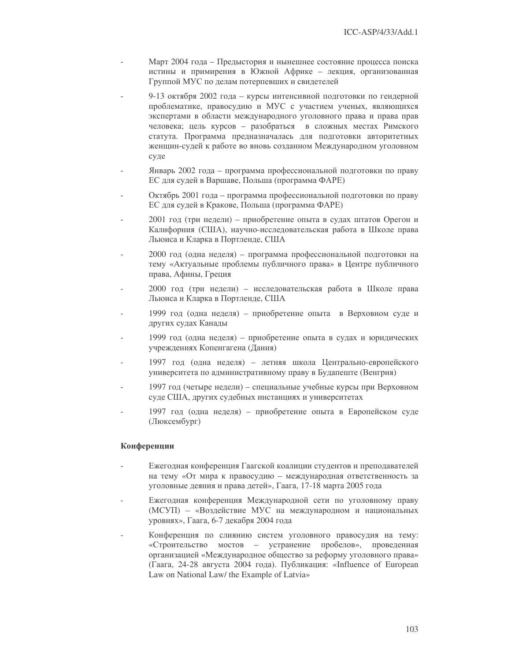- Март 2004 года Предыстория и нынешнее состояние процесса поиска истины и примирения в Южной Африке - лекция, организованная Группой МУС по делам потерпевших и свидетелей
- 9-13 октября 2002 года курсы интенсивной подготовки по гендерной проблематике, правосудию и МУС с участием ученых, являющихся экспертами в области международного уголовного права и права прав человека; цель курсов - разобраться в сложных местах Римского статута. Программа предназначалась для подготовки авторитетных женщин-судей к работе во вновь созданном Международном уголовном суде
- Январь 2002 года программа профессиональной подготовки по праву ЕС для судей в Варшаве, Польша (программа ФАРЕ)
- Октябрь 2001 года программа профессиональной подготовки по праву ЕС для судей в Кракове, Польша (программа ФАРЕ)
- 2001 год (три недели) приобретение опыта в судах штатов Орегон и Калифорния (США), научно-исследовательская работа в Школе права Льюиса и Кларка в Портленде, США
- 2000 год (одна неделя) программа профессиональной подготовки на тему «Актуальные проблемы публичного права» в Центре публичного права, Афины, Греция
- 2000 год (три недели) исследовательская работа в Школе права Льюиса и Кларка в Портленде, США
- 1999 год (одна неделя) приобретение опыта в Верховном суде и других судах Канады
- 1999 год (одна неделя) приобретение опыта в судах и юридических учреждениях Копенгагена (Дания)
- 1997 год (одна неделя) летняя школа Центрально-европейского университета по административному праву в Будапеште (Венгрия)
- 1997 год (четыре недели) специальные учебные курсы при Верховном суде США, других судебных инстанциях и университетах
- 1997 год (одна неделя) приобретение опыта в Европейском суде (Люксембург)

### Конференции

- Ежегодная конференция Гаагской коалиции студентов и преподавателей на тему «От мира к правосудию - международная ответственность за уголовные деяния и права детей», Гаага, 17-18 марта 2005 года
- Ежегодная конференция Международной сети по уголовному праву (МСУП) - «Воздействие МУС на международном и национальных уровнях», Гаага, 6-7 декабря 2004 года
- Конференция по слиянию систем уголовного правосудия на тему: «Строительство мостов - устранение пробелов», проведенная организацией «Международное общество за реформу уголовного права» (Гаага, 24-28 августа 2004 года). Публикация: «Influence of European Law on National Law/ the Example of Latvia»